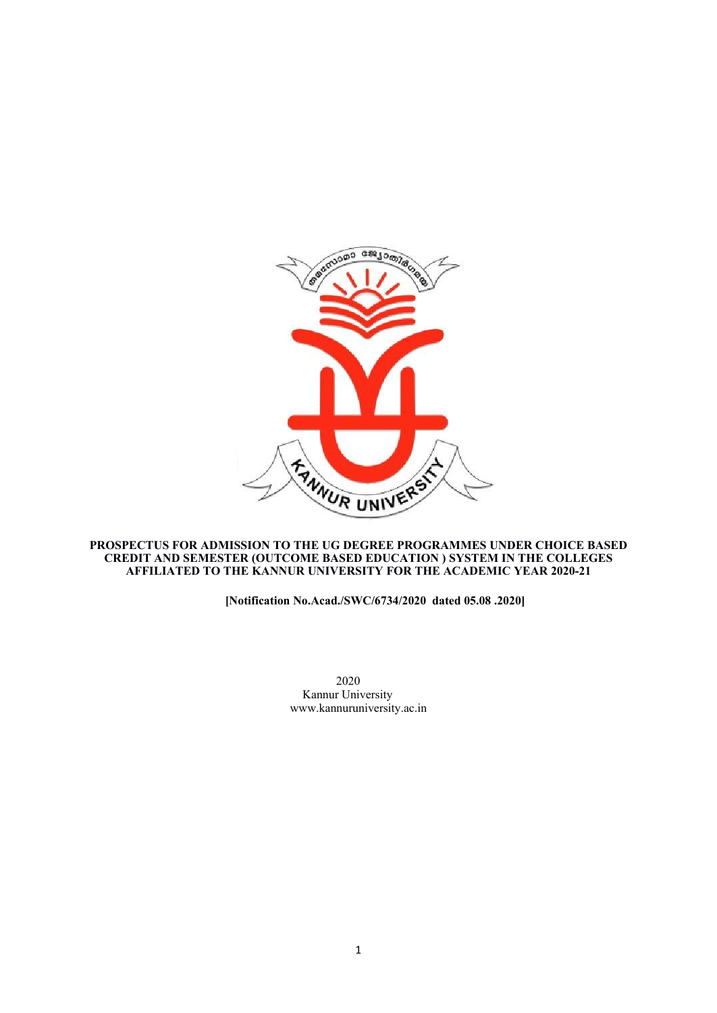

### **PROSPECTUS FOR ADMISSION TO THE UG DEGREE PROGRAMMES UNDER CHOICE BASED CREDIT AND SEMESTER (OUTCOME BASED EDUCATION ) SYSTEM IN THE COLLEGES AFFILIATED TO THE KANNUR UNIVERSITY FOR THE ACADEMIC YEAR 2020-21**

# **[Notification No.Acad./SWC/6734/2020 dated 05.08 .2020]**

2020 Kannur University www.kannuruniversity.ac.in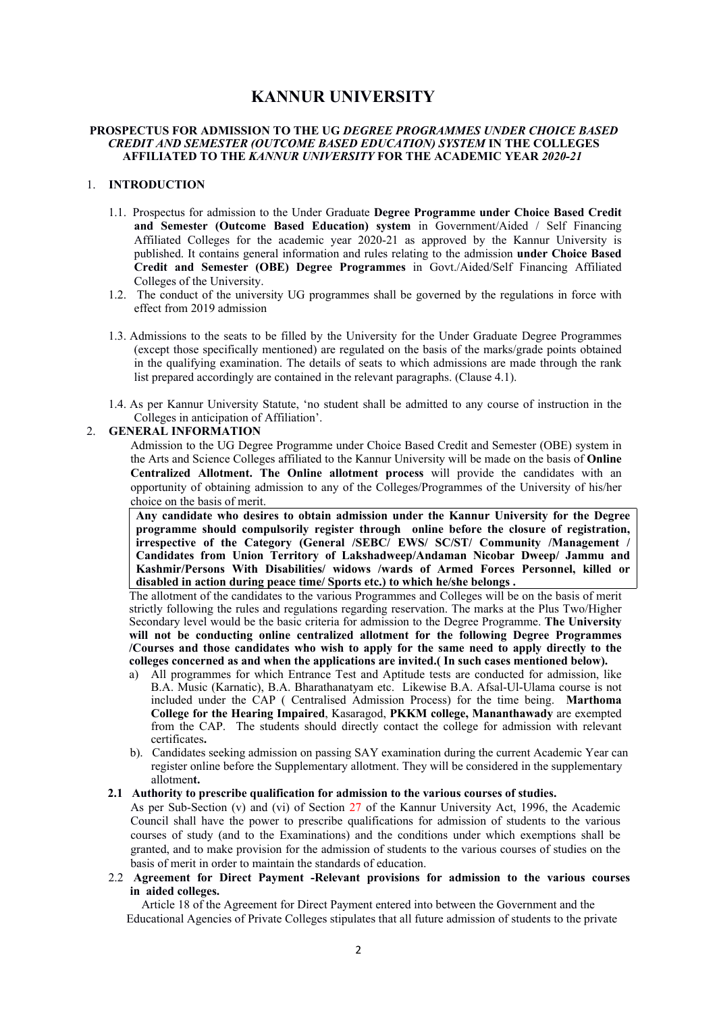# **KANNUR UNIVERSITY**

### **PROSPECTUS FOR ADMISSION TO THE UG** *DEGREE PROGRAMMES UNDER CHOICE BASED CREDIT AND SEMESTER (OUTCOME BASED EDUCATION) SYSTEM* **IN THE COLLEGES AFFILIATED TO THE** *KANNUR UNIVERSITY* **FOR THE ACADEMIC YEAR** *2020-21*

### 1. **INTRODUCTION**

- 1.1. Prospectus for admission to the Under Graduate **Degree Programme under Choice Based Credit and Semester (Outcome Based Education) system** in Government/Aided / Self Financing Affiliated Colleges for the academic year 2020-21 as approved by the Kannur University is published. It contains general information and rules relating to the admission **under Choice Based Credit and Semester (OBE) Degree Programmes** in Govt./Aided/Self Financing Affiliated Colleges of the University.
- 1.2. The conduct of the university UG programmes shall be governed by the regulations in force with effect from 2019 admission
- 1.3. Admissions to the seats to be filled by the University for the Under Graduate Degree Programmes (except those specifically mentioned) are regulated on the basis of the marks/grade points obtained in the qualifying examination. The details of seats to which admissions are made through the rank list prepared accordingly are contained in the relevant paragraphs. (Clause 4.1).
- 1.4. As per Kannur University Statute, 'no student shall be admitted to any course of instruction in the Colleges in anticipation of Affiliation'.

### 2. **GENERAL INFORMATION**

Admission to the UG Degree Programme under Choice Based Credit and Semester (OBE) system in the Arts and Science Colleges affiliated to the Kannur University will be made on the basis of **Online Centralized Allotment. The Online allotment process** will provide the candidates with an opportunity of obtaining admission to any of the Colleges/Programmes of the University of his/her choice on the basis of merit.

**Any candidate who desires to obtain admission under the Kannur University for the Degree programme should compulsorily register through online before the closure of registration, irrespective of the Category (General /SEBC/ EWS/ SC/ST/ Community /Management / Candidates from Union Territory of Lakshadweep/Andaman Nicobar Dweep/ Jammu and Kashmir/Persons With Disabilities/ widows /wards of Armed Forces Personnel, killed or disabled in action during peace time/ Sports etc.) to which he/she belongs .**

The allotment of the candidates to the various Programmes and Colleges will be on the basis of merit strictly following the rules and regulations regarding reservation. The marks at the Plus Two/Higher Secondary level would be the basic criteria for admission to the Degree Programme. **The University will not be conducting online centralized allotment for the following Degree Programmes /Courses and those candidates who wish to apply for the same need to apply directly to the colleges concerned as and when the applications are invited.( In such cases mentioned below).**

- a) All programmes for which Entrance Test and Aptitude tests are conducted for admission, like B.A. Music (Karnatic), B.A. Bharathanatyam etc. Likewise B.A. Afsal-Ul-Ulama course is not included under the CAP ( Centralised Admission Process) for the time being. **Marthoma College for the Hearing Impaired**, Kasaragod, **PKKM college, Mananthawady** are exempted from the CAP. The students should directly contact the college for admission with relevant certificates**.**
- b). Candidates seeking admission on passing SAY examination during the current Academic Year can register online before the Supplementary allotment. They will be considered in the supplementary allotmen**t.**

### **2.1 Authority to prescribe qualification for admission to the various courses of studies.**

As per Sub-Section (v) and (vi) of Section 27 of the Kannur University Act, 1996, the Academic Council shall have the power to prescribe qualifications for admission of students to the various courses of study (and to the Examinations) and the conditions under which exemptions shall be granted, and to make provision for the admission of students to the various courses of studies on the basis of merit in order to maintain the standards of education.

2.2 **Agreement for Direct Payment -Relevant provisions for admission to the various courses in aided colleges.**

 Article 18 of the Agreement for Direct Payment entered into between the Government and the Educational Agencies of Private Colleges stipulates that all future admission of students to the private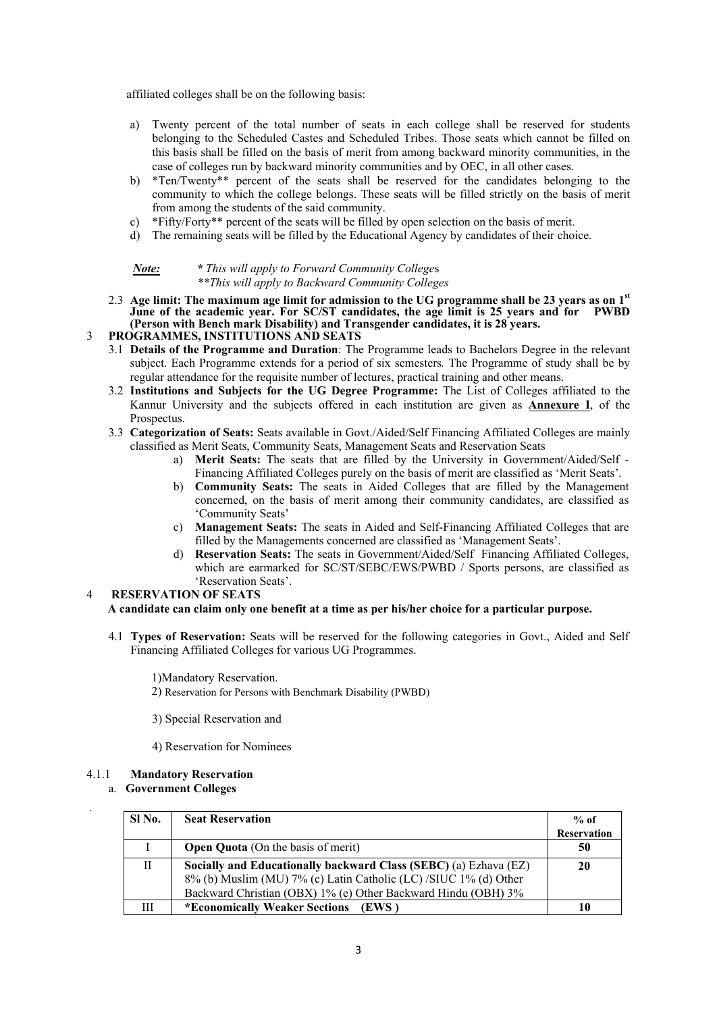affiliated colleges shall be on the following basis:

- a) Twenty percent of the total number of seats in each college shall be reserved for students belonging to the Scheduled Castes and Scheduled Tribes. Those seats which cannot be filled on this basis shall be filled on the basis of merit from among backward minority communities, in the case of colleges run by backward minority communities and by OEC, in all other cases.
- b) \*Ten/Twenty\*\* percent of the seats shall be reserved for the candidates belonging to the community to which the college belongs. These seats will be filled strictly on the basis of merit from among the students of the said community.
- c) \*Fifty/Forty\*\* percent of the seats will be filled by open selection on the basis of merit.
- d) The remaining seats will be filled by the Educational Agency by candidates of their choice.

| Note: | * This will apply to Forward Community Colleges  |
|-------|--------------------------------------------------|
|       | **This will apply to Backward Community Colleges |

2.3 **Age limit: The maximum age limit for admission to the UG programme shall be 23 years as on 1 st June of the academic year. For SC/ST candidates, the age limit is 25 years and for PWBD (Person with Bench mark Disability) and Transgender candidates, it is 28 years.** 

### 3 **PROGRAMMES, INSTITUTIONS AND SEATS**

- 3.1 **Details of the Programme and Duration**: The Programme leads to Bachelors Degree in the relevant subject. Each Programme extends for a period of six semesters*.* The Programme of study shall be by regular attendance for the requisite number of lectures, practical training and other means.
- 3.2 **Institutions and Subjects for the UG Degree Programme:** The List of Colleges affiliated to the Kannur University and the subjects offered in each institution are given as **Annexure I**, of the Prospectus.
- 3.3 **Categorization of Seats:** Seats available in Govt./Aided/Self Financing Affiliated Colleges are mainly classified as Merit Seats, Community Seats, Management Seats and Reservation Seats
	- a) **Merit Seats:** The seats that are filled by the University in Government/Aided/Self Financing Affiliated Colleges purely on the basis of merit are classified as 'Merit Seats'.
	- b) **Community Seats:** The seats in Aided Colleges that are filled by the Management concerned, on the basis of merit among their community candidates, are classified as 'Community Seats'
	- c) **Management Seats:** The seats in Aided and Self-Financing Affiliated Colleges that are filled by the Managements concerned are classified as 'Management Seats'.
	- d) **Reservation Seats:** The seats in Government/Aided/Self Financing Affiliated Colleges, which are earmarked for SC/ST/SEBC/EWS/PWBD / Sports persons, are classified as 'Reservation Seats'.

### 4 **RESERVATION OF SEATS**

# **A candidate can claim only one benefit at a time as per his/her choice for a particular purpose.**

4.1 **Types of Reservation:** Seats will be reserved for the following categories in Govt., Aided and Self Financing Affiliated Colleges for various UG Programmes.

1)Mandatory Reservation.

2) Reservation for Persons with Benchmark Disability (PWBD)

3) Special Reservation and

4) Reservation for Nominees

# 4.1.1 **Mandatory Reservation**

# a. **Government Colleges**

| SI No. | <b>Seat Reservation</b>                                          | $%$ of             |
|--------|------------------------------------------------------------------|--------------------|
|        |                                                                  | <b>Reservation</b> |
|        | <b>Open Quota</b> (On the basis of merit)                        | 50                 |
| Н      | Socially and Educationally backward Class (SEBC) (a) Ezhava (EZ) | 20                 |
|        | 8% (b) Muslim (MU) 7% (c) Latin Catholic (LC) /SIUC 1% (d) Other |                    |
|        | Backward Christian (OBX) 1% (e) Other Backward Hindu (OBH) 3%    |                    |
| Ш      | *Economically Weaker Sections<br>(EWS)                           |                    |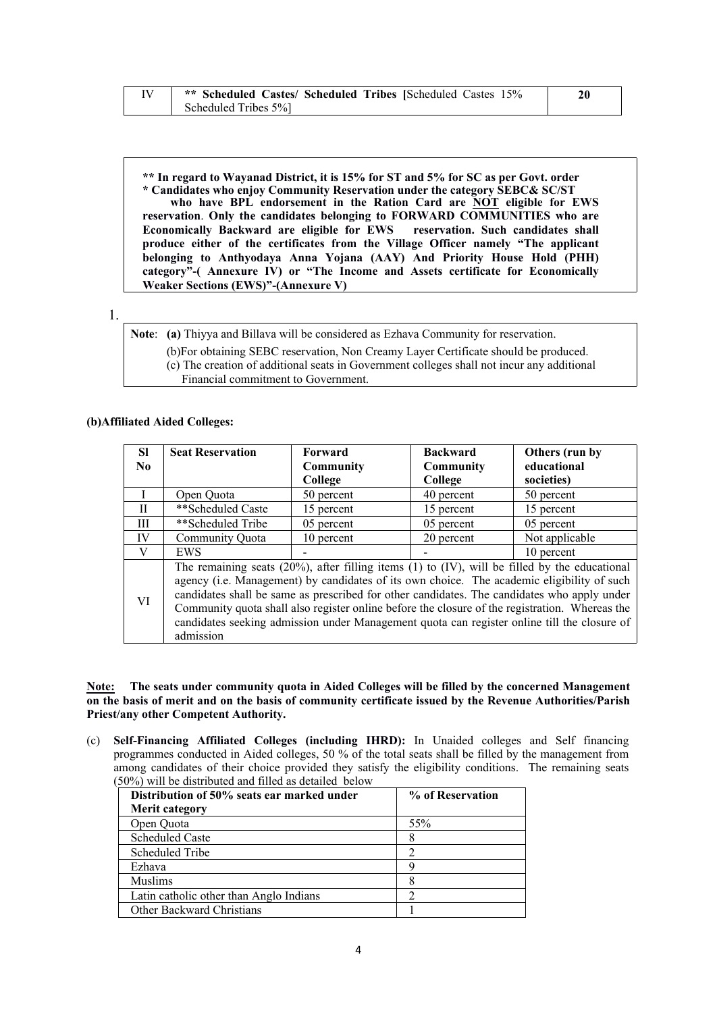| ** Scheduled Castes/ Scheduled Tribes [Scheduled Castes 15% |  |
|-------------------------------------------------------------|--|
| Scheduled Tribes 5%                                         |  |

**\*\* In regard to Wayanad District, it is 15% for ST and 5% for SC as per Govt. order \* Candidates who enjoy Community Reservation under the category SEBC& SC/ST who have BPL endorsement in the Ration Card are NOT eligible for EWS reservation**. **Only the candidates belonging to FORWARD COMMUNITIES who are Economically Backward are eligible for EWS reservation. Such candidates shall produce either of the certificates from the Village Officer namely "The applicant belonging to Anthyodaya Anna Yojana (AAY) And Priority House Hold (PHH) category"-( Annexure IV) or "The Income and Assets certificate for Economically Weaker Sections (EWS)"-(Annexure V)**

**Note**: **(a)** Thiyya and Billava will be considered as Ezhava Community for reservation.

(b)For obtaining SEBC reservation, Non Creamy Layer Certificate should be produced.

(c) The creation of additional seats in Government colleges shall not incur any additional

Financial commitment to Government.

### **(b)Affiliated Aided Colleges:**

| <b>SI</b>    | <b>Seat Reservation</b>                                                                                                                                                                                                                                                                                                                                                                                                                                                                                           | Forward          | <b>Backward</b> | Others (run by |
|--------------|-------------------------------------------------------------------------------------------------------------------------------------------------------------------------------------------------------------------------------------------------------------------------------------------------------------------------------------------------------------------------------------------------------------------------------------------------------------------------------------------------------------------|------------------|-----------------|----------------|
| No.          |                                                                                                                                                                                                                                                                                                                                                                                                                                                                                                                   | <b>Community</b> | Community       | educational    |
|              |                                                                                                                                                                                                                                                                                                                                                                                                                                                                                                                   | College          | College         | societies)     |
|              | Open Ouota                                                                                                                                                                                                                                                                                                                                                                                                                                                                                                        | 50 percent       | 40 percent      | 50 percent     |
| $\mathbf{I}$ | **Scheduled Caste                                                                                                                                                                                                                                                                                                                                                                                                                                                                                                 | 15 percent       | 15 percent      | 15 percent     |
| Ш            | **Scheduled Tribe                                                                                                                                                                                                                                                                                                                                                                                                                                                                                                 | 05 percent       | 05 percent      | 05 percent     |
| IV           | Community Ouota                                                                                                                                                                                                                                                                                                                                                                                                                                                                                                   | 10 percent       | 20 percent      | Not applicable |
| V            | <b>EWS</b>                                                                                                                                                                                                                                                                                                                                                                                                                                                                                                        |                  |                 | 10 percent     |
| VI           | The remaining seats $(20\%)$ , after filling items $(1)$ to $(IV)$ , will be filled by the educational<br>agency (i.e. Management) by candidates of its own choice. The academic eligibility of such<br>candidates shall be same as prescribed for other candidates. The candidates who apply under<br>Community quota shall also register online before the closure of the registration. Whereas the<br>candidates seeking admission under Management quota can register online till the closure of<br>admission |                  |                 |                |

**Note: The seats under community quota in Aided Colleges will be filled by the concerned Management on the basis of merit and on the basis of community certificate issued by the Revenue Authorities/Parish Priest/any other Competent Authority.**

(c) **Self-Financing Affiliated Colleges (including IHRD):** In Unaided colleges and Self financing programmes conducted in Aided colleges, 50 % of the total seats shall be filled by the management from among candidates of their choice provided they satisfy the eligibility conditions. The remaining seats (50%) will be distributed and filled as detailed below

| Distribution of 50% seats ear marked under | % of Reservation |
|--------------------------------------------|------------------|
| <b>Merit category</b>                      |                  |
| Open Quota                                 | 55%              |
| <b>Scheduled Caste</b>                     | 8                |
| Scheduled Tribe                            |                  |
| Ezhava                                     | Q                |
| <b>Muslims</b>                             |                  |
| Latin catholic other than Anglo Indians    |                  |
| Other Backward Christians                  |                  |

<sup>1.</sup>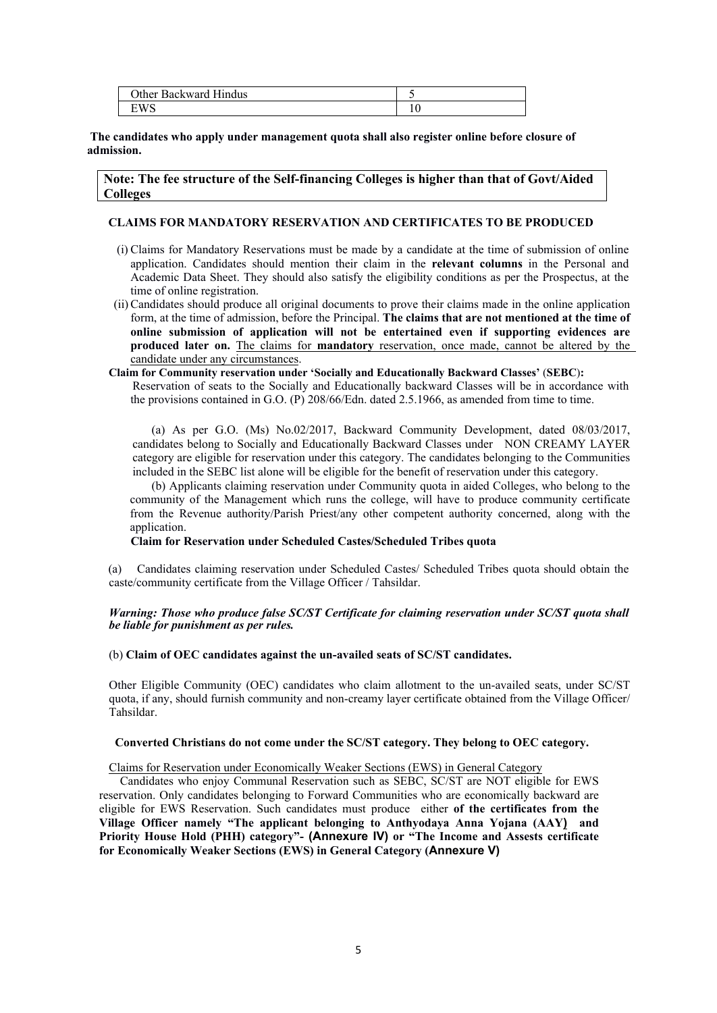| Other <sup>1</sup><br>Hindus<br>Backward |  |
|------------------------------------------|--|
| WS                                       |  |

**The candidates who apply under management quota shall also register online before closure of admission.**

**Note: The fee structure of the Self-financing Colleges is higher than that of Govt/Aided Colleges**

### **CLAIMS FOR MANDATORY RESERVATION AND CERTIFICATES TO BE PRODUCED**

- (i) Claims for Mandatory Reservations must be made by a candidate at the time of submission of online application. Candidates should mention their claim in the **relevant columns** in the Personal and Academic Data Sheet. They should also satisfy the eligibility conditions as per the Prospectus, at the time of online registration.
- (ii)Candidates should produce all original documents to prove their claims made in the online application form, at the time of admission, before the Principal. **The claims that are not mentioned at the time of online submission of application will not be entertained even if supporting evidences are produced later on.** The claims for **mandatory** reservation, once made, cannot be altered by the candidate under any circumstances.
- **Claim for Community reservation under 'Socially and Educationally Backward Classes'** (**SEBC**)**:** Reservation of seats to the Socially and Educationally backward Classes will be in accordance with the provisions contained in G.O. (P) 208/66/Edn. dated 2.5.1966, as amended from time to time.

(a) As per G.O. (Ms) No.02/2017, Backward Community Development, dated 08/03/2017, candidates belong to Socially and Educationally Backward Classes under NON CREAMY LAYER category are eligible for reservation under this category. The candidates belonging to the Communities included in the SEBC list alone will be eligible for the benefit of reservation under this category.

(b) Applicants claiming reservation under Community quota in aided Colleges, who belong to the community of the Management which runs the college, will have to produce community certificate from the Revenue authority/Parish Priest/any other competent authority concerned, along with the application.

**Claim for Reservation under Scheduled Castes/Scheduled Tribes quota** 

(a) Candidates claiming reservation under Scheduled Castes/ Scheduled Tribes quota should obtain the caste/community certificate from the Village Officer / Tahsildar.

### *Warning: Those who produce false SC/ST Certificate for claiming reservation under SC/ST quota shall be liable for punishment as per rules.*

#### (b) **Claim of OEC candidates against the un-availed seats of SC/ST candidates.**

Other Eligible Community (OEC) candidates who claim allotment to the un-availed seats, under SC/ST quota, if any, should furnish community and non-creamy layer certificate obtained from the Village Officer/ Tahsildar.

#### **Converted Christians do not come under the SC/ST category. They belong to OEC category.**

Claims for Reservation under Economically Weaker Sections (EWS) in General Category

Candidates who enjoy Communal Reservation such as SEBC, SC/ST are NOT eligible for EWS reservation. Only candidates belonging to Forward Communities who are economically backward are eligible for EWS Reservation. Such candidates must produce either **of the certificates from the Village Officer namely "The applicant belonging to Anthyodaya Anna Yojana (AAY) and Priority House Hold (PHH) category"- (Annexure IV) or "The Income and Assests certificate for Economically Weaker Sections (EWS) in General Category (Annexure V)**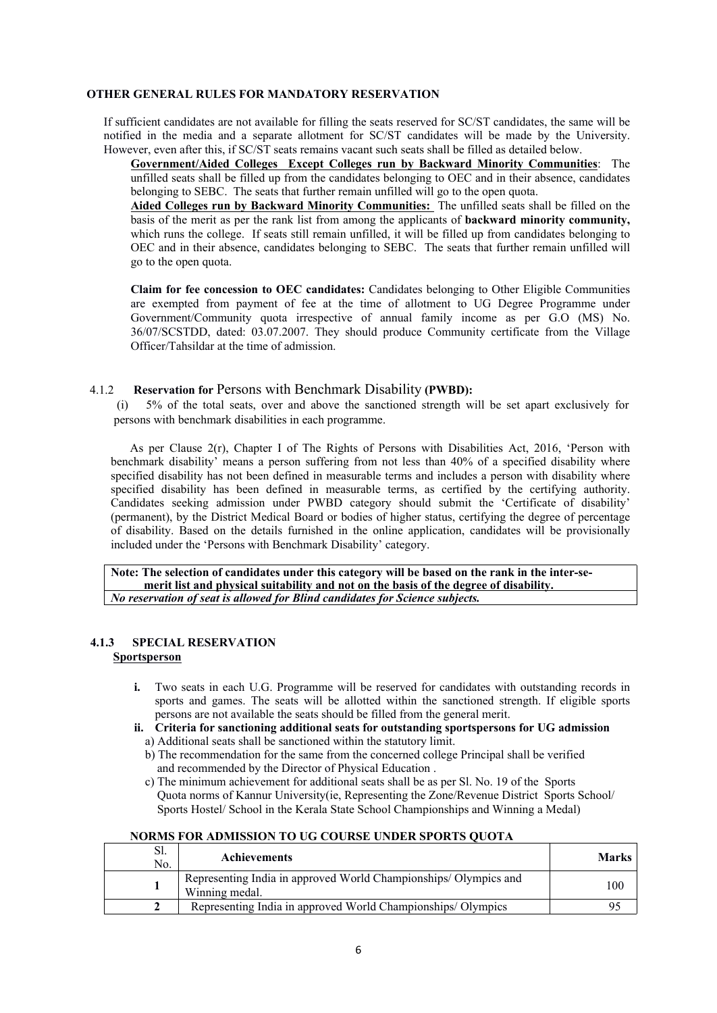### **OTHER GENERAL RULES FOR MANDATORY RESERVATION**

If sufficient candidates are not available for filling the seats reserved for SC/ST candidates, the same will be notified in the media and a separate allotment for SC/ST candidates will be made by the University. However, even after this, if SC/ST seats remains vacant such seats shall be filled as detailed below.

**Government/Aided Colleges Except Colleges run by Backward Minority Communities**: The unfilled seats shall be filled up from the candidates belonging to OEC and in their absence, candidates belonging to SEBC. The seats that further remain unfilled will go to the open quota.

**Aided Colleges run by Backward Minority Communities:** The unfilled seats shall be filled on the basis of the merit as per the rank list from among the applicants of **backward minority community,** which runs the college. If seats still remain unfilled, it will be filled up from candidates belonging to OEC and in their absence, candidates belonging to SEBC. The seats that further remain unfilled will go to the open quota.

**Claim for fee concession to OEC candidates:** Candidates belonging to Other Eligible Communities are exempted from payment of fee at the time of allotment to UG Degree Programme under Government/Community quota irrespective of annual family income as per G.O (MS) No. 36/07/SCSTDD, dated: 03.07.2007. They should produce Community certificate from the Village Officer/Tahsildar at the time of admission.

### 4.1.2 **Reservation for** Persons with Benchmark Disability **(PWBD):**

5% of the total seats, over and above the sanctioned strength will be set apart exclusively for persons with benchmark disabilities in each programme.

As per Clause 2(r), Chapter I of The Rights of Persons with Disabilities Act, 2016, 'Person with benchmark disability' means a person suffering from not less than 40% of a specified disability where specified disability has not been defined in measurable terms and includes a person with disability where specified disability has been defined in measurable terms, as certified by the certifying authority. Candidates seeking admission under PWBD category should submit the 'Certificate of disability' (permanent), by the District Medical Board or bodies of higher status, certifying the degree of percentage of disability. Based on the details furnished in the online application, candidates will be provisionally included under the 'Persons with Benchmark Disability' category.

**Note: The selection of candidates under this category will be based on the rank in the inter-se merit list and physical suitability and not on the basis of the degree of disability.** *No reservation of seat is allowed for Blind candidates for Science subjects.*

### **4.1.3 SPECIAL RESERVATION Sportsperson**

- **i.** Two seats in each U.G. Programme will be reserved for candidates with outstanding records in sports and games. The seats will be allotted within the sanctioned strength. If eligible sports persons are not available the seats should be filled from the general merit.
- **ii. Criteria for sanctioning additional seats for outstanding sportspersons for UG admission**  a) Additional seats shall be sanctioned within the statutory limit.
	- b) The recommendation for the same from the concerned college Principal shall be verified and recommended by the Director of Physical Education .
	- c) The minimum achievement for additional seats shall be as per Sl. No. 19 of the Sports Quota norms of Kannur University(ie, Representing the Zone/Revenue District Sports School/ Sports Hostel/ School in the Kerala State School Championships and Winning a Medal)

### **NORMS FOR ADMISSION TO UG COURSE UNDER SPORTS QUOTA**

| Sl.<br>No. | <b>Achievements</b>                                                               | <b>Marks</b> |  |
|------------|-----------------------------------------------------------------------------------|--------------|--|
|            | Representing India in approved World Championships/Olympics and<br>Winning medal. | 100          |  |
|            | Representing India in approved World Championships/Olympics                       |              |  |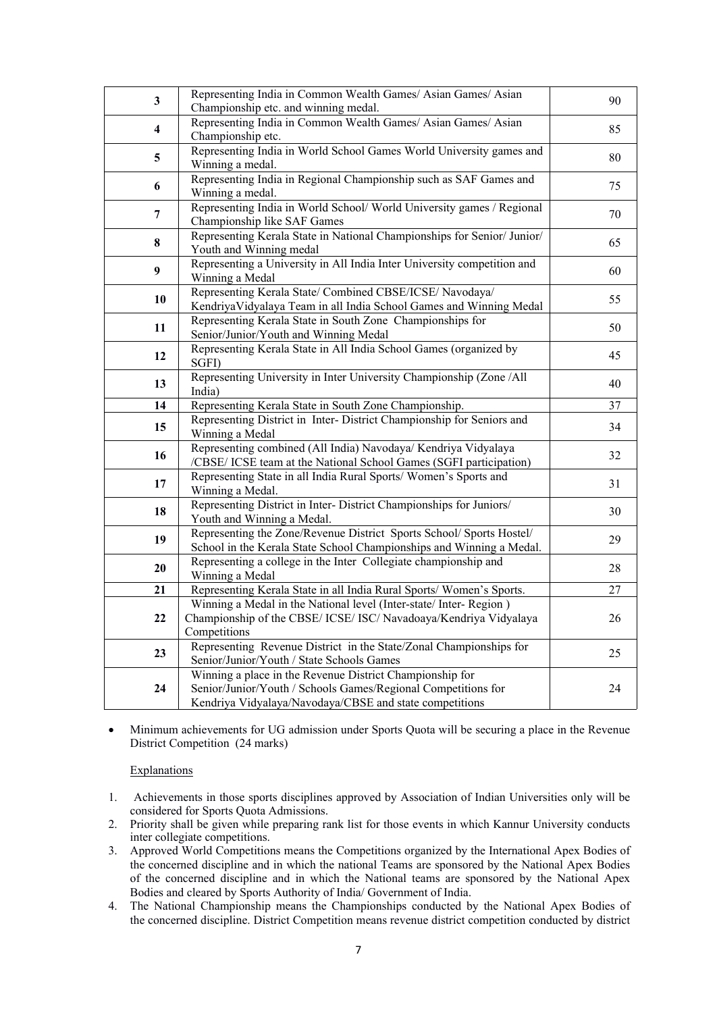| $\mathbf{3}$            | Representing India in Common Wealth Games/ Asian Games/ Asian                                                                                                                        | 90 |
|-------------------------|--------------------------------------------------------------------------------------------------------------------------------------------------------------------------------------|----|
|                         | Championship etc. and winning medal.                                                                                                                                                 |    |
| $\overline{\mathbf{4}}$ | Representing India in Common Wealth Games/ Asian Games/ Asian<br>Championship etc.                                                                                                   | 85 |
| $\overline{\mathbf{5}}$ | Representing India in World School Games World University games and<br>Winning a medal.                                                                                              | 80 |
| 6                       | Representing India in Regional Championship such as SAF Games and<br>Winning a medal.                                                                                                | 75 |
| $\overline{7}$          | Representing India in World School/World University games / Regional<br>Championship like SAF Games                                                                                  | 70 |
| $\pmb{8}$               | Representing Kerala State in National Championships for Senior/ Junior/<br>Youth and Winning medal                                                                                   | 65 |
| $\boldsymbol{9}$        | Representing a University in All India Inter University competition and<br>Winning a Medal                                                                                           | 60 |
| 10                      | Representing Kerala State/ Combined CBSE/ICSE/ Navodaya/<br>Kendriya Vidyalaya Team in all India School Games and Winning Medal                                                      | 55 |
| 11                      | Representing Kerala State in South Zone Championships for<br>Senior/Junior/Youth and Winning Medal                                                                                   | 50 |
| 12                      | Representing Kerala State in All India School Games (organized by<br>SGFI)                                                                                                           | 45 |
| 13                      | Representing University in Inter University Championship (Zone / All<br>India)                                                                                                       | 40 |
| 14                      | Representing Kerala State in South Zone Championship.                                                                                                                                | 37 |
|                         | Representing District in Inter- District Championship for Seniors and                                                                                                                |    |
| 15                      | Winning a Medal                                                                                                                                                                      | 34 |
| 16                      | Representing combined (All India) Navodaya/ Kendriya Vidyalaya<br>/CBSE/ ICSE team at the National School Games (SGFI participation)                                                 | 32 |
| 17                      | Representing State in all India Rural Sports/Women's Sports and<br>Winning a Medal.                                                                                                  | 31 |
| 18                      | Representing District in Inter-District Championships for Juniors/<br>Youth and Winning a Medal.                                                                                     | 30 |
| 19                      | Representing the Zone/Revenue District Sports School/ Sports Hostel/<br>School in the Kerala State School Championships and Winning a Medal.                                         | 29 |
| 20                      | Representing a college in the Inter Collegiate championship and<br>Winning a Medal                                                                                                   | 28 |
| 21                      | Representing Kerala State in all India Rural Sports/Women's Sports.                                                                                                                  | 27 |
|                         | Winning a Medal in the National level (Inter-state/ Inter- Region)                                                                                                                   |    |
| 22                      | Championship of the CBSE/ ICSE/ ISC/ Navadoaya/Kendriya Vidyalaya<br>Competitions                                                                                                    | 26 |
| 23                      | Representing Revenue District in the State/Zonal Championships for<br>Senior/Junior/Youth / State Schools Games                                                                      | 25 |
| 24                      | Winning a place in the Revenue District Championship for<br>Senior/Junior/Youth / Schools Games/Regional Competitions for<br>Kendriya Vidyalaya/Navodaya/CBSE and state competitions | 24 |

 Minimum achievements for UG admission under Sports Quota will be securing a place in the Revenue District Competition (24 marks)

### **Explanations**

- 1. Achievements in those sports disciplines approved by Association of Indian Universities only will be considered for Sports Quota Admissions.
- 2. Priority shall be given while preparing rank list for those events in which Kannur University conducts inter collegiate competitions.
- 3. Approved World Competitions means the Competitions organized by the International Apex Bodies of the concerned discipline and in which the national Teams are sponsored by the National Apex Bodies of the concerned discipline and in which the National teams are sponsored by the National Apex Bodies and cleared by Sports Authority of India/ Government of India.
- 4. The National Championship means the Championships conducted by the National Apex Bodies of the concerned discipline. District Competition means revenue district competition conducted by district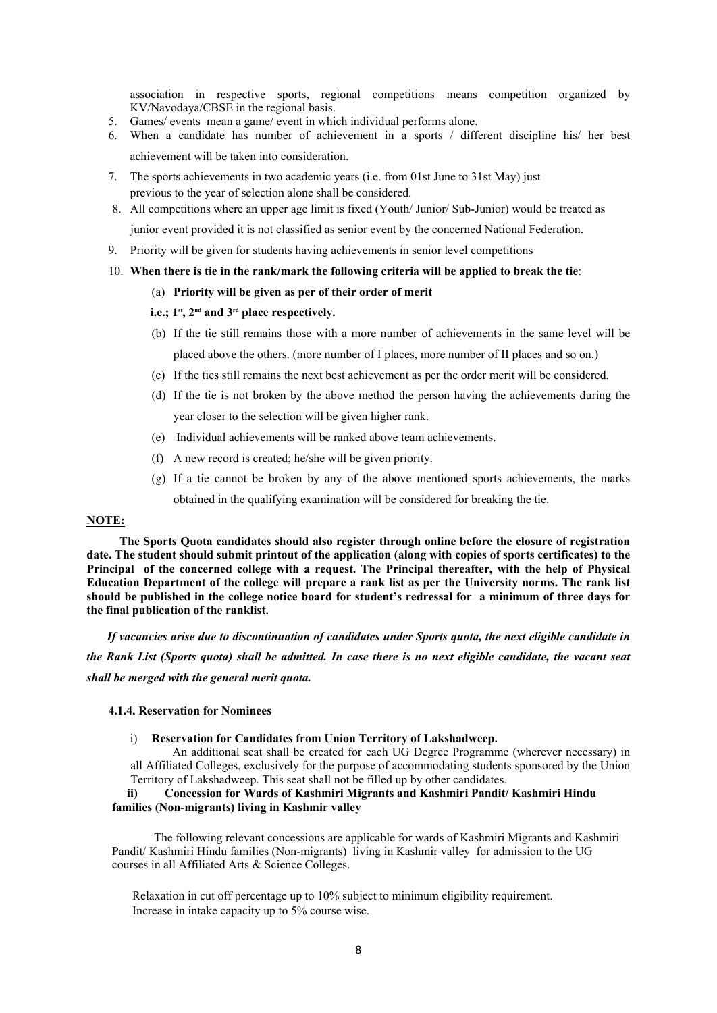association in respective sports, regional competitions means competition organized by KV/Navodaya/CBSE in the regional basis.

- 5. Games/ events mean a game/ event in which individual performs alone.
- 6. When a candidate has number of achievement in a sports / different discipline his/ her best achievement will be taken into consideration.
- 7. The sports achievements in two academic years (i.e. from 01st June to 31st May) just previous to the year of selection alone shall be considered.
- 8. All competitions where an upper age limit is fixed (Youth/ Junior/ Sub-Junior) would be treated as junior event provided it is not classified as senior event by the concerned National Federation.
- 9. Priority will be given for students having achievements in senior level competitions
- 10. **When there is tie in the rank/mark the following criteria will be applied to break the tie**:
	- (a) **Priority will be given as per of their order of merit**

### **i.e.; 1st, 2nd and 3rd place respectively.**

- (b) If the tie still remains those with a more number of achievements in the same level will be placed above the others. (more number of I places, more number of II places and so on.)
- (c) If the ties still remains the next best achievement as per the order merit will be considered.
- (d) If the tie is not broken by the above method the person having the achievements during the year closer to the selection will be given higher rank.
- (e) Individual achievements will be ranked above team achievements.
- (f) A new record is created; he/she will be given priority.
- (g) If a tie cannot be broken by any of the above mentioned sports achievements, the marks obtained in the qualifying examination will be considered for breaking the tie.

### **NOTE:**

**The Sports Quota candidates should also register through online before the closure of registration date. The student should submit printout of the application (along with copies of sports certificates) to the Principal of the concerned college with a request. The Principal thereafter, with the help of Physical Education Department of the college will prepare a rank list as per the University norms. The rank list should be published in the college notice board for student's redressal for a minimum of three days for the final publication of the ranklist.** 

*If vacancies arise due to discontinuation of candidates under Sports quota, the next eligible candidate in the Rank List (Sports quota) shall be admitted. In case there is no next eligible candidate, the vacant seat shall be merged with the general merit quota.*

### **4.1.4. Reservation for Nominees**

i) **Reservation for Candidates from Union Territory of Lakshadweep.** 

An additional seat shall be created for each UG Degree Programme (wherever necessary) in all Affiliated Colleges, exclusively for the purpose of accommodating students sponsored by the Union Territory of Lakshadweep. This seat shall not be filled up by other candidates.

### **ii) Concession for Wards of Kashmiri Migrants and Kashmiri Pandit/ Kashmiri Hindu families (Non-migrants) living in Kashmir valley**

The following relevant concessions are applicable for wards of Kashmiri Migrants and Kashmiri Pandit/ Kashmiri Hindu families (Non-migrants) living in Kashmir valley for admission to the UG courses in all Affiliated Arts & Science Colleges.

Relaxation in cut off percentage up to 10% subject to minimum eligibility requirement. Increase in intake capacity up to 5% course wise.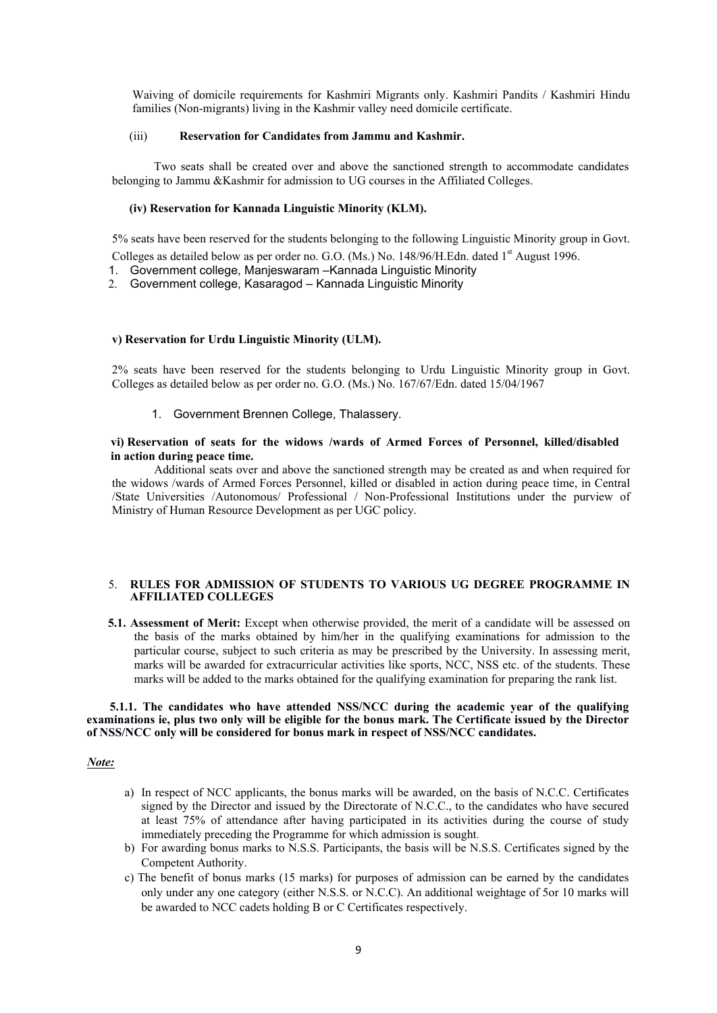Waiving of domicile requirements for Kashmiri Migrants only. Kashmiri Pandits / Kashmiri Hindu families (Non-migrants) living in the Kashmir valley need domicile certificate.

### (iii) **Reservation for Candidates from Jammu and Kashmir.**

Two seats shall be created over and above the sanctioned strength to accommodate candidates belonging to Jammu &Kashmir for admission to UG courses in the Affiliated Colleges.

#### **(iv) Reservation for Kannada Linguistic Minority (KLM).**

5% seats have been reserved for the students belonging to the following Linguistic Minority group in Govt. Colleges as detailed below as per order no. G.O. (Ms.) No.  $148/96/H$ . Edn. dated  $1<sup>st</sup>$  August 1996.

- 1. Government college, Manjeswaram –Kannada Linguistic Minority
- 2. Government college, Kasaragod Kannada Linguistic Minority

### **v) Reservation for Urdu Linguistic Minority (ULM).**

2% seats have been reserved for the students belonging to Urdu Linguistic Minority group in Govt. Colleges as detailed below as per order no. G.O. (Ms.) No. 167/67/Edn. dated 15/04/1967

1. Government Brennen College, Thalassery.

#### **vi) Reservation of seats for the widows /wards of Armed Forces of Personnel, killed/disabled in action during peace time.**

Additional seats over and above the sanctioned strength may be created as and when required for the widows /wards of Armed Forces Personnel, killed or disabled in action during peace time, in Central /State Universities /Autonomous/ Professional / Non-Professional Institutions under the purview of Ministry of Human Resource Development as per UGC policy.

#### 5. **RULES FOR ADMISSION OF STUDENTS TO VARIOUS UG DEGREE PROGRAMME IN AFFILIATED COLLEGES**

**5.1. Assessment of Merit:** Except when otherwise provided, the merit of a candidate will be assessed on the basis of the marks obtained by him/her in the qualifying examinations for admission to the particular course, subject to such criteria as may be prescribed by the University. In assessing merit, marks will be awarded for extracurricular activities like sports, NCC, NSS etc. of the students. These marks will be added to the marks obtained for the qualifying examination for preparing the rank list.

### **5.1.1. The candidates who have attended NSS/NCC during the academic year of the qualifying examinations ie, plus two only will be eligible for the bonus mark. The Certificate issued by the Director of NSS/NCC only will be considered for bonus mark in respect of NSS/NCC candidates.**

### *Note:*

- a) In respect of NCC applicants, the bonus marks will be awarded, on the basis of N.C.C. Certificates signed by the Director and issued by the Directorate of N.C.C., to the candidates who have secured at least 75% of attendance after having participated in its activities during the course of study immediately preceding the Programme for which admission is sought. b) For awarding bonus marks to N.S.S. Participants, the basis will be N.S.S. Certificates signed by the
- Competent Authority.
- c) The benefit of bonus marks (15 marks) for purposes of admission can be earned by the candidates only under any one category (either N.S.S. or N.C.C). An additional weightage of 5or 10 marks will be awarded to NCC cadets holding B or C Certificates respectively.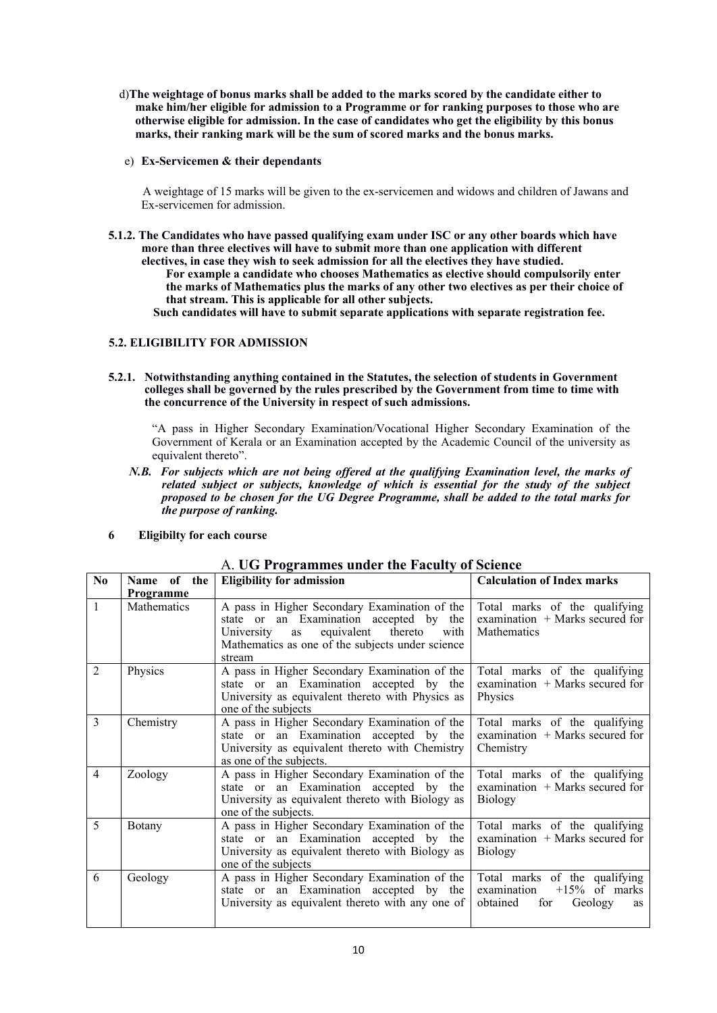- d)**The weightage of bonus marks shall be added to the marks scored by the candidate either to make him/her eligible for admission to a Programme or for ranking purposes to those who are otherwise eligible for admission. In the case of candidates who get the eligibility by this bonus marks, their ranking mark will be the sum of scored marks and the bonus marks.**
- e) **Ex-Servicemen & their dependants**

A weightage of 15 marks will be given to the ex-servicemen and widows and children of Jawans and Ex-servicemen for admission.

**5.1.2. The Candidates who have passed qualifying exam under ISC or any other boards which have more than three electives will have to submit more than one application with different electives, in case they wish to seek admission for all the electives they have studied. For example a candidate who chooses Mathematics as elective should compulsorily enter the marks of Mathematics plus the marks of any other two electives as per their choice of that stream. This is applicable for all other subjects.**

**Such candidates will have to submit separate applications with separate registration fee.**

### **5.2. ELIGIBILITY FOR ADMISSION**

**5.2.1. Notwithstanding anything contained in the Statutes, the selection of students in Government colleges shall be governed by the rules prescribed by the Government from time to time with the concurrence of the University in respect of such admissions.** 

"A pass in Higher Secondary Examination/Vocational Higher Secondary Examination of the Government of Kerala or an Examination accepted by the Academic Council of the university as equivalent thereto".

*N.B. For subjects which are not being offered at the qualifying Examination level, the marks of related subject or subjects, knowledge of which is essential for the study of the subject proposed to be chosen for the UG Degree Programme, shall be added to the total marks for the purpose of ranking.*

|  | <b>Eligibilty for each course</b> |  |
|--|-----------------------------------|--|
|--|-----------------------------------|--|

| N <sub>0</sub> | Name of the      | <b>Eligibility for admission</b>                                                                                                                                                                   | <b>Calculation of Index marks</b>                                                                    |
|----------------|------------------|----------------------------------------------------------------------------------------------------------------------------------------------------------------------------------------------------|------------------------------------------------------------------------------------------------------|
|                | <b>Programme</b> |                                                                                                                                                                                                    |                                                                                                      |
| $\mathbf{1}$   | Mathematics      | A pass in Higher Secondary Examination of the<br>state or an Examination accepted by the<br>University as equivalent thereto<br>with<br>Mathematics as one of the subjects under science<br>stream | Total marks of the qualifying<br>examination + Marks secured for<br>Mathematics                      |
| 2              | Physics          | A pass in Higher Secondary Examination of the<br>state or an Examination accepted by the<br>University as equivalent thereto with Physics as<br>one of the subjects                                | Total marks of the qualifying<br>examination + Marks secured for<br>Physics                          |
| 3              | Chemistry        | A pass in Higher Secondary Examination of the<br>state or an Examination accepted by the<br>University as equivalent thereto with Chemistry<br>as one of the subjects.                             | Total marks of the qualifying<br>examination $+$ Marks secured for<br>Chemistry                      |
| 4              | Zoology          | A pass in Higher Secondary Examination of the<br>state or an Examination accepted by the<br>University as equivalent thereto with Biology as<br>one of the subjects.                               | Total marks of the qualifying<br>examination $+$ Marks secured for<br><b>Biology</b>                 |
| 5              | Botany           | A pass in Higher Secondary Examination of the<br>state or an Examination accepted by the<br>University as equivalent thereto with Biology as<br>one of the subjects                                | Total marks of the qualifying<br>examination $+$ Marks secured for<br><b>Biology</b>                 |
| 6              | Geology          | A pass in Higher Secondary Examination of the<br>state or an Examination accepted by the<br>University as equivalent thereto with any one of                                                       | Total marks of the qualifying<br>examination<br>$+15\%$ of marks<br>obtained<br>for<br>Geology<br>as |

# A. **UG Programmes under the Faculty of Science**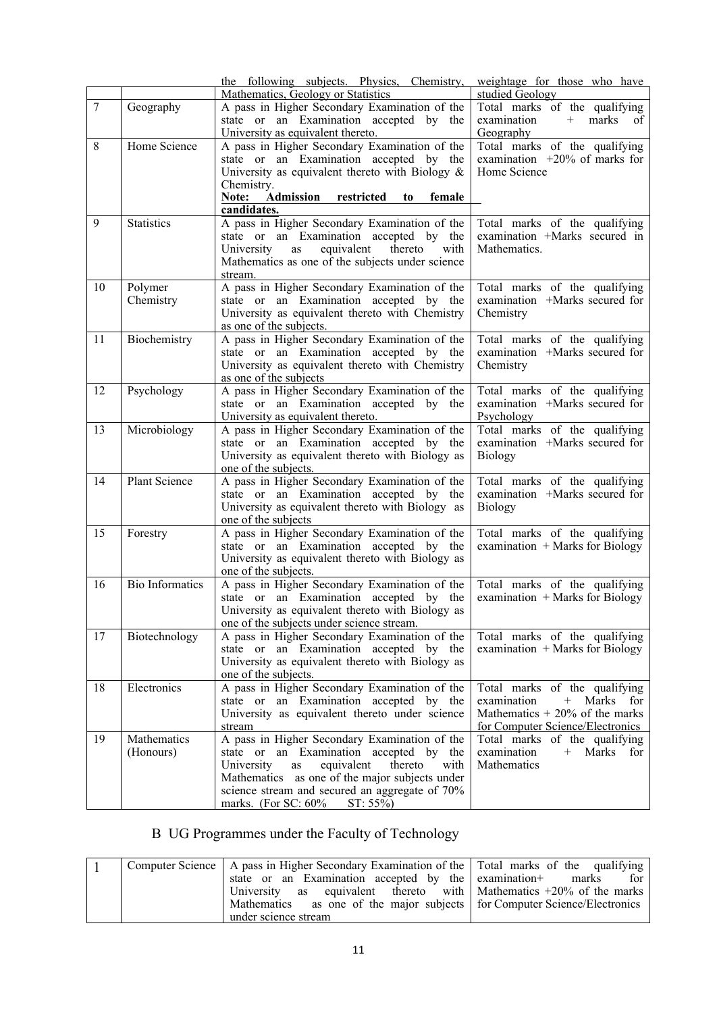|        |                          | the following subjects. Physics, Chemistry,<br>Mathematics, Geology or Statistics                                                                                                                                                                                                           | weightage for those who have<br>studied Geology                                                                                     |
|--------|--------------------------|---------------------------------------------------------------------------------------------------------------------------------------------------------------------------------------------------------------------------------------------------------------------------------------------|-------------------------------------------------------------------------------------------------------------------------------------|
| $\tau$ | Geography                | A pass in Higher Secondary Examination of the<br>state or an Examination accepted by the<br>University as equivalent thereto.                                                                                                                                                               | Total marks of the qualifying<br>examination<br>+ marks of<br>Geography                                                             |
| 8      | Home Science             | A pass in Higher Secondary Examination of the<br>state or an Examination accepted by the<br>University as equivalent thereto with Biology $\&$<br>Chemistry.<br>Note: Admission<br>restricted<br>female<br>to<br>candidates.                                                                | Total marks of the qualifying<br>examination $+20\%$ of marks for<br>Home Science                                                   |
| 9      | <b>Statistics</b>        | A pass in Higher Secondary Examination of the<br>state or an Examination accepted by the<br>equivalent<br>University<br>thereto<br>as<br>with<br>Mathematics as one of the subjects under science<br>stream.                                                                                | Total marks of the qualifying<br>examination +Marks secured in<br>Mathematics.                                                      |
| 10     | Polymer<br>Chemistry     | A pass in Higher Secondary Examination of the<br>state or an Examination accepted by the<br>University as equivalent thereto with Chemistry<br>as one of the subjects.                                                                                                                      | Total marks of the qualifying<br>examination +Marks secured for<br>Chemistry                                                        |
| 11     | Biochemistry             | A pass in Higher Secondary Examination of the<br>state or an Examination accepted by the<br>University as equivalent thereto with Chemistry<br>as one of the subjects                                                                                                                       | Total marks of the qualifying<br>examination +Marks secured for<br>Chemistry                                                        |
| 12     | Psychology               | A pass in Higher Secondary Examination of the<br>state or an Examination accepted by the<br>University as equivalent thereto.                                                                                                                                                               | Total marks of the qualifying<br>examination +Marks secured for<br>Psychology                                                       |
| 13     | Microbiology             | A pass in Higher Secondary Examination of the<br>state or an Examination accepted by the<br>University as equivalent thereto with Biology as<br>one of the subjects.                                                                                                                        | Total marks of the qualifying<br>examination +Marks secured for<br>Biology                                                          |
| 14     | Plant Science            | A pass in Higher Secondary Examination of the<br>state or an Examination accepted by the<br>University as equivalent thereto with Biology as<br>one of the subjects                                                                                                                         | Total marks of the qualifying<br>examination +Marks secured for<br>Biology                                                          |
| 15     | Forestry                 | A pass in Higher Secondary Examination of the<br>state or an Examination accepted by the<br>University as equivalent thereto with Biology as<br>one of the subjects.                                                                                                                        | Total marks of the qualifying<br>examination + Marks for Biology                                                                    |
| 16     | <b>Bio Informatics</b>   | A pass in Higher Secondary Examination of the<br>state or an Examination accepted by the<br>University as equivalent thereto with Biology as<br>one of the subjects under science stream.                                                                                                   | Total marks of the qualifying<br>examination $+$ Marks for Biology                                                                  |
| 17     | Biotechnology            | A pass in Higher Secondary Examination of the<br>state or an Examination accepted by the<br>University as equivalent thereto with Biology as<br>one of the subjects.                                                                                                                        | Total marks of the qualifying<br>examination $+$ Marks for Biology                                                                  |
| 18     | Electronics              | A pass in Higher Secondary Examination of the<br>state or an Examination accepted by the<br>University as equivalent thereto under science<br>stream                                                                                                                                        | Total marks of the qualifying<br>examination<br>+ Marks for<br>Mathematics $+20\%$ of the marks<br>for Computer Science/Electronics |
| 19     | Mathematics<br>(Honours) | A pass in Higher Secondary Examination of the<br>state or an Examination accepted by the<br>University<br>equivalent<br>thereto<br>with<br>as<br>Mathematics as one of the major subjects under<br>science stream and secured an aggregate of 70%<br>marks. (For SC: $60\%$ )<br>$ST: 55\%$ | Total marks of the qualifying<br>examination<br>+ Marks for<br>Mathematics                                                          |

# B UG Programmes under the Faculty of Technology

|  | Computer Science   A pass in Higher Secondary Examination of the   Total marks of the qualifying |     |
|--|--------------------------------------------------------------------------------------------------|-----|
|  | state or an Examination accepted by the examination + marks                                      | for |
|  | University as equivalent thereto with Mathematics $+20\%$ of the marks                           |     |
|  | Mathematics as one of the major subjects for Computer Science/Electronics                        |     |
|  | under science stream                                                                             |     |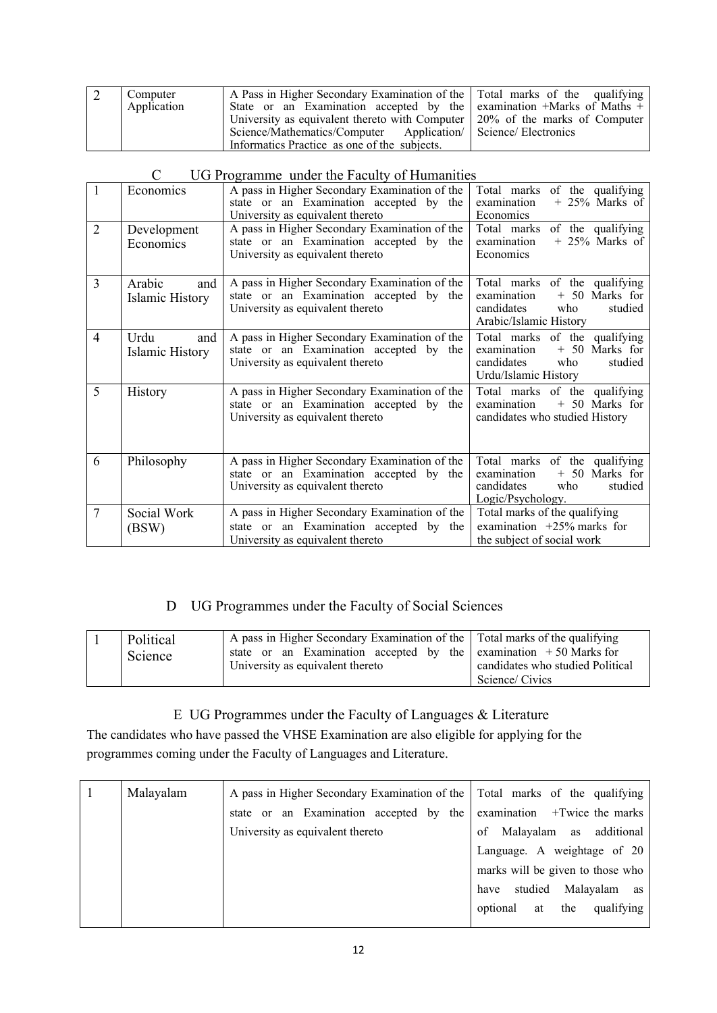| A Pass in Higher Secondary Examination of the Total marks of the qualifying<br>Computer<br>State or an Examination accepted by the examination +Marks of Maths +<br>Application<br>University as equivalent thereto with Computer $\vert$ 20% of the marks of Computer<br>Science/Mathematics/Computer Application/ Science/ Electronics<br>Informatics Practice as one of the subjects. |  |
|------------------------------------------------------------------------------------------------------------------------------------------------------------------------------------------------------------------------------------------------------------------------------------------------------------------------------------------------------------------------------------------|--|
|------------------------------------------------------------------------------------------------------------------------------------------------------------------------------------------------------------------------------------------------------------------------------------------------------------------------------------------------------------------------------------------|--|

| 1              | Economics                        | A pass in Higher Secondary Examination of the<br>state or an Examination accepted by the<br>University as equivalent thereto | Total marks of the qualifying<br>$+25\%$ Marks of<br>examination<br>Economics                                              |
|----------------|----------------------------------|------------------------------------------------------------------------------------------------------------------------------|----------------------------------------------------------------------------------------------------------------------------|
| $\overline{2}$ | Development<br>Economics         | A pass in Higher Secondary Examination of the<br>state or an Examination accepted by the<br>University as equivalent thereto | Total marks of the qualifying<br>$+25\%$ Marks of<br>examination<br>Economics                                              |
| $\overline{3}$ | Arabic<br>and<br>Islamic History | A pass in Higher Secondary Examination of the<br>state or an Examination accepted by the<br>University as equivalent thereto | Total marks of the qualifying<br>examination<br>$+ 50$ Marks for<br>candidates<br>who<br>studied<br>Arabic/Islamic History |
| $\overline{4}$ | Urdu<br>and<br>Islamic History   | A pass in Higher Secondary Examination of the<br>state or an Examination accepted by the<br>University as equivalent thereto | Total marks of the qualifying<br>+ 50 Marks for<br>examination<br>studied<br>candidates<br>who<br>Urdu/Islamic History     |
| 5              | <b>History</b>                   | A pass in Higher Secondary Examination of the<br>state or an Examination accepted by the<br>University as equivalent thereto | Total marks of the qualifying<br>examination<br>$+ 50$ Marks for<br>candidates who studied History                         |
| 6              | Philosophy                       | A pass in Higher Secondary Examination of the<br>state or an Examination accepted by the<br>University as equivalent thereto | Total marks of the qualifying<br>+ 50 Marks for<br>examination<br>candidates<br>studied<br>who<br>Logic/Psychology.        |
| $\overline{7}$ | Social Work<br>(BSW)             | A pass in Higher Secondary Examination of the<br>state or an Examination accepted by the<br>University as equivalent thereto | Total marks of the qualifying<br>examination $+25\%$ marks for<br>the subject of social work                               |

# C UG Programme under the Faculty of Humanities

# D UG Programmes under the Faculty of Social Sciences

| Political<br>Science | A pass in Higher Secondary Examination of the Total marks of the qualifying<br>state or an Examination accepted by the examination $+50$ Marks for<br>University as equivalent thereto | candidates who studied Political |
|----------------------|----------------------------------------------------------------------------------------------------------------------------------------------------------------------------------------|----------------------------------|
|                      |                                                                                                                                                                                        | Science/Civics                   |

# E UG Programmes under the Faculty of Languages & Literature

The candidates who have passed the VHSE Examination are also eligible for applying for the programmes coming under the Faculty of Languages and Literature.

| Malayalam | A pass in Higher Secondary Examination of the Total marks of the qualifying |                                     |  |
|-----------|-----------------------------------------------------------------------------|-------------------------------------|--|
|           | an Examination accepted by<br>the<br>state<br><sub>or</sub>                 | examination<br>+Twice the marks     |  |
|           | University as equivalent thereto                                            | Malayalam<br>additional<br>of<br>as |  |
|           |                                                                             | Language. A weightage of 20         |  |
|           |                                                                             | marks will be given to those who    |  |
|           |                                                                             | studied<br>Malayalam<br>have<br>as  |  |
|           |                                                                             | qualifying<br>the<br>optional<br>at |  |
|           |                                                                             |                                     |  |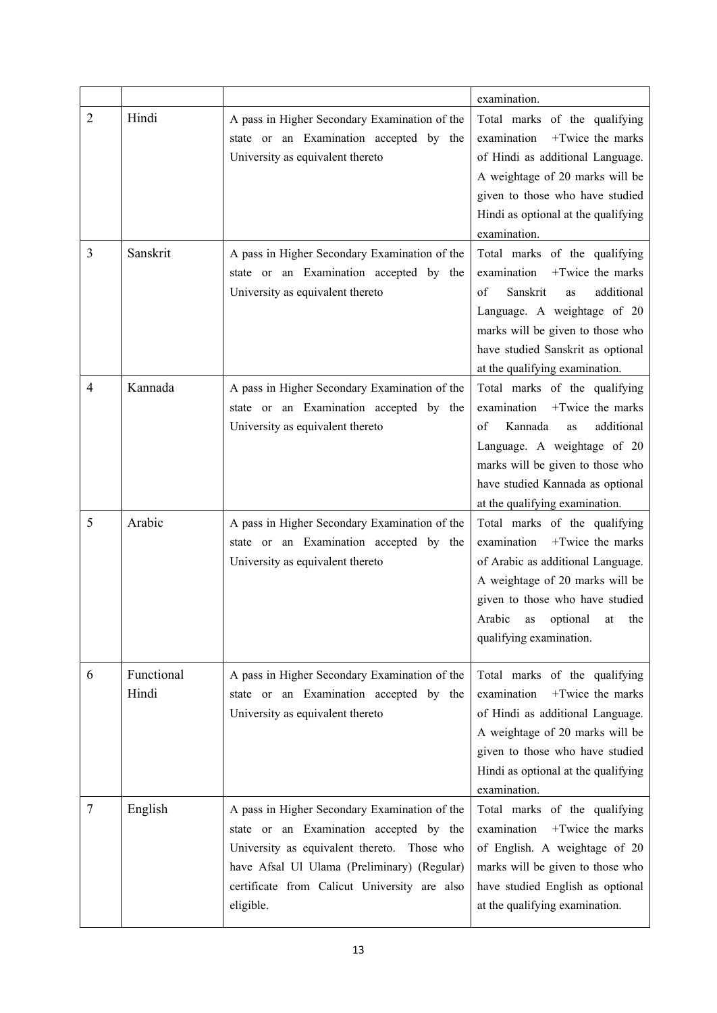|                |                     |                                                                                                                                                                                                                                                     | examination.                                                                                                                                                                                                                                     |
|----------------|---------------------|-----------------------------------------------------------------------------------------------------------------------------------------------------------------------------------------------------------------------------------------------------|--------------------------------------------------------------------------------------------------------------------------------------------------------------------------------------------------------------------------------------------------|
| $\overline{2}$ | Hindi               | A pass in Higher Secondary Examination of the<br>state or an Examination accepted by the<br>University as equivalent thereto                                                                                                                        | Total marks of the qualifying<br>+Twice the marks<br>examination<br>of Hindi as additional Language.<br>A weightage of 20 marks will be<br>given to those who have studied<br>Hindi as optional at the qualifying<br>examination.                |
| 3              | Sanskrit            | A pass in Higher Secondary Examination of the<br>state or an Examination accepted by the<br>University as equivalent thereto                                                                                                                        | Total marks of the qualifying<br>+Twice the marks<br>examination<br>additional<br>of<br>Sanskrit<br>as<br>Language. A weightage of 20<br>marks will be given to those who<br>have studied Sanskrit as optional<br>at the qualifying examination. |
| 4              | Kannada             | A pass in Higher Secondary Examination of the<br>state or an Examination accepted by the<br>University as equivalent thereto                                                                                                                        | Total marks of the qualifying<br>examination<br>+Twice the marks<br>additional<br>Kannada<br>of<br>as<br>Language. A weightage of 20<br>marks will be given to those who<br>have studied Kannada as optional<br>at the qualifying examination.   |
| 5              | Arabic              | A pass in Higher Secondary Examination of the<br>state or an Examination accepted by the<br>University as equivalent thereto                                                                                                                        | Total marks of the qualifying<br>+Twice the marks<br>examination<br>of Arabic as additional Language.<br>A weightage of 20 marks will be<br>given to those who have studied<br>Arabic<br>optional<br>the<br>as<br>at<br>qualifying examination.  |
| 6              | Functional<br>Hindi | A pass in Higher Secondary Examination of the<br>state or an Examination accepted by the<br>University as equivalent thereto                                                                                                                        | Total marks of the qualifying<br>+Twice the marks<br>examination<br>of Hindi as additional Language.<br>A weightage of 20 marks will be<br>given to those who have studied<br>Hindi as optional at the qualifying<br>examination.                |
| 7              | English             | A pass in Higher Secondary Examination of the<br>state or an Examination accepted by the<br>University as equivalent thereto. Those who<br>have Afsal Ul Ulama (Preliminary) (Regular)<br>certificate from Calicut University are also<br>eligible. | Total marks of the qualifying<br>+Twice the marks<br>examination<br>of English. A weightage of 20<br>marks will be given to those who<br>have studied English as optional<br>at the qualifying examination.                                      |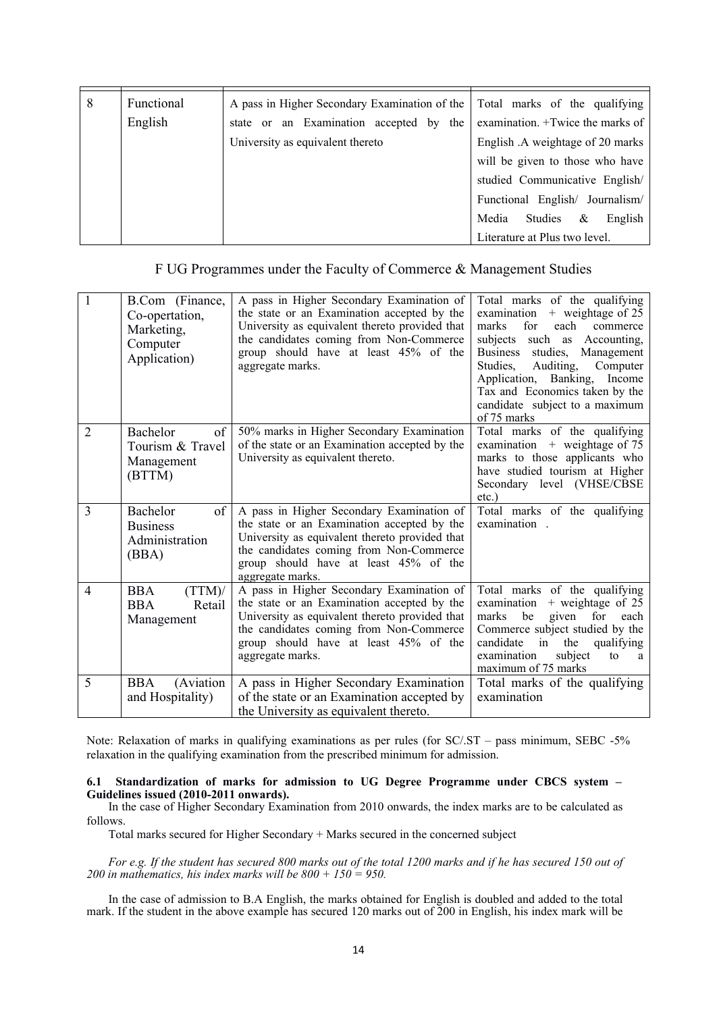| 8 | Functional | A pass in Higher Secondary Examination of the Total marks of the qualifying |                                          |
|---|------------|-----------------------------------------------------------------------------|------------------------------------------|
|   | English    | state or an Examination accepted by the                                     | examination. +Twice the marks of         |
|   |            | University as equivalent thereto                                            | English .A weightage of 20 marks         |
|   |            |                                                                             | will be given to those who have          |
|   |            |                                                                             | studied Communicative English/           |
|   |            |                                                                             | Functional English/ Journalism/          |
|   |            |                                                                             | Studies<br>Media<br>$\propto$<br>English |
|   |            |                                                                             | Literature at Plus two level.            |

### F UG Programmes under the Faculty of Commerce & Management Studies

| $\mathbf{1}$   | B.Com (Finance,<br>Co-opertation,<br>Marketing,<br>Computer<br>Application) | A pass in Higher Secondary Examination of<br>the state or an Examination accepted by the<br>University as equivalent thereto provided that<br>the candidates coming from Non-Commerce<br>group should have at least 45% of the<br>aggregate marks. | Total marks of the qualifying<br>examination + weightage of 25<br>marks<br>for<br>each<br>commerce<br>such as Accounting,<br>subjects<br>studies, Management<br><b>Business</b><br>Auditing,<br>Computer<br>Studies,<br>Application, Banking,<br>Income<br>Tax and Economics taken by the<br>candidate subject to a maximum<br>of 75 marks |
|----------------|-----------------------------------------------------------------------------|----------------------------------------------------------------------------------------------------------------------------------------------------------------------------------------------------------------------------------------------------|--------------------------------------------------------------------------------------------------------------------------------------------------------------------------------------------------------------------------------------------------------------------------------------------------------------------------------------------|
| 2              | Bachelor<br>of<br>Tourism & Travel<br>Management<br>(BTTM)                  | 50% marks in Higher Secondary Examination<br>of the state or an Examination accepted by the<br>University as equivalent thereto.                                                                                                                   | Total marks of the qualifying<br>examination $+$ weightage of 75<br>marks to those applicants who<br>have studied tourism at Higher<br>Secondary level (VHSE/CBSE<br>$etc.$ )                                                                                                                                                              |
| 3              | of<br>Bachelor<br><b>Business</b><br>Administration<br>(BBA)                | A pass in Higher Secondary Examination of<br>the state or an Examination accepted by the<br>University as equivalent thereto provided that<br>the candidates coming from Non-Commerce<br>group should have at least 45% of the<br>aggregate marks. | Total marks of the qualifying<br>examination.                                                                                                                                                                                                                                                                                              |
| $\overline{4}$ | (TTM)<br><b>BBA</b><br><b>BBA</b><br>Retail<br>Management                   | A pass in Higher Secondary Examination of<br>the state or an Examination accepted by the<br>University as equivalent thereto provided that<br>the candidates coming from Non-Commerce<br>group should have at least 45% of the<br>aggregate marks. | Total marks of the qualifying<br>examination<br>$+$ weightage of 25<br>marks<br>be<br>given for<br>each<br>Commerce subject studied by the<br>candidate<br>in<br>the<br>qualifying<br>examination<br>subject<br>to<br>a<br>maximum of 75 marks                                                                                             |
| 5              | <b>BBA</b><br>(Aviation<br>and Hospitality)                                 | A pass in Higher Secondary Examination<br>of the state or an Examination accepted by<br>the University as equivalent thereto.                                                                                                                      | Total marks of the qualifying<br>examination                                                                                                                                                                                                                                                                                               |

Note: Relaxation of marks in qualifying examinations as per rules (for SC/.ST – pass minimum, SEBC -5% relaxation in the qualifying examination from the prescribed minimum for admission.

# **6.1 Standardization of marks for admission to UG Degree Programme under CBCS system – Guidelines issued (2010-2011 onwards).**

In the case of Higher Secondary Examination from 2010 onwards, the index marks are to be calculated as follows.

Total marks secured for Higher Secondary + Marks secured in the concerned subject

*For e.g. If the student has secured 800 marks out of the total 1200 marks and if he has secured 150 out of 200 in mathematics, his index marks will be 800 + 150 = 950.*

In the case of admission to B.A English, the marks obtained for English is doubled and added to the total mark. If the student in the above example has secured 120 marks out of 200 in English, his index mark will be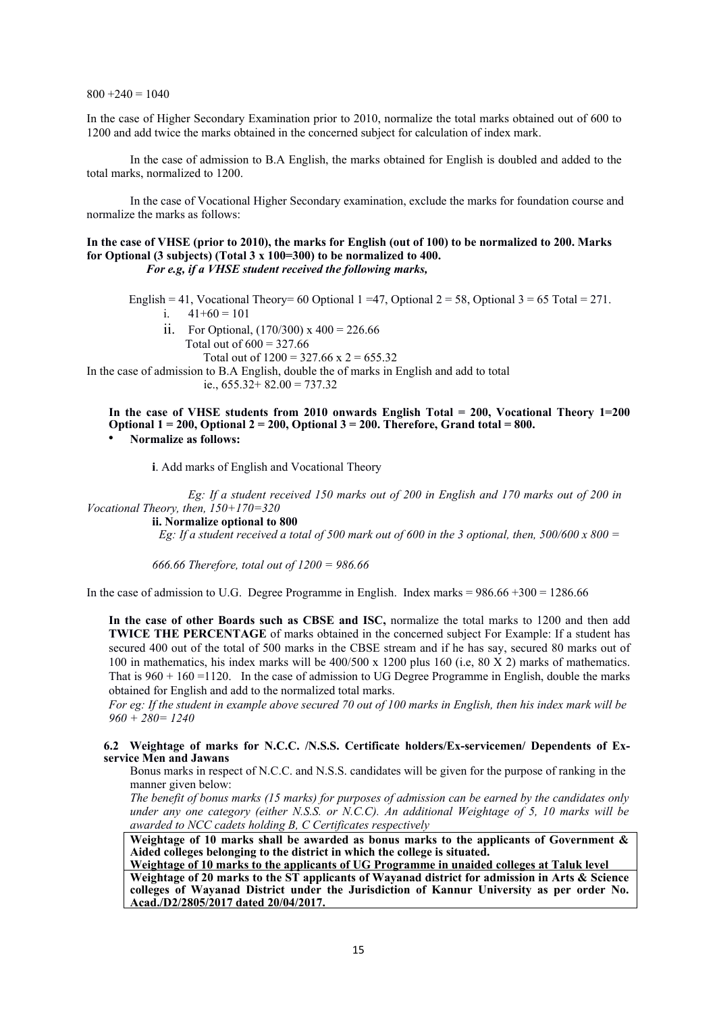$800 + 240 = 1040$ 

In the case of Higher Secondary Examination prior to 2010, normalize the total marks obtained out of 600 to 1200 and add twice the marks obtained in the concerned subject for calculation of index mark.

In the case of admission to B.A English, the marks obtained for English is doubled and added to the total marks, normalized to 1200.

In the case of Vocational Higher Secondary examination, exclude the marks for foundation course and normalize the marks as follows:

### **In the case of VHSE (prior to 2010), the marks for English (out of 100) to be normalized to 200. Marks for Optional (3 subjects) (Total 3 x 100=300) to be normalized to 400.** *For e.g, if a VHSE student received the following marks,*

English = 41, Vocational Theory= 60 Optional 1 = 47, Optional 2 = 58, Optional 3 = 65 Total = 271. i.  $41+60 = 101$ 

- ii. For Optional,  $(170/300)$  x  $400 = 226.66$ 
	- Total out of  $600 = 327.66$
	- Total out of  $1200 = 327.66 \times 2 = 655.32$

In the case of admission to B.A English, double the of marks in English and add to total ie.,  $655.32 + 82.00 = 737.32$ 

**In the case of VHSE students from 2010 onwards English Total = 200, Vocational Theory 1=200 Optional 1 = 200, Optional 2 = 200, Optional 3 = 200. Therefore, Grand total = 800.** 

• **Normalize as follows:**

**i**. Add marks of English and Vocational Theory

*Eg: If a student received 150 marks out of 200 in English and 170 marks out of 200 in Vocational Theory, then, 150+170=320*

**ii. Normalize optional to 800**

 *Eg: If a student received a total of 500 mark out of 600 in the 3 optional, then, 500/600 x 800 =*

*666.66 Therefore, total out of 1200 = 986.66*

In the case of admission to U.G. Degree Programme in English. Index marks  $= 986.66 + 300 = 1286.66$ 

**In the case of other Boards such as CBSE and ISC,** normalize the total marks to 1200 and then add **TWICE THE PERCENTAGE** of marks obtained in the concerned subject For Example: If a student has secured 400 out of the total of 500 marks in the CBSE stream and if he has say, secured 80 marks out of 100 in mathematics, his index marks will be 400/500 x 1200 plus 160 (i.e, 80 X 2) marks of mathematics. That is  $960 + 160 = 1120$ . In the case of admission to UG Degree Programme in English, double the marks obtained for English and add to the normalized total marks.

*For eg: If the student in example above secured 70 out of 100 marks in English, then his index mark will be 960 + 280= 1240*

### **6.2 Weightage of marks for N.C.C. /N.S.S. Certificate holders/Ex-servicemen/ Dependents of Exservice Men and Jawans**

Bonus marks in respect of N.C.C. and N.S.S. candidates will be given for the purpose of ranking in the manner given below:

*The benefit of bonus marks (15 marks) for purposes of admission can be earned by the candidates only under any one category (either N.S.S. or N.C.C). An additional Weightage of 5, 10 marks will be awarded to NCC cadets holding B, C Certificates respectively*

**Weightage of 10 marks shall be awarded as bonus marks to the applicants of Government & Aided colleges belonging to the district in which the college is situated.**

**Weightage of 10 marks to the applicants of UG Programme in unaided colleges at Taluk level Weightage of 20 marks to the ST applicants of Wayanad district for admission in Arts & Science colleges of Wayanad District under the Jurisdiction of Kannur University as per order No. Acad./D2/2805/2017 dated 20/04/2017.**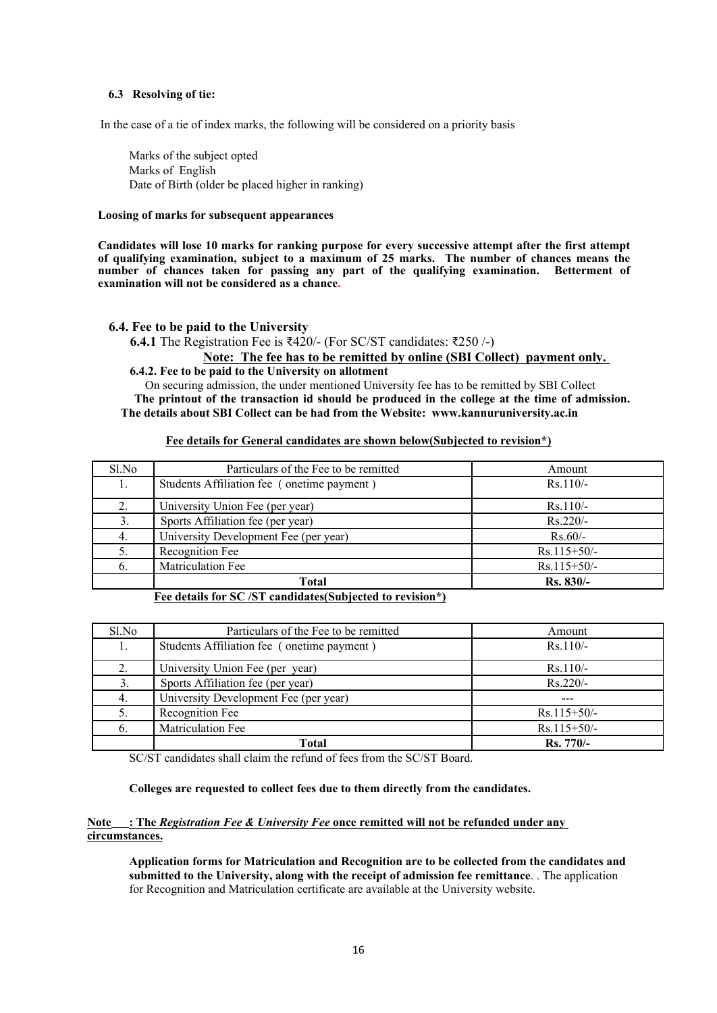### **6.3 Resolving of tie:**

In the case of a tie of index marks, the following will be considered on a priority basis

Marks of the subject opted Marks of English Date of Birth (older be placed higher in ranking)

### **Loosing of marks for subsequent appearances**

**Candidates will lose 10 marks for ranking purpose for every successive attempt after the first attempt of qualifying examination, subject to a maximum of 25 marks. The number of chances means the number of chances taken for passing any part of the qualifying examination. Betterment of examination will not be considered as a chance.**

### **6.4. Fee to be paid to the University**

**6.4.1** The Registration Fee is ₹420/- (For SC/ST candidates: ₹250 /-)

 **Note: The fee has to be remitted by online (SBI Collect) payment only.**

 **6.4.2. Fee to be paid to the University on allotment**

 On securing admission, the under mentioned University fee has to be remitted by SBI Collect **The printout of the transaction id should be produced in the college at the time of admission. The details about SBI Collect can be had from the Website: www.kannuruniversity.ac.in**

### **Fee details for General candidates are shown below(Subjected to revision\*)**

| Sl.No | Particulars of the Fee to be remitted      | Amount        |
|-------|--------------------------------------------|---------------|
|       | Students Affiliation fee (onetime payment) | $Rs.110/-$    |
| 2.    | University Union Fee (per year)            | $Rs.110/-$    |
| 3.    | Sports Affiliation fee (per year)          | $Rs.220/-$    |
| 4.    | University Development Fee (per year)      | $Rs.60/-$     |
|       | Recognition Fee                            | $Rs.115+50/-$ |
| 6.    | <b>Matriculation Fee</b>                   | $Rs.115+50/-$ |
|       | Total                                      | Rs. 830/-     |

**Fee details for SC /ST candidates(Subjected to revision\*)**

| Sl.No | Particulars of the Fee to be remitted      | Amount           |
|-------|--------------------------------------------|------------------|
|       | Students Affiliation fee (onetime payment) | $Rs.110/-$       |
|       | University Union Fee (per year)            | $Rs.110/-$       |
|       | Sports Affiliation fee (per year)          | $Rs.220/-$       |
|       | University Development Fee (per year)      |                  |
|       | Recognition Fee                            | $Rs.115+50/-$    |
| 6.    | <b>Matriculation Fee</b>                   | $Rs.115+50/-$    |
|       | Total                                      | <b>Rs.</b> 770/- |

SC/ST candidates shall claim the refund of fees from the SC/ST Board.

### **Colleges are requested to collect fees due to them directly from the candidates.**

### **Note : The** *Registration Fee & University Fee* **once remitted will not be refunded under any circumstances.**

**Application forms for Matriculation and Recognition are to be collected from the candidates and submitted to the University, along with the receipt of admission fee remittance**. . The application for Recognition and Matriculation certificate are available at the University website.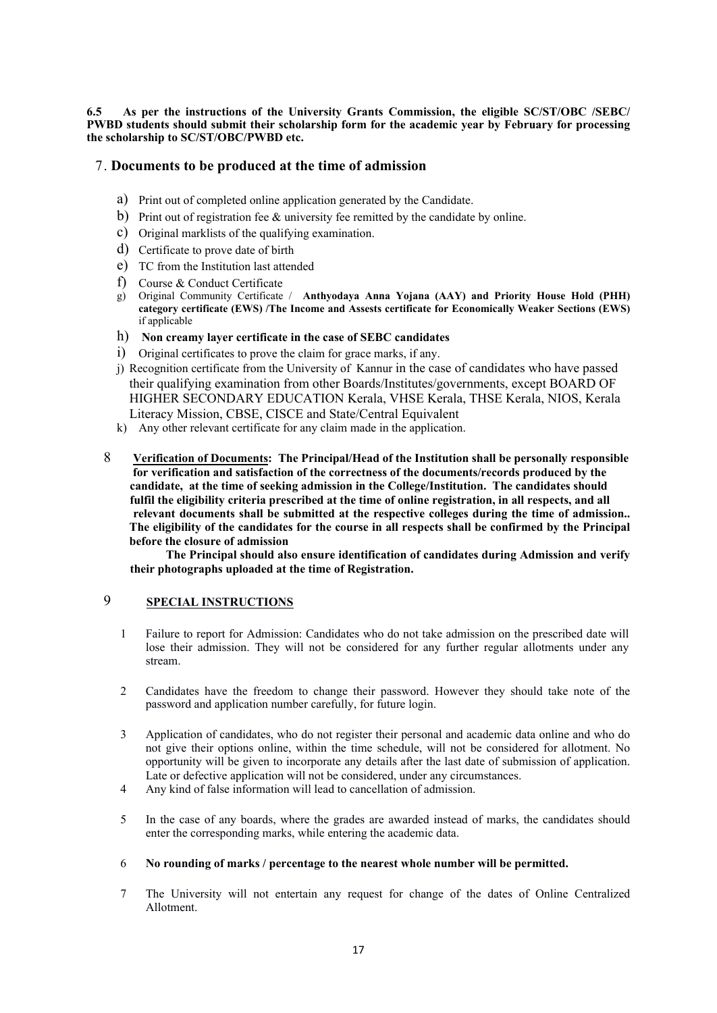**6.5 As per the instructions of the University Grants Commission, the eligible SC/ST/OBC /SEBC/ PWBD students should submit their scholarship form for the academic year by February for processing the scholarship to SC/ST/OBC/PWBD etc.** 

# 7. **Documents to be produced at the time of admission**

- a) Print out of completed online application generated by the Candidate.
- b) Print out of registration fee & university fee remitted by the candidate by online.
- c) Original marklists of the qualifying examination.
- d) Certificate to prove date of birth
- e) TC from the Institution last attended
- f) Course & Conduct Certificate
- g) Original Community Certificate / **Anthyodaya Anna Yojana (AAY) and Priority House Hold (PHH) category certificate (EWS) /The Income and Assests certificate for Economically Weaker Sections (EWS)** if applicable
- h) **Non creamy layer certificate in the case of SEBC candidates**
- i) Original certificates to prove the claim for grace marks, if any.
- j) Recognition certificate from the University of Kannur in the case of candidates who have passed their qualifying examination from other Boards/Institutes/governments, except BOARD OF HIGHER SECONDARY EDUCATION Kerala, VHSE Kerala, THSE Kerala, NIOS, Kerala Literacy Mission, CBSE, CISCE and State/Central Equivalent
- k) Any other relevant certificate for any claim made in the application.
- 8 **Verification of Documents: The Principal/Head of the Institution shall be personally responsible for verification and satisfaction of the correctness of the documents/records produced by the candidate, at the time of seeking admission in the College/Institution. The candidates should fulfil the eligibility criteria prescribed at the time of online registration, in all respects, and all relevant documents shall be submitted at the respective colleges during the time of admission.. The eligibility of the candidates for the course in all respects shall be confirmed by the Principal before the closure of admission**

**The Principal should also ensure identification of candidates during Admission and verify their photographs uploaded at the time of Registration.**

### 9 **SPECIAL INSTRUCTIONS**

- 1 Failure to report for Admission: Candidates who do not take admission on the prescribed date will lose their admission. They will not be considered for any further regular allotments under any stream.
- 2 Candidates have the freedom to change their password. However they should take note of the password and application number carefully, for future login.
- 3 Application of candidates, who do not register their personal and academic data online and who do not give their options online, within the time schedule, will not be considered for allotment. No opportunity will be given to incorporate any details after the last date of submission of application. Late or defective application will not be considered, under any circumstances.
- 4 Any kind of false information will lead to cancellation of admission.
- 5 In the case of any boards, where the grades are awarded instead of marks, the candidates should enter the corresponding marks, while entering the academic data.

### 6 **No rounding of marks / percentage to the nearest whole number will be permitted.**

7 The University will not entertain any request for change of the dates of Online Centralized Allotment.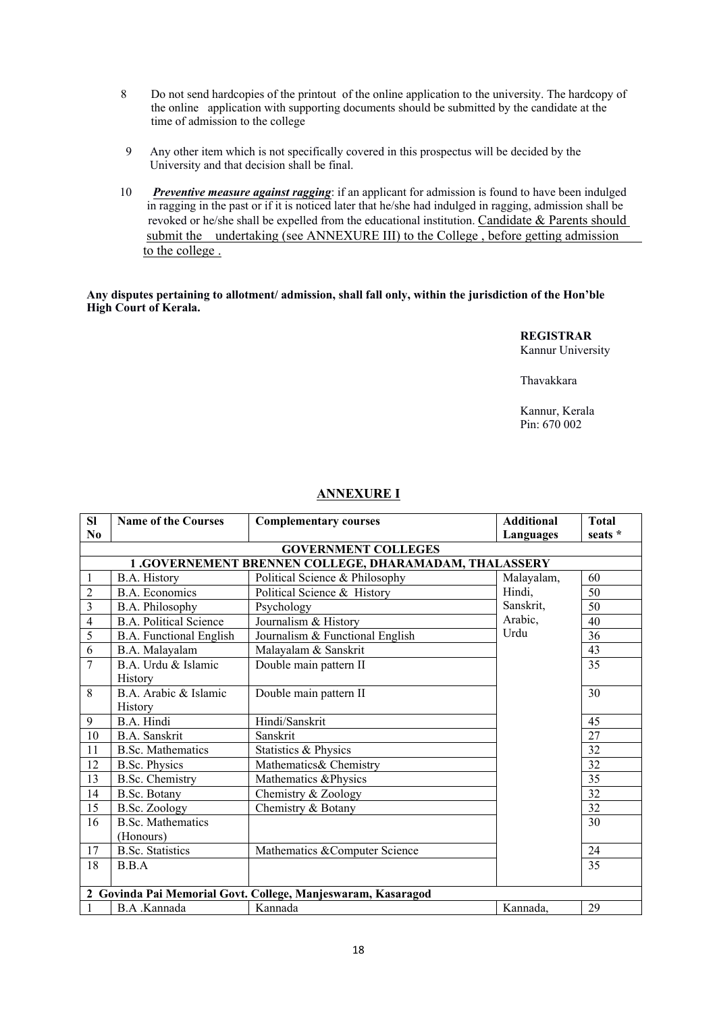- 8 Do not send hardcopies of the printout of the online application to the university. The hardcopy of the online application with supporting documents should be submitted by the candidate at the time of admission to the college
- 9 Any other item which is not specifically covered in this prospectus will be decided by the University and that decision shall be final.
- 10 *Preventive measure against ragging*: if an applicant for admission is found to have been indulged in ragging in the past or if it is noticed later that he/she had indulged in ragging, admission shall be revoked or he/she shall be expelled from the educational institution. Candidate & Parents should submit the undertaking (see ANNEXURE III) to the College, before getting admission to the college .

### **Any disputes pertaining to allotment/ admission, shall fall only, within the jurisdiction of the Hon'ble High Court of Kerala.**

**REGISTRAR** Kannur University

Thavakkara

Kannur, Kerala Pin: 670 002

# **ANNEXURE I**

| SI                     | <b>Name of the Courses</b>                  | <b>Complementary courses</b>                                 | <b>Additional</b> | <b>Total</b>    |
|------------------------|---------------------------------------------|--------------------------------------------------------------|-------------------|-----------------|
| $\mathbf{N}\mathbf{0}$ |                                             |                                                              | Languages         | seats *         |
|                        |                                             | <b>GOVERNMENT COLLEGES</b>                                   |                   |                 |
|                        |                                             | 1.GOVERNEMENT BRENNEN COLLEGE, DHARAMADAM, THALASSERY        |                   |                 |
| 1                      | B.A. History                                | Political Science & Philosophy                               | Malayalam,        | 60              |
| $\overline{c}$         | <b>B.A. Economics</b>                       | Political Science & History                                  | Hindi,            | 50              |
| 3                      | B.A. Philosophy                             | Psychology                                                   | Sanskrit,         | 50              |
| $\overline{4}$         | <b>B.A. Political Science</b>               | Journalism & History                                         | Arabic,           | 40              |
| 5                      | <b>B.A.</b> Functional English              | Journalism & Functional English                              | Urdu              | 36              |
| 6                      | B.A. Malayalam                              | Malayalam & Sanskrit                                         |                   | 43              |
| $\overline{7}$         | B.A. Urdu & Islamic                         | Double main pattern II                                       |                   | 35              |
| 8                      | History<br>B.A. Arabic & Islamic<br>History | Double main pattern II                                       |                   | 30              |
| 9                      | B.A. Hindi                                  | Hindi/Sanskrit                                               |                   | 45              |
| $\overline{10}$        | <b>B.A.</b> Sanskrit                        | Sanskrit                                                     |                   | 27              |
| 11                     | <b>B.Sc. Mathematics</b>                    | Statistics & Physics                                         |                   | 32              |
| 12                     | <b>B.Sc. Physics</b>                        | Mathematics& Chemistry                                       |                   | $\overline{32}$ |
| 13                     | <b>B.Sc. Chemistry</b>                      | Mathematics &Physics                                         |                   | 35              |
| 14                     | B.Sc. Botany                                | Chemistry & Zoology                                          |                   | 32              |
| 15                     | <b>B.Sc. Zoology</b>                        | Chemistry & Botany                                           |                   | 32              |
| 16                     | <b>B.Sc. Mathematics</b><br>(Honours)       |                                                              |                   | 30              |
| 17                     | <b>B.Sc.</b> Statistics                     | Mathematics & Computer Science                               |                   | 24              |
| 18                     | B.B.A                                       |                                                              |                   | 35              |
|                        |                                             | 2 Govinda Pai Memorial Govt. College, Manjeswaram, Kasaragod |                   |                 |
|                        | B.A. Kannada                                | Kannada                                                      | Kannada,          | 29              |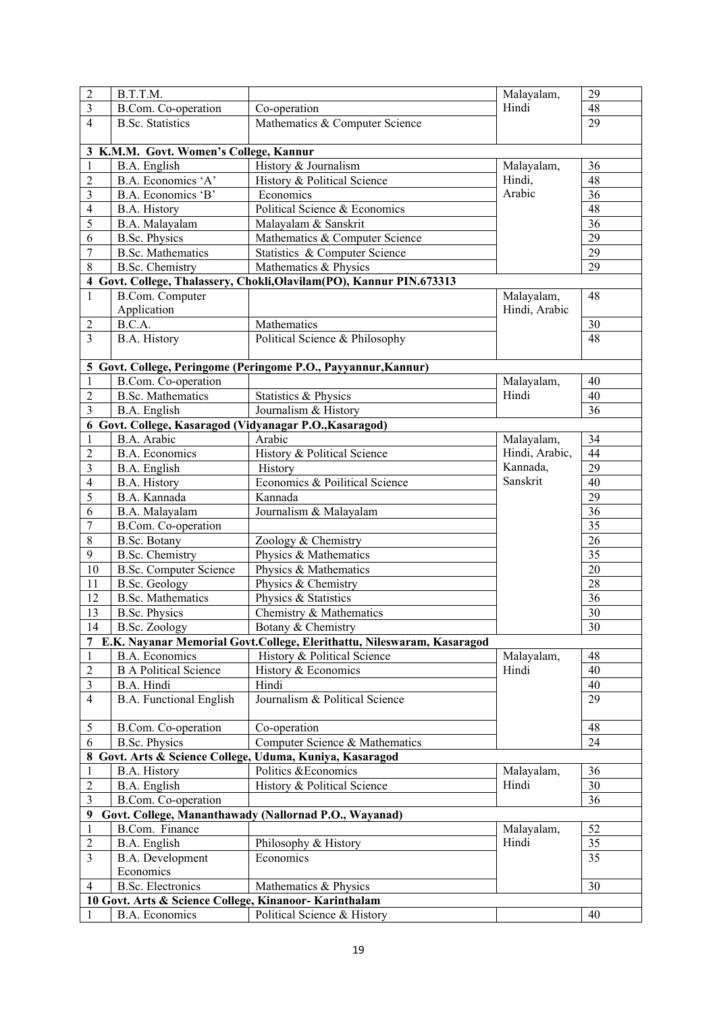| $\overline{c}$           | B.T.T.M.                                               |                                                                          | Malayalam,     | 29              |
|--------------------------|--------------------------------------------------------|--------------------------------------------------------------------------|----------------|-----------------|
| $\overline{\mathbf{3}}$  | B.Com. Co-operation                                    | Co-operation                                                             | Hindi          | 48              |
| $\overline{4}$           | <b>B.Sc.</b> Statistics                                | Mathematics & Computer Science                                           |                | 29              |
|                          |                                                        |                                                                          |                |                 |
|                          | 3 K.M.M. Govt. Women's College, Kannur                 |                                                                          |                |                 |
| $\mathbf{1}$             | B.A. English                                           | History & Journalism                                                     | Malayalam,     | 36              |
| $\overline{c}$           | B.A. Economics 'A'                                     | History & Political Science                                              | Hindi,         | 48              |
| 3                        | B.A. Economics 'B'                                     | Economics                                                                | Arabic         | $\overline{36}$ |
| $\overline{\mathcal{L}}$ | B.A. History                                           | Political Science & Economics                                            |                | 48              |
| 5                        | B.A. Malayalam                                         | Malayalam & Sanskrit                                                     |                | 36              |
| 6                        | <b>B.Sc. Physics</b>                                   | Mathematics & Computer Science                                           |                | 29              |
| $\overline{7}$           | <b>B.Sc. Mathematics</b>                               | Statistics & Computer Science                                            |                | 29              |
| 8                        | <b>B.Sc.</b> Chemistry                                 | Mathematics & Physics                                                    |                | 29              |
|                          |                                                        | 4 Govt. College, Thalassery, Chokli, Olavilam (PO), Kannur PIN. 673313   |                |                 |
| $\mathbf{1}$             | <b>B.Com. Computer</b>                                 |                                                                          | Malayalam,     | 48              |
|                          | Application                                            |                                                                          | Hindi, Arabic  |                 |
| 2                        | B.C.A.                                                 | Mathematics                                                              |                | 30              |
| 3                        | B.A. History                                           | Political Science & Philosophy                                           |                | $\overline{48}$ |
|                          |                                                        |                                                                          |                |                 |
|                          |                                                        | 5 Govt. College, Peringome (Peringome P.O., Payyannur, Kannur)           |                |                 |
| 1                        | B.Com. Co-operation                                    |                                                                          | Malayalam,     | 40              |
| $\overline{c}$           | <b>B.Sc. Mathematics</b>                               | Statistics & Physics                                                     | Hindi          | 40              |
| 3                        | B.A. English                                           | Journalism & History                                                     |                | 36              |
|                          |                                                        | 6 Govt. College, Kasaragod (Vidyanagar P.O., Kasaragod)                  |                |                 |
| 1                        | B.A. Arabic                                            | Arabic                                                                   | Malayalam,     | 34              |
| $\overline{c}$           | <b>B.A. Economics</b>                                  | History & Political Science                                              | Hindi, Arabic, | 44              |
| $\overline{\mathbf{3}}$  | B.A. English                                           | History                                                                  | Kannada,       | 29              |
| $\overline{4}$           | B.A. History                                           | Economics & Poilitical Science                                           | Sanskrit       | 40              |
| 5                        | B.A. Kannada                                           | Kannada                                                                  |                | 29              |
|                          |                                                        | Journalism & Malayalam                                                   |                | 36              |
| 6                        | B.A. Malayalam                                         |                                                                          |                | 35              |
| 7                        | B.Com. Co-operation                                    |                                                                          |                | 26              |
| 8                        | B.Sc. Botany                                           | Zoology & Chemistry                                                      |                |                 |
| 9                        | <b>B.Sc.</b> Chemistry                                 | Physics & Mathematics                                                    |                | 35              |
| 10                       | <b>B.Sc. Computer Science</b>                          | Physics & Mathematics                                                    |                | 20              |
| 11                       | <b>B.Sc. Geology</b>                                   | Physics & Chemistry                                                      |                | 28              |
| 12                       | <b>B.Sc. Mathematics</b>                               | Physics & Statistics                                                     |                | 36              |
| 13                       | <b>B.Sc. Physics</b>                                   | Chemistry & Mathematics                                                  |                | 30              |
| 14                       | B.Sc. Zoology                                          | Botany & Chemistry                                                       |                | $30\,$          |
|                          |                                                        | 7 E.K. Nayanar Memorial Govt.College, Elerithattu, Nileswaram, Kasaragod |                |                 |
| 1                        | <b>B.A. Economics</b>                                  | History & Political Science                                              | Malayalam,     | 48              |
| 2                        | <b>B A Political Science</b>                           | History & Economics                                                      | Hindi          | 40              |
| 3                        | B.A. Hindi                                             | Hindi                                                                    |                | 40              |
| $\overline{4}$           | <b>B.A. Functional English</b>                         | Journalism & Political Science                                           |                | 29              |
| 5                        | <b>B.Com.</b> Co-operation                             | Co-operation                                                             |                | 48              |
| 6                        | <b>B.Sc. Physics</b>                                   | Computer Science & Mathematics                                           |                | 24              |
|                          |                                                        | 8 Govt. Arts & Science College, Uduma, Kuniya, Kasaragod                 |                |                 |
| $\mathbf{1}$             | B.A. History                                           | Politics & Economics                                                     | Malayalam,     | 36              |
| $\overline{c}$           | B.A. English                                           | History & Political Science                                              | Hindi          | 30              |
| 3                        | B.Com. Co-operation                                    |                                                                          |                | 36              |
| 9                        |                                                        | Govt. College, Mananthawady (Nallornad P.O., Wayanad)                    |                |                 |
| $\mathbf{1}$             | <b>B.Com.</b> Finance                                  |                                                                          | Malayalam,     | 52              |
| $\overline{c}$           | B.A. English                                           | Philosophy & History                                                     | Hindi          | 35              |
| 3                        | B.A. Development                                       | Economics                                                                |                | 35              |
|                          | Economics                                              |                                                                          |                |                 |
| 4                        | <b>B.Sc.</b> Electronics                               | Mathematics & Physics                                                    |                | 30              |
|                          | 10 Govt. Arts & Science College, Kinanoor- Karinthalam |                                                                          |                |                 |
|                          | B.A. Economics                                         | Political Science & History                                              |                | 40              |
|                          |                                                        |                                                                          |                |                 |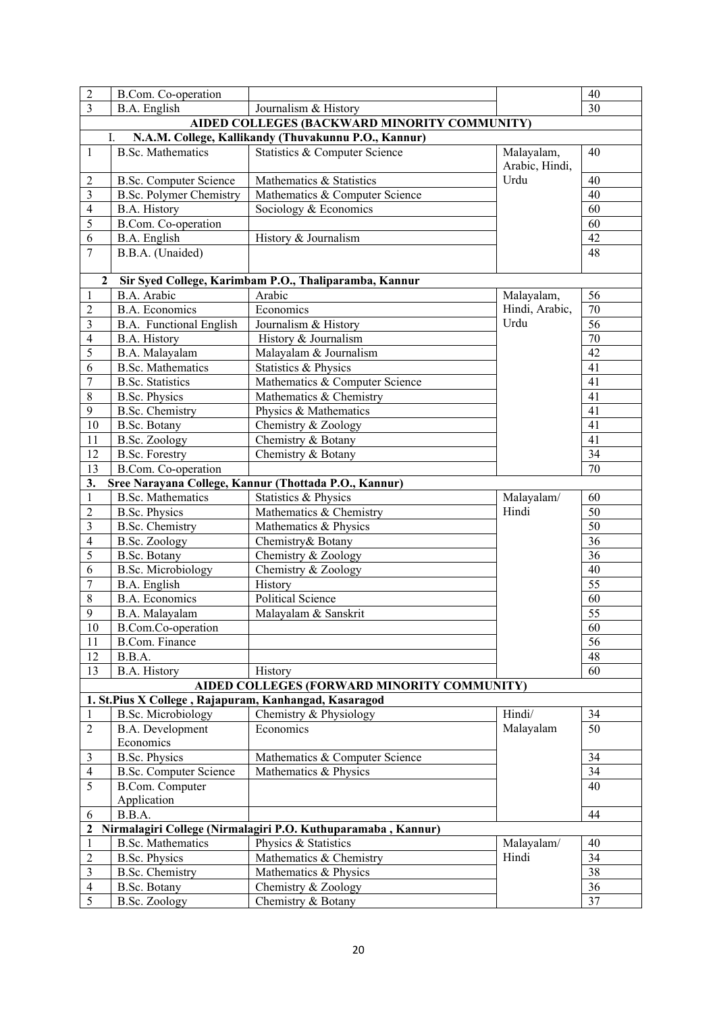|                                  |                                |                                                                                                      |                              | 40              |
|----------------------------------|--------------------------------|------------------------------------------------------------------------------------------------------|------------------------------|-----------------|
| $\overline{c}$<br>$\overline{3}$ | B.Com. Co-operation            |                                                                                                      |                              | 30              |
|                                  | B.A. English                   | Journalism & History                                                                                 |                              |                 |
|                                  | I.                             | AIDED COLLEGES (BACKWARD MINORITY COMMUNITY)<br>N.A.M. College, Kallikandy (Thuvakunnu P.O., Kannur) |                              |                 |
|                                  |                                |                                                                                                      |                              | 40              |
| $\mathbf{1}$                     | <b>B.Sc. Mathematics</b>       | Statistics & Computer Science                                                                        | Malayalam,<br>Arabic, Hindi, |                 |
| 2                                | <b>B.Sc. Computer Science</b>  | Mathematics & Statistics                                                                             | Urdu                         | 40              |
| 3                                | <b>B.Sc. Polymer Chemistry</b> | Mathematics & Computer Science                                                                       |                              | 40              |
| $\overline{4}$                   | B.A. History                   | Sociology & Economics                                                                                |                              | 60              |
| 5                                | <b>B.Com.</b> Co-operation     |                                                                                                      |                              | 60              |
| 6                                | B.A. English                   | History & Journalism                                                                                 |                              | 42              |
| $\overline{7}$                   | B.B.A. (Unaided)               |                                                                                                      |                              | 48              |
| $\mathbf{2}$                     |                                | Sir Syed College, Karimbam P.O., Thaliparamba, Kannur                                                |                              |                 |
| $\mathbf{1}$                     | B.A. Arabic                    | Arabic                                                                                               | Malayalam,                   | 56              |
| $\overline{c}$                   | <b>B.A. Economics</b>          | Economics                                                                                            | Hindi, Arabic,               | 70              |
| $\overline{\mathbf{3}}$          | B.A. Functional English        | Journalism & History                                                                                 | Urdu                         | 56              |
| $\overline{4}$                   | <b>B.A. History</b>            | History & Journalism                                                                                 |                              | 70              |
| 5                                | B.A. Malayalam                 | Malayalam & Journalism                                                                               |                              | 42              |
| 6                                | <b>B.Sc. Mathematics</b>       | Statistics & Physics                                                                                 |                              | 41              |
| $\overline{7}$                   | <b>B.Sc.</b> Statistics        | Mathematics & Computer Science                                                                       |                              | 41              |
| $\,$ $\,$                        | <b>B.Sc. Physics</b>           | Mathematics & Chemistry                                                                              |                              | 41              |
| 9                                | <b>B.Sc.</b> Chemistry         | Physics & Mathematics                                                                                |                              | 41              |
| $10\,$                           | B.Sc. Botany                   | Chemistry & Zoology                                                                                  |                              | 41              |
| 11                               | <b>B.Sc. Zoology</b>           | Chemistry & Botany                                                                                   |                              | 41              |
| 12                               | <b>B.Sc. Forestry</b>          | Chemistry & Botany                                                                                   |                              | 34              |
| 13                               | B.Com. Co-operation            |                                                                                                      |                              | 70              |
| 3.                               |                                | Sree Narayana College, Kannur (Thottada P.O., Kannur)                                                |                              |                 |
| $\,1$                            | <b>B.Sc. Mathematics</b>       | Statistics & Physics                                                                                 | Malayalam/                   | 60              |
| $\overline{c}$                   | <b>B.Sc. Physics</b>           | Mathematics & Chemistry                                                                              | Hindi                        | 50              |
| $\overline{\mathbf{3}}$          | <b>B.Sc.</b> Chemistry         | Mathematics & Physics                                                                                |                              | 50              |
| $\overline{4}$                   | <b>B.Sc. Zoology</b>           | Chemistry& Botany                                                                                    |                              | 36              |
| 5                                | B.Sc. Botany                   | Chemistry & Zoology                                                                                  |                              | 36              |
| 6                                | <b>B.Sc. Microbiology</b>      | Chemistry & Zoology                                                                                  |                              | 40              |
| $\overline{7}$                   | B.A. English                   | History                                                                                              |                              | 55              |
| $\,$ $\,$                        | <b>B.A. Economics</b>          | <b>Political Science</b>                                                                             |                              | 60              |
| 9                                | B.A. Malayalam                 | Malayalam & Sanskrit                                                                                 |                              | 55              |
| 10                               | B.Com.Co-operation             |                                                                                                      |                              | 60              |
| 11                               | <b>B.Com. Finance</b>          |                                                                                                      |                              | 56              |
| 12                               | B.B.A.                         |                                                                                                      |                              | 48              |
| 13                               | <b>B.A. History</b>            | History                                                                                              |                              | 60              |
|                                  |                                | AIDED COLLEGES (FORWARD MINORITY COMMUNITY)                                                          |                              |                 |
|                                  |                                | 1. St.Pius X College, Rajapuram, Kanhangad, Kasaragod                                                |                              |                 |
| 1                                | <b>B.Sc. Microbiology</b>      | Chemistry & Physiology                                                                               | Hindi/                       | 34              |
| $\overline{c}$                   | B.A. Development               | Economics                                                                                            | Malayalam                    | 50              |
|                                  | Economics                      |                                                                                                      |                              |                 |
| 3                                | <b>B.Sc. Physics</b>           | Mathematics & Computer Science                                                                       |                              | 34              |
| 4                                | <b>B.Sc. Computer Science</b>  | Mathematics & Physics                                                                                |                              | 34              |
| 5                                | <b>B.Com.</b> Computer         |                                                                                                      |                              | 40              |
|                                  | Application                    |                                                                                                      |                              |                 |
| 6                                | B.B.A.                         |                                                                                                      |                              | 44              |
| $\mathbf{2}$                     |                                | Nirmalagiri College (Nirmalagiri P.O. Kuthuparamaba, Kannur)                                         |                              |                 |
| $\mathbf{1}$                     | <b>B.Sc. Mathematics</b>       | Physics & Statistics                                                                                 | Malayalam/                   | 40              |
| $\overline{2}$                   | <b>B.Sc. Physics</b>           | Mathematics & Chemistry                                                                              | Hindi                        | 34              |
| 3                                | <b>B.Sc.</b> Chemistry         | Mathematics & Physics                                                                                |                              | $\overline{38}$ |
| $\overline{\mathcal{L}}$         | B.Sc. Botany                   | Chemistry & Zoology                                                                                  |                              | 36              |
| 5                                | <b>B.Sc. Zoology</b>           | Chemistry & Botany                                                                                   |                              | $\overline{37}$ |
|                                  |                                |                                                                                                      |                              |                 |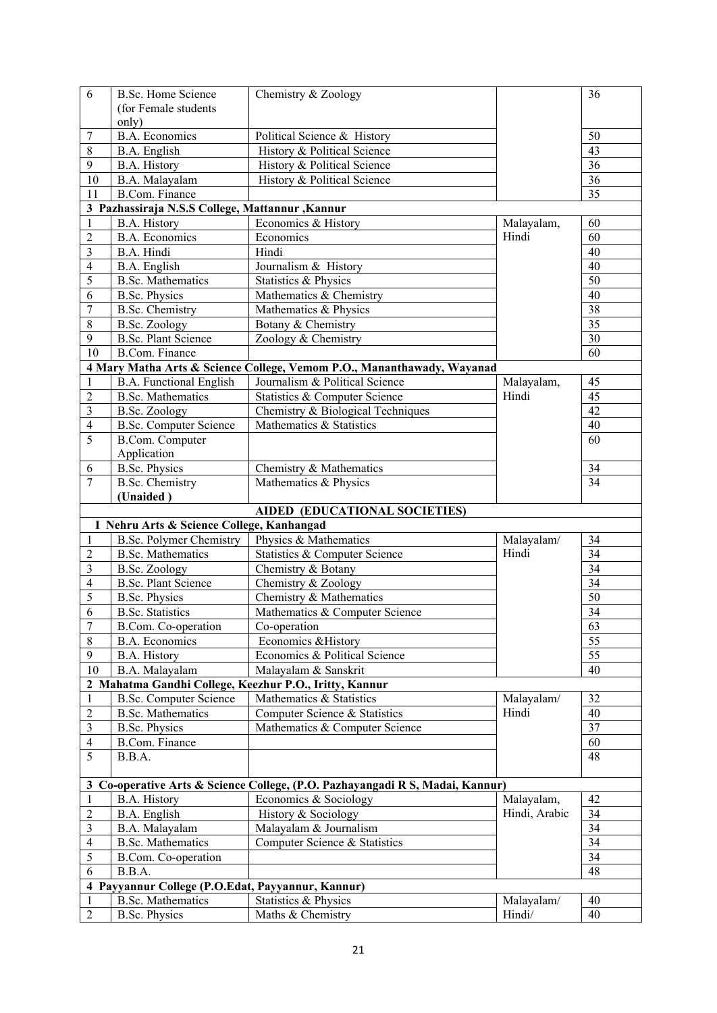| 6                        | <b>B.Sc. Home Science</b>                         | Chemistry & Zoology                                                           |               | 36              |  |
|--------------------------|---------------------------------------------------|-------------------------------------------------------------------------------|---------------|-----------------|--|
|                          | (for Female students                              |                                                                               |               |                 |  |
|                          | only)                                             |                                                                               |               |                 |  |
| 7                        | <b>B.A. Economics</b>                             | Political Science & History                                                   |               | 50              |  |
| 8                        | B.A. English                                      | History & Political Science                                                   | 43            |                 |  |
| $\boldsymbol{9}$         | <b>B.A. History</b>                               | History & Political Science                                                   |               | 36              |  |
|                          |                                                   |                                                                               |               |                 |  |
| 10                       | B.A. Malayalam                                    | History & Political Science                                                   |               | 36              |  |
| 11                       | <b>B.Com. Finance</b>                             |                                                                               |               | 35              |  |
|                          | 3 Pazhassiraja N.S.S College, Mattannur , Kannur  |                                                                               |               |                 |  |
| $\mathbf{1}$             | <b>B.A. History</b>                               | Economics & History                                                           | Malayalam,    | 60              |  |
| $\overline{c}$           | <b>B.A. Economics</b>                             | Economics                                                                     | Hindi         | 60              |  |
| $\mathfrak{Z}$           | B.A. Hindi                                        | Hindi                                                                         |               | 40              |  |
|                          |                                                   |                                                                               |               |                 |  |
| $\overline{\mathcal{A}}$ | B.A. English                                      | Journalism & History                                                          |               | 40              |  |
| 5                        | <b>B.Sc. Mathematics</b>                          | Statistics & Physics                                                          |               | 50              |  |
| 6                        | <b>B.Sc. Physics</b>                              | Mathematics & Chemistry                                                       |               | 40              |  |
| 7                        | <b>B.Sc. Chemistry</b>                            | Mathematics & Physics                                                         |               | 38              |  |
| $8\,$                    | <b>B.Sc. Zoology</b>                              | Botany & Chemistry                                                            |               | 35              |  |
| 9                        | <b>B.Sc. Plant Science</b>                        | Zoology & Chemistry                                                           |               | 30              |  |
| 10                       | <b>B.Com. Finance</b>                             |                                                                               |               | 60              |  |
|                          |                                                   |                                                                               |               |                 |  |
|                          |                                                   | 4 Mary Matha Arts & Science College, Vemom P.O., Mananthawady, Wayanad        |               |                 |  |
| $\mathbf{1}$             | <b>B.A. Functional English</b>                    | Journalism & Political Science                                                | Malayalam,    | 45              |  |
| $\overline{c}$           | <b>B.Sc. Mathematics</b>                          | Statistics & Computer Science                                                 | Hindi         | 45              |  |
| $\mathfrak{Z}$           | <b>B.Sc. Zoology</b>                              | Chemistry & Biological Techniques                                             |               | 42              |  |
| 4                        | <b>B.Sc. Computer Science</b>                     | Mathematics & Statistics                                                      |               | 40              |  |
| 5                        | <b>B.Com. Computer</b>                            |                                                                               |               | 60              |  |
|                          | Application                                       |                                                                               |               |                 |  |
|                          |                                                   |                                                                               |               |                 |  |
| 6                        | <b>B.Sc. Physics</b>                              | Chemistry & Mathematics                                                       |               | 34              |  |
| 7                        | <b>B.Sc.</b> Chemistry                            | Mathematics & Physics                                                         |               | 34              |  |
|                          | (Unaided)                                         |                                                                               |               |                 |  |
|                          |                                                   |                                                                               |               |                 |  |
|                          |                                                   | <b>AIDED (EDUCATIONAL SOCIETIES)</b>                                          |               |                 |  |
|                          |                                                   |                                                                               |               |                 |  |
|                          | I Nehru Arts & Science College, Kanhangad         |                                                                               |               |                 |  |
| $\mathbf{1}$             | <b>B.Sc. Polymer Chemistry</b>                    | Physics & Mathematics                                                         | Malayalam/    | 34              |  |
| $\overline{c}$           | <b>B.Sc. Mathematics</b>                          | <b>Statistics &amp; Computer Science</b>                                      | Hindi         | 34              |  |
| $\mathfrak{Z}$           | <b>B.Sc. Zoology</b>                              | Chemistry & Botany                                                            |               | $\overline{34}$ |  |
| $\overline{4}$           | <b>B.Sc. Plant Science</b>                        | Chemistry & Zoology                                                           |               | $\overline{34}$ |  |
| 5                        | <b>B.Sc. Physics</b>                              | Chemistry & Mathematics                                                       |               | $\overline{50}$ |  |
| 6                        | <b>B.Sc.</b> Statistics                           | Mathematics & Computer Science                                                |               | 34              |  |
| $\overline{7}$           |                                                   | Co-operation                                                                  |               | 63              |  |
|                          | <b>B.Com.</b> Co-operation                        |                                                                               |               |                 |  |
| $\,8\,$                  | <b>B.A. Economics</b>                             | Economics & History                                                           |               | 55              |  |
| 9                        | B.A. History                                      | Economics & Political Science                                                 |               | $\overline{55}$ |  |
| 10                       | B.A. Malayalam                                    | Malayalam & Sanskrit                                                          |               | 40              |  |
|                          |                                                   | 2 Mahatma Gandhi College, Keezhur P.O., Iritty, Kannur                        |               |                 |  |
| $\mathbf{1}$             | <b>B.Sc. Computer Science</b>                     | Mathematics & Statistics                                                      | Malayalam/    | 32              |  |
| $\mathfrak{2}$           | <b>B.Sc. Mathematics</b>                          | Computer Science & Statistics                                                 | Hindi         | 40              |  |
| $\mathfrak{Z}$           | <b>B.Sc. Physics</b>                              | Mathematics & Computer Science                                                |               | $\overline{37}$ |  |
| $\overline{4}$           | <b>B.Com. Finance</b>                             |                                                                               |               | 60              |  |
|                          |                                                   |                                                                               |               |                 |  |
| 5                        | B.B.A.                                            |                                                                               |               | 48              |  |
|                          |                                                   |                                                                               |               |                 |  |
|                          |                                                   | 3 Co-operative Arts & Science College, (P.O. Pazhayangadi R S, Madai, Kannur) |               |                 |  |
| 1                        | B.A. History                                      | Economics & Sociology                                                         | Malayalam,    | 42              |  |
| 2                        | B.A. English                                      | History & Sociology                                                           | Hindi, Arabic | 34              |  |
| $\mathfrak{Z}$           |                                                   | Malayalam & Journalism                                                        |               | 34              |  |
| $\overline{4}$           | B.A. Malayalam                                    |                                                                               |               |                 |  |
|                          | <b>B.Sc. Mathematics</b>                          | Computer Science & Statistics                                                 |               | 34              |  |
| 5                        | B.Com. Co-operation                               |                                                                               |               | 34              |  |
| 6                        | B.B.A.                                            |                                                                               |               | 48              |  |
|                          | 4 Payyannur College (P.O.Edat, Payyannur, Kannur) |                                                                               |               |                 |  |
| 1                        | <b>B.Sc. Mathematics</b>                          | Statistics & Physics                                                          | Malayalam/    | 40              |  |
| $\sqrt{2}$               | <b>B.Sc. Physics</b>                              | Maths & Chemistry                                                             | Hindi/        | 40              |  |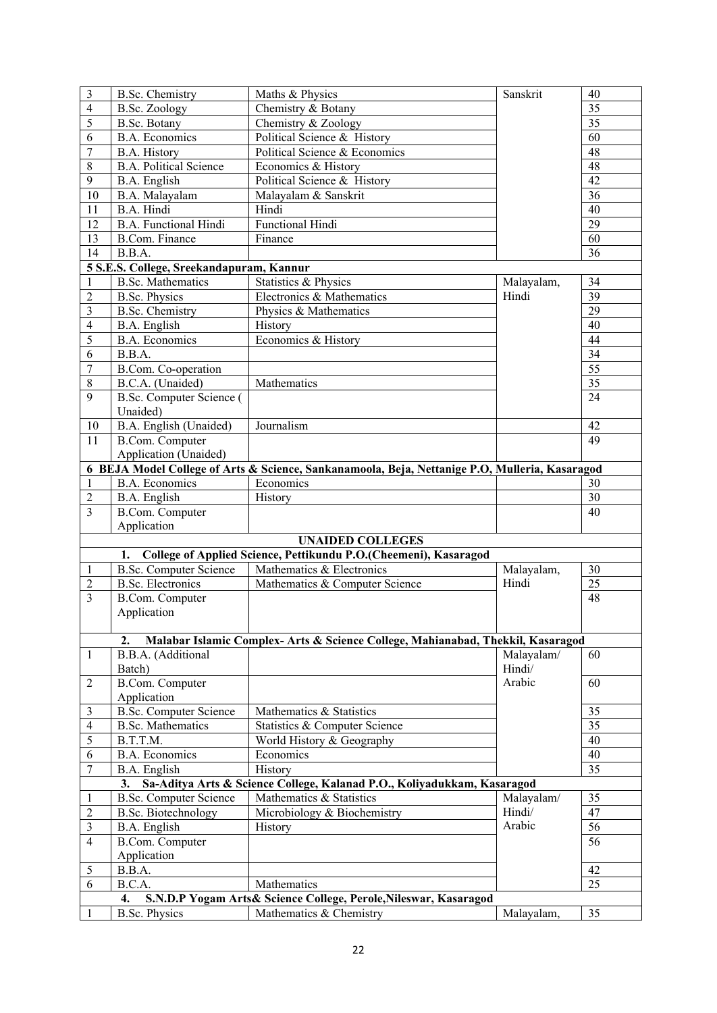| 3                                                                                   | <b>B.Sc.</b> Chemistry                   | Maths & Physics                                                                                | Sanskrit   | 40              |
|-------------------------------------------------------------------------------------|------------------------------------------|------------------------------------------------------------------------------------------------|------------|-----------------|
| $\overline{4}$                                                                      | <b>B.Sc. Zoology</b>                     | $\overline{35}$<br>Chemistry & Botany                                                          |            |                 |
| 5                                                                                   | B.Sc. Botany                             | Chemistry & Zoology                                                                            |            | $\overline{35}$ |
| 6                                                                                   | <b>B.A. Economics</b>                    | Political Science & History                                                                    | 60         |                 |
| $\overline{7}$                                                                      | B.A. History                             | Political Science & Economics                                                                  |            | 48              |
| $\,$ 8 $\,$                                                                         | <b>B.A. Political Science</b>            | Economics & History                                                                            |            | 48              |
| 9                                                                                   | B.A. English                             | Political Science & History                                                                    |            | 42              |
| 10                                                                                  | B.A. Malayalam                           | Malayalam & Sanskrit                                                                           |            | 36              |
| 11                                                                                  | B.A. Hindi                               | Hindi                                                                                          |            | 40              |
| 12                                                                                  | <b>B.A. Functional Hindi</b>             | <b>Functional Hindi</b>                                                                        |            | 29              |
| 13                                                                                  | <b>B.Com. Finance</b>                    | Finance                                                                                        |            | 60              |
| 14                                                                                  | B.B.A.                                   |                                                                                                |            | 36              |
|                                                                                     | 5 S.E.S. College, Sreekandapuram, Kannur |                                                                                                |            |                 |
| $\mathbf{1}$                                                                        | <b>B.Sc. Mathematics</b>                 | Statistics & Physics                                                                           | Malayalam, | 34              |
|                                                                                     |                                          |                                                                                                | Hindi      | $\overline{39}$ |
| $\sqrt{2}$                                                                          | <b>B.Sc. Physics</b>                     | Electronics & Mathematics                                                                      |            |                 |
| $\mathfrak{Z}$                                                                      | <b>B.Sc.</b> Chemistry                   | Physics & Mathematics                                                                          |            | $\overline{29}$ |
| $\overline{4}$                                                                      | B.A. English                             | History                                                                                        |            | 40              |
| 5                                                                                   | <b>B.A. Economics</b>                    | Economics & History                                                                            |            | 44              |
| 6                                                                                   | B.B.A.                                   |                                                                                                |            | 34              |
| $\overline{7}$                                                                      | B.Com. Co-operation                      |                                                                                                |            | $\overline{55}$ |
| $\,$ 8 $\,$                                                                         | B.C.A. (Unaided)                         | Mathematics                                                                                    |            | $\overline{35}$ |
| 9                                                                                   | B.Sc. Computer Science (                 |                                                                                                |            | 24              |
|                                                                                     | Unaided)                                 |                                                                                                |            |                 |
| 10                                                                                  | B.A. English (Unaided)                   | Journalism                                                                                     |            | 42              |
| 11                                                                                  | B.Com. Computer                          |                                                                                                |            | 49              |
|                                                                                     | Application (Unaided)                    |                                                                                                |            |                 |
|                                                                                     |                                          | 6 BEJA Model College of Arts & Science, Sankanamoola, Beja, Nettanige P.O, Mulleria, Kasaragod |            |                 |
| 1                                                                                   | <b>B.A. Economics</b>                    | Economics                                                                                      |            | 30              |
| $\overline{2}$                                                                      | B.A. English                             | History                                                                                        |            | 30              |
| 3                                                                                   | <b>B.Com.</b> Computer                   |                                                                                                |            | 40              |
|                                                                                     | Application                              |                                                                                                |            |                 |
|                                                                                     |                                          | <b>UNAIDED COLLEGES</b>                                                                        |            |                 |
|                                                                                     |                                          | 1. College of Applied Science, Pettikundu P.O.(Cheemeni), Kasaragod                            |            |                 |
| $\mathbf{1}$                                                                        | <b>B.Sc. Computer Science</b>            | Mathematics & Electronics                                                                      | Malayalam, | 30              |
| $\overline{2}$                                                                      | <b>B.Sc. Electronics</b>                 | Mathematics & Computer Science                                                                 | Hindi      | 25              |
| 3                                                                                   | <b>B.Com.</b> Computer                   |                                                                                                |            | 48              |
|                                                                                     |                                          |                                                                                                |            |                 |
|                                                                                     | Application                              |                                                                                                |            |                 |
|                                                                                     |                                          |                                                                                                |            |                 |
|                                                                                     | 2.                                       | Malabar Islamic Complex- Arts & Science College, Mahianabad, Thekkil, Kasaragod                |            |                 |
|                                                                                     | B.B.A. (Additional                       |                                                                                                | Malayalam/ | 60              |
|                                                                                     | Batch)                                   |                                                                                                | Hindi/     |                 |
|                                                                                     | <b>B.Com.</b> Computer                   |                                                                                                | Arabic     | 60              |
|                                                                                     | Application                              |                                                                                                |            |                 |
|                                                                                     | <b>B.Sc. Computer Science</b>            | Mathematics & Statistics                                                                       |            | 35              |
|                                                                                     | <b>B.Sc. Mathematics</b>                 | Statistics & Computer Science                                                                  |            | 35              |
|                                                                                     | B.T.T.M.                                 | World History & Geography                                                                      |            | 40              |
|                                                                                     | <b>B.A. Economics</b>                    | Economics                                                                                      |            | 40              |
|                                                                                     | B.A. English                             | History                                                                                        |            | 35              |
|                                                                                     |                                          | 3. Sa-Aditya Arts & Science College, Kalanad P.O., Koliyadukkam, Kasaragod                     |            |                 |
|                                                                                     | <b>B.Sc. Computer Science</b>            | Mathematics & Statistics                                                                       | Malayalam/ | 35              |
|                                                                                     | <b>B.Sc. Biotechnology</b>               | Microbiology & Biochemistry                                                                    | Hindi/     | 47              |
|                                                                                     |                                          |                                                                                                | Arabic     | 56              |
| 1<br>3                                                                              | B.A. English                             | History                                                                                        |            |                 |
|                                                                                     | <b>B.Com.</b> Computer                   |                                                                                                |            | 56              |
|                                                                                     | Application                              |                                                                                                |            |                 |
| $\mathbf{1}$<br>2<br>3<br>4<br>5<br>6<br>7<br>$\overline{2}$<br>$\overline{4}$<br>5 | B.B.A.                                   |                                                                                                |            | 42              |
| 6                                                                                   | B.C.A.                                   | Mathematics                                                                                    |            | 25              |
| 1                                                                                   | 4.<br><b>B.Sc. Physics</b>               | S.N.D.P Yogam Arts& Science College, Perole, Nileswar, Kasaragod<br>Mathematics & Chemistry    | Malayalam, | 35              |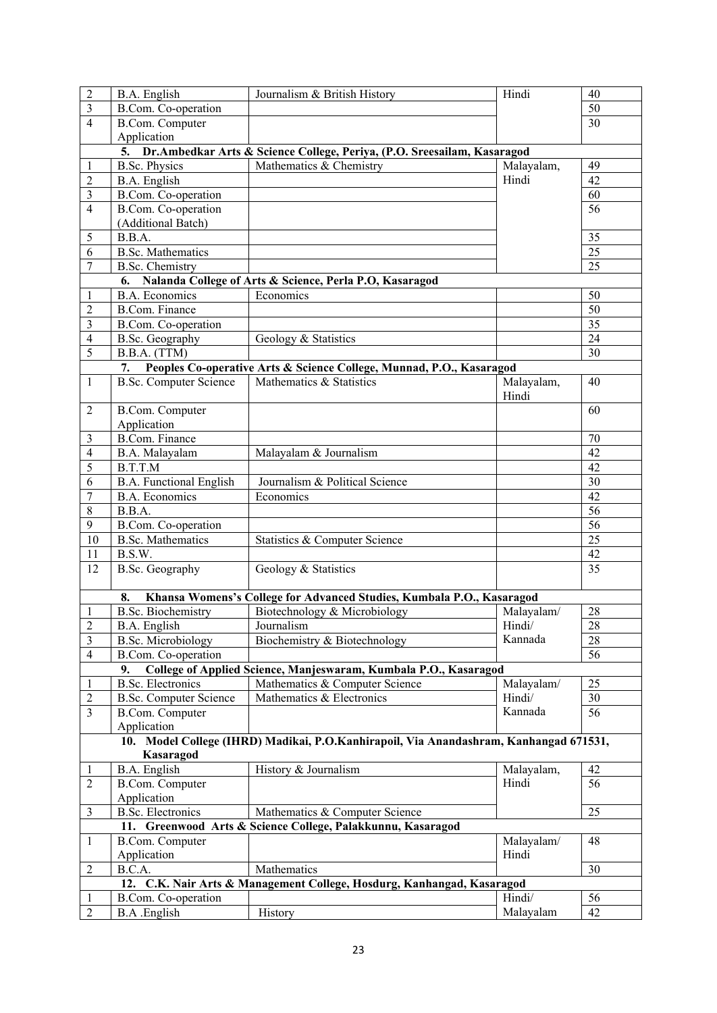| $\sqrt{2}$     | B.A. English                   | Journalism & British History                                                          | Hindi               | 40              |
|----------------|--------------------------------|---------------------------------------------------------------------------------------|---------------------|-----------------|
| $\mathfrak{Z}$ | B.Com. Co-operation            |                                                                                       |                     | 50              |
| $\overline{4}$ | B.Com. Computer                |                                                                                       |                     | 30              |
|                | Application                    |                                                                                       |                     |                 |
|                |                                | 5. Dr. Ambedkar Arts & Science College, Periya, (P.O. Sreesailam, Kasaragod           |                     |                 |
| 1              | <b>B.Sc. Physics</b>           | Mathematics & Chemistry                                                               | Malayalam,          | 49              |
| $\sqrt{2}$     | B.A. English                   |                                                                                       | Hindi               | 42              |
| $\mathfrak{Z}$ | B.Com. Co-operation            |                                                                                       |                     | 60              |
| $\overline{4}$ | B.Com. Co-operation            |                                                                                       |                     | 56              |
|                | (Additional Batch)             |                                                                                       |                     |                 |
| 5              | B.B.A.                         |                                                                                       |                     | 35              |
| 6              | <b>B.Sc. Mathematics</b>       |                                                                                       |                     | 25              |
|                | <b>B.Sc.</b> Chemistry         |                                                                                       |                     | 25              |
|                |                                | 6. Nalanda College of Arts & Science, Perla P.O, Kasaragod                            |                     |                 |
|                | <b>B.A. Economics</b>          | Economics                                                                             |                     | 50              |
|                | <b>B.Com. Finance</b>          |                                                                                       |                     | 50              |
|                |                                |                                                                                       |                     | 35              |
|                | B.Com. Co-operation            |                                                                                       |                     | 24              |
|                | B.Sc. Geography                | Geology & Statistics                                                                  |                     |                 |
|                | B.B.A. (TTM)                   |                                                                                       |                     | 30              |
|                |                                | 7. Peoples Co-operative Arts & Science College, Munnad, P.O., Kasaragod               |                     |                 |
|                | <b>B.Sc. Computer Science</b>  | Mathematics & Statistics                                                              | Malayalam,<br>Hindi | 40              |
|                | B.Com. Computer                |                                                                                       |                     | 60              |
|                | Application                    |                                                                                       |                     |                 |
|                | <b>B.Com. Finance</b>          |                                                                                       |                     | 70              |
|                | B.A. Malayalam                 | Malayalam & Journalism                                                                |                     | 42              |
|                | B.T.T.M                        |                                                                                       |                     | 42              |
|                | <b>B.A. Functional English</b> | Journalism & Political Science                                                        |                     | 30              |
|                | <b>B.A. Economics</b>          | Economics                                                                             |                     | 42              |
|                | B.B.A.                         |                                                                                       |                     | $\overline{56}$ |
|                | B.Com. Co-operation            |                                                                                       |                     | 56              |
| 10             | <b>B.Sc. Mathematics</b>       | Statistics & Computer Science                                                         |                     | $\overline{25}$ |
| 11             | B.S.W.                         |                                                                                       |                     | 42              |
| 12             | B.Sc. Geography                | Geology & Statistics                                                                  |                     | 35              |
|                | 8.                             | Khansa Womens's College for Advanced Studies, Kumbala P.O., Kasaragod                 |                     |                 |
|                | <b>B.Sc. Biochemistry</b>      | Biotechnology & Microbiology                                                          | Malayalam/          | 28              |
|                | B.A. English                   | Journalism                                                                            | Hindi/              | 28              |
|                | <b>B.Sc. Microbiology</b>      | Biochemistry & Biotechnology                                                          | Kannada             | 28              |
|                | B.Com. Co-operation            |                                                                                       |                     | 56              |
|                | 9.                             | College of Applied Science, Manjeswaram, Kumbala P.O., Kasaragod                      |                     |                 |
|                | <b>B.Sc. Electronics</b>       | Mathematics & Computer Science                                                        | Malayalam/          | 25              |
|                | <b>B.Sc. Computer Science</b>  | Mathematics & Electronics                                                             | Hindi/              | 30              |
|                | <b>B.Com.</b> Computer         |                                                                                       | Kannada             | 56              |
|                | Application                    |                                                                                       |                     |                 |
|                |                                | 10. Model College (IHRD) Madikai, P.O.Kanhirapoil, Via Anandashram, Kanhangad 671531, |                     |                 |
|                | Kasaragod                      |                                                                                       |                     |                 |
|                | B.A. English                   | History & Journalism                                                                  | Malayalam,          | 42              |
|                |                                |                                                                                       | Hindi               | 56              |
|                | B.Com. Computer                |                                                                                       |                     |                 |
|                | Application                    |                                                                                       |                     |                 |
|                | <b>B.Sc. Electronics</b>       | Mathematics & Computer Science                                                        |                     | 25              |
|                |                                | 11. Greenwood Arts & Science College, Palakkunnu, Kasaragod                           |                     |                 |
|                | <b>B.Com.</b> Computer         |                                                                                       | Malayalam/          | 48              |
|                | Application                    |                                                                                       | Hindi               |                 |
| $\overline{c}$ | B.C.A.                         | Mathematics                                                                           |                     | 30              |
|                |                                | 12. C.K. Nair Arts & Management College, Hosdurg, Kanhangad, Kasaragod                |                     |                 |
|                | B.Com. Co-operation            |                                                                                       | Hindi/              | 56              |
| $\mathfrak 2$  | B.A .English                   | History                                                                               | Malayalam           | 42              |
|                |                                |                                                                                       |                     |                 |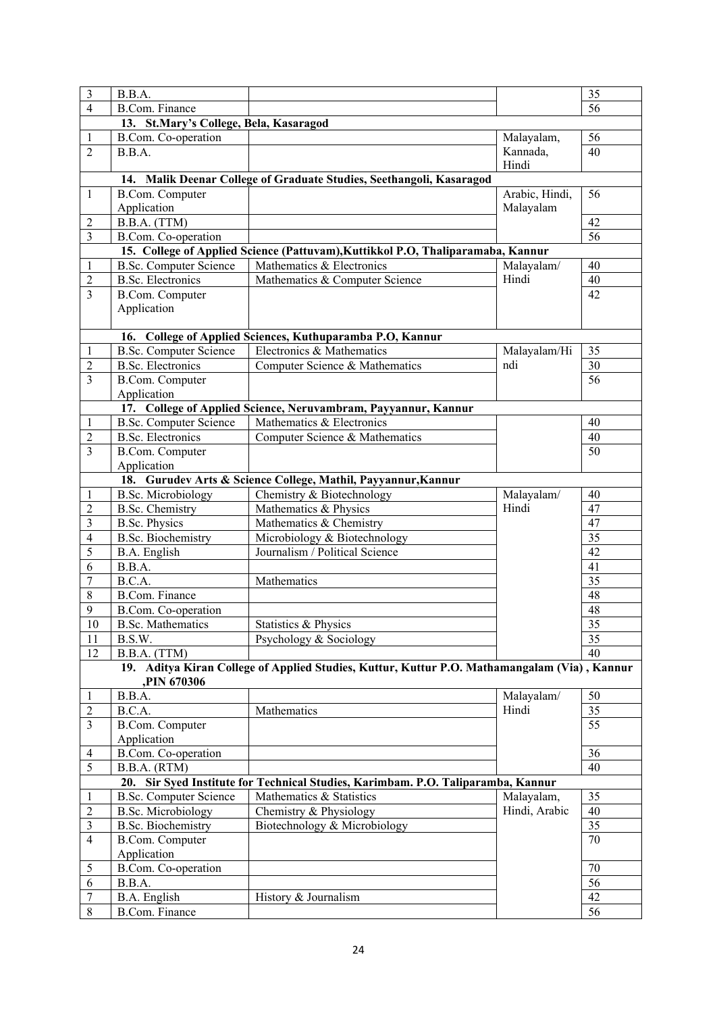| $\mathfrak{Z}$           | B.B.A.                                 |                                                                                              |                | 35              |
|--------------------------|----------------------------------------|----------------------------------------------------------------------------------------------|----------------|-----------------|
| $\overline{4}$           | <b>B.Com. Finance</b>                  |                                                                                              |                | 56              |
|                          | 13. St.Mary's College, Bela, Kasaragod |                                                                                              |                |                 |
| 1                        | B.Com. Co-operation                    |                                                                                              | Malayalam,     | 56              |
| $\overline{2}$           | B.B.A.                                 |                                                                                              | Kannada,       | 40              |
|                          |                                        |                                                                                              | Hindi          |                 |
|                          |                                        | 14. Malik Deenar College of Graduate Studies, Seethangoli, Kasaragod                         |                |                 |
| $\mathbf{1}$             | <b>B.Com.</b> Computer                 |                                                                                              | Arabic, Hindi, | 56              |
|                          | Application                            |                                                                                              | Malayalam      |                 |
| $\overline{\mathbf{c}}$  | B.B.A. (TTM)                           |                                                                                              |                | 42              |
| $\overline{\mathbf{3}}$  | <b>B.Com.</b> Co-operation             |                                                                                              |                | 56              |
|                          |                                        | 15. College of Applied Science (Pattuvam), Kuttikkol P.O., Thaliparamaba, Kannur             |                |                 |
| $\mathbf{1}$             | <b>B.Sc. Computer Science</b>          | Mathematics & Electronics                                                                    | Malayalam/     | 40              |
| $\sqrt{2}$               | <b>B.Sc. Electronics</b>               | Mathematics & Computer Science                                                               | Hindi          | 40              |
| $\overline{3}$           |                                        |                                                                                              |                | 42              |
|                          | <b>B.Com. Computer</b>                 |                                                                                              |                |                 |
|                          | Application                            |                                                                                              |                |                 |
|                          |                                        |                                                                                              |                |                 |
|                          |                                        | 16. College of Applied Sciences, Kuthuparamba P.O, Kannur                                    |                |                 |
| 1                        | <b>B.Sc. Computer Science</b>          | Electronics & Mathematics                                                                    | Malayalam/Hi   | 35              |
| $\overline{c}$           | <b>B.Sc. Electronics</b>               | Computer Science & Mathematics                                                               | ndi            | 30              |
| 3                        | B.Com. Computer                        |                                                                                              |                | $\overline{56}$ |
|                          | Application                            |                                                                                              |                |                 |
|                          |                                        | 17. College of Applied Science, Neruvambram, Payyannur, Kannur                               |                |                 |
| $\mathbf{1}$             | <b>B.Sc. Computer Science</b>          | Mathematics & Electronics                                                                    |                | 40              |
| $\overline{2}$           | <b>B.Sc. Electronics</b>               | Computer Science & Mathematics                                                               |                | 40              |
| 3                        | B.Com. Computer                        |                                                                                              |                | 50              |
|                          | Application                            |                                                                                              |                |                 |
|                          |                                        | 18. Gurudev Arts & Science College, Mathil, Payyannur, Kannur                                |                |                 |
| $\mathbf{1}$             | <b>B.Sc. Microbiology</b>              | Chemistry & Biotechnology                                                                    | Malayalam/     | 40              |
| $\sqrt{2}$               | <b>B.Sc.</b> Chemistry                 | Mathematics & Physics                                                                        | Hindi          | 47              |
| $\mathfrak{Z}$           | <b>B.Sc. Physics</b>                   | Mathematics & Chemistry                                                                      |                | 47              |
| $\overline{\mathcal{L}}$ | <b>B.Sc. Biochemistry</b>              | Microbiology & Biotechnology                                                                 |                | 35              |
| 5                        | B.A. English                           | Journalism / Political Science                                                               |                | 42              |
| 6                        | B.B.A.                                 |                                                                                              |                | 41              |
| $\overline{7}$           | B.C.A.                                 | Mathematics                                                                                  |                | 35              |
| 8                        | <b>B.Com. Finance</b>                  |                                                                                              |                | 48              |
| 9                        | B.Com. Co-operation                    |                                                                                              |                | 48              |
| $10\,$                   | <b>B.Sc. Mathematics</b>               | Statistics & Physics                                                                         |                | $\overline{35}$ |
|                          |                                        |                                                                                              |                | 35              |
| 11                       | B.S.W.                                 | Psychology & Sociology                                                                       |                |                 |
| 12                       | B.B.A. (TTM)                           |                                                                                              |                | 40              |
|                          | <b>PIN 670306</b>                      | 19. Aditya Kiran College of Applied Studies, Kuttur, Kuttur P.O. Mathamangalam (Via), Kannur |                |                 |
|                          |                                        |                                                                                              |                |                 |
| $\mathbf{1}$             | B.B.A.                                 |                                                                                              | Malayalam/     | 50              |
| $\overline{c}$           | B.C.A.                                 | Mathematics                                                                                  | Hindi          | 35              |
| 3                        | <b>B.Com.</b> Computer                 |                                                                                              |                | 55              |
|                          | Application                            |                                                                                              |                |                 |
| 4                        | B.Com. Co-operation                    |                                                                                              |                | 36              |
| 5                        | B.B.A. (RTM)                           |                                                                                              |                | 40              |
|                          |                                        | 20. Sir Syed Institute for Technical Studies, Karimbam. P.O. Taliparamba, Kannur             |                |                 |
| $\mathbf{1}$             | <b>B.Sc. Computer Science</b>          | Mathematics & Statistics                                                                     | Malayalam,     | 35              |
| $\overline{c}$           | <b>B.Sc. Microbiology</b>              | Chemistry & Physiology                                                                       | Hindi, Arabic  | 40              |
| $\overline{\mathbf{3}}$  | <b>B.Sc. Biochemistry</b>              | Biotechnology & Microbiology                                                                 |                | 35              |
| 4                        | <b>B.Com. Computer</b>                 |                                                                                              |                | 70              |
|                          | Application                            |                                                                                              |                |                 |
| 5                        | B.Com. Co-operation                    |                                                                                              |                | 70              |
| 6                        | B.B.A.                                 |                                                                                              |                | 56              |
| $\overline{7}$           | B.A. English                           | History & Journalism                                                                         |                | 42              |
|                          |                                        |                                                                                              |                |                 |
| $\,$ 8 $\,$              | <b>B.Com. Finance</b>                  |                                                                                              |                | 56              |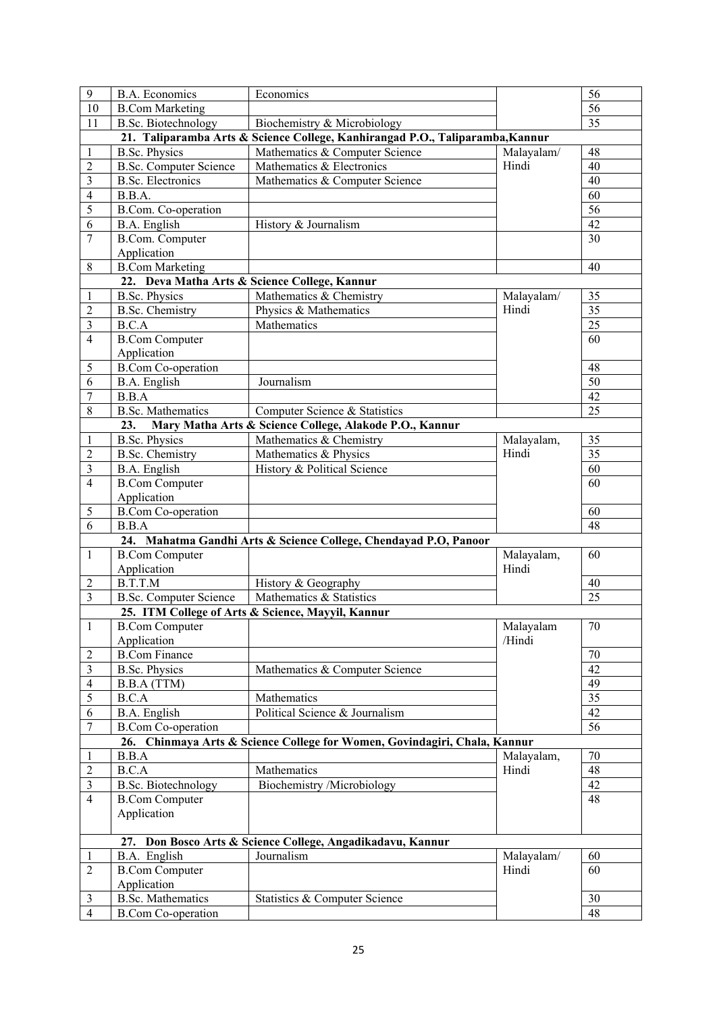| $\mathbf{9}$             | <b>B.A. Economics</b>                                 | Economics                                                                     |            | 56              |
|--------------------------|-------------------------------------------------------|-------------------------------------------------------------------------------|------------|-----------------|
| 10                       | <b>B.Com Marketing</b>                                |                                                                               |            | 56              |
| 11                       | <b>B.Sc. Biotechnology</b>                            | Biochemistry & Microbiology                                                   |            | 35              |
|                          |                                                       | 21. Taliparamba Arts & Science College, Kanhirangad P.O., Taliparamba, Kannur |            |                 |
| 1                        | <b>B.Sc. Physics</b>                                  | Mathematics & Computer Science                                                | Malayalam/ | 48              |
| $\overline{2}$           | <b>B.Sc. Computer Science</b>                         | Mathematics & Electronics                                                     | Hindi      | 40              |
| $\mathfrak{Z}$           | <b>B.Sc. Electronics</b>                              | Mathematics & Computer Science                                                |            | 40              |
| $\overline{\mathcal{A}}$ | B.B.A.                                                |                                                                               |            | 60              |
| 5                        | B.Com. Co-operation                                   |                                                                               |            | 56              |
| 6                        | B.A. English                                          | History & Journalism                                                          |            | 42              |
| 7                        | <b>B.Com.</b> Computer                                |                                                                               |            | 30              |
|                          | Application                                           |                                                                               |            |                 |
| 8                        | <b>B.Com Marketing</b>                                |                                                                               |            | 40              |
|                          |                                                       | 22. Deva Matha Arts & Science College, Kannur                                 |            |                 |
| $\mathbf{1}$             | <b>B.Sc. Physics</b>                                  | Mathematics & Chemistry                                                       | Malayalam/ | 35              |
| $\boldsymbol{2}$         | <b>B.Sc. Chemistry</b>                                | Physics & Mathematics                                                         | Hindi      | 35              |
| $\mathfrak{Z}$           | <b>B.C.A</b>                                          | Mathematics                                                                   |            | $\overline{25}$ |
|                          | <b>B.Com Computer</b>                                 |                                                                               |            | 60              |
| 4                        |                                                       |                                                                               |            |                 |
|                          | Application                                           |                                                                               |            |                 |
| 5                        | <b>B.Com Co-operation</b>                             |                                                                               |            | 48              |
| 6                        | B.A. English                                          | Journalism                                                                    |            | $\overline{50}$ |
| 7                        | B.B.A                                                 |                                                                               |            | 42              |
| 8                        | <b>B.Sc. Mathematics</b>                              | Computer Science & Statistics                                                 |            | 25              |
|                          | 23.                                                   | Mary Matha Arts & Science College, Alakode P.O., Kannur                       |            |                 |
| $\mathbf{1}$             | <b>B.Sc. Physics</b>                                  | Mathematics & Chemistry                                                       | Malayalam, | 35              |
| $\overline{c}$           | <b>B.Sc. Chemistry</b>                                | Mathematics & Physics                                                         | Hindi      | 35              |
| $\mathfrak{Z}$           | B.A. English                                          | History & Political Science                                                   |            | 60              |
| $\overline{4}$           | <b>B.Com Computer</b>                                 |                                                                               |            | 60              |
|                          | Application                                           |                                                                               |            |                 |
| 5                        | <b>B.Com Co-operation</b>                             |                                                                               |            | 60              |
| 6                        | B.B.A                                                 |                                                                               |            | 48              |
|                          |                                                       | 24. Mahatma Gandhi Arts & Science College, Chendayad P.O, Panoor              |            |                 |
| 1                        | <b>B.Com Computer</b>                                 |                                                                               | Malayalam, | 60              |
|                          | Application                                           |                                                                               | Hindi      |                 |
| 2                        | B.T.T.M                                               | History & Geography                                                           |            | 40              |
| $\overline{3}$           | <b>B.Sc. Computer Science</b>                         | Mathematics & Statistics                                                      |            | 25              |
|                          |                                                       | 25. ITM College of Arts & Science, Mayyil, Kannur                             |            |                 |
| $\mathbf{1}$             | <b>B.Com Computer</b>                                 |                                                                               | Malayalam  | $\overline{70}$ |
|                          | Application                                           |                                                                               | /Hindi     |                 |
| 2                        | <b>B.Com Finance</b>                                  |                                                                               |            | 70              |
| 3                        | <b>B.Sc. Physics</b>                                  | Mathematics & Computer Science                                                |            | 42              |
| 4                        | B.B.A (TTM)                                           |                                                                               |            | 49              |
| 5                        | B.C.A                                                 | Mathematics                                                                   |            | $\overline{35}$ |
| 6                        | B.A. English                                          | Political Science & Journalism                                                |            | 42              |
| 7                        | <b>B.Com Co-operation</b>                             |                                                                               |            | 56              |
|                          |                                                       | 26. Chinmaya Arts & Science College for Women, Govindagiri, Chala, Kannur     |            |                 |
| 1                        | B.B.A                                                 |                                                                               | Malayalam, | 70              |
| $\mathfrak{2}$           | B.C.A                                                 | Mathematics                                                                   | Hindi      | 48              |
| 3                        | <b>B.Sc. Biotechnology</b>                            | Biochemistry /Microbiology                                                    |            | 42              |
|                          |                                                       |                                                                               |            | 48              |
| $\overline{4}$           | <b>B.Com Computer</b>                                 |                                                                               |            |                 |
|                          | Application                                           |                                                                               |            |                 |
|                          |                                                       |                                                                               |            |                 |
|                          |                                                       | 27. Don Bosco Arts & Science College, Angadikadavu, Kannur                    |            |                 |
| 1                        | B.A. English<br><b>B.Com Computer</b>                 | Journalism                                                                    | Malayalam/ | 60              |
| $\overline{2}$           |                                                       |                                                                               | Hindi      | 60              |
|                          |                                                       |                                                                               |            |                 |
|                          | Application                                           |                                                                               |            |                 |
| 3<br>$\overline{4}$      | <b>B.Sc. Mathematics</b><br><b>B.Com Co-operation</b> | Statistics & Computer Science                                                 |            | 30<br>48        |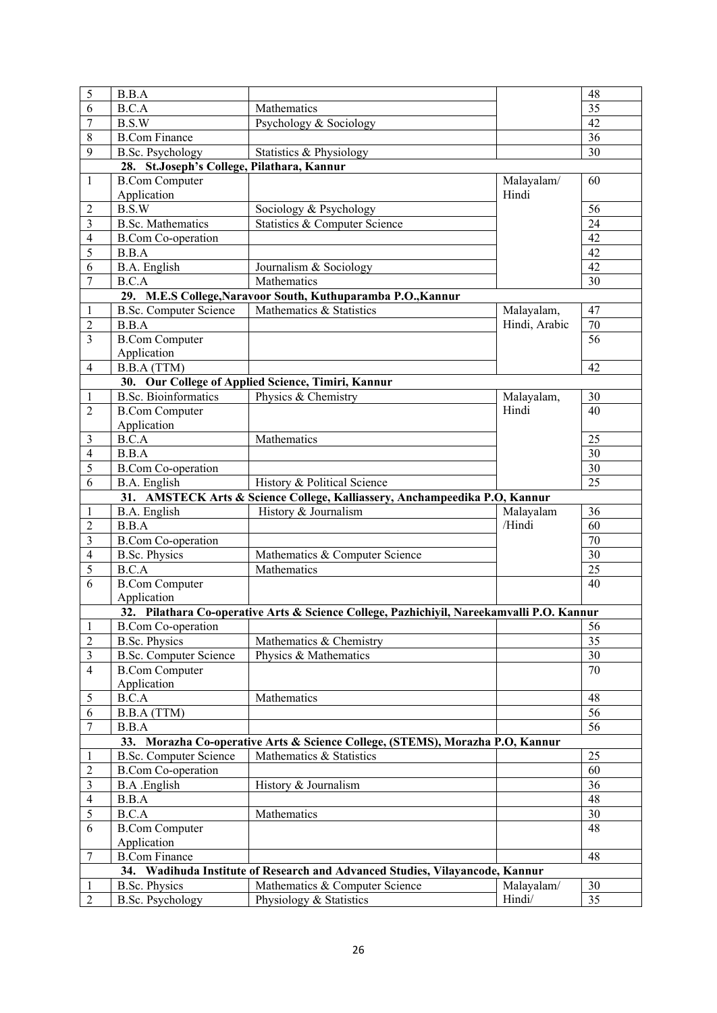| 5                   | B.B.A                                      |                                                                                           |                 | 48              |
|---------------------|--------------------------------------------|-------------------------------------------------------------------------------------------|-----------------|-----------------|
| 6                   | <b>B.C.A</b>                               | Mathematics                                                                               | $\overline{35}$ |                 |
| $\overline{7}$      | B.S.W                                      | Psychology & Sociology                                                                    |                 | 42              |
| $\,$ 8 $\,$         | <b>B.Com Finance</b>                       |                                                                                           |                 | 36              |
| 9                   | <b>B.Sc. Psychology</b>                    | Statistics & Physiology                                                                   |                 | 30              |
|                     | 28. St.Joseph's College, Pilathara, Kannur |                                                                                           |                 |                 |
| 1                   | <b>B.Com Computer</b>                      |                                                                                           | Malayalam/      | 60              |
|                     | Application                                |                                                                                           | Hindi           |                 |
| $\overline{2}$      | B.S.W                                      | Sociology & Psychology                                                                    |                 | 56              |
| 3                   | <b>B.Sc. Mathematics</b>                   | <b>Statistics &amp; Computer Science</b>                                                  |                 | 24              |
| 4                   | <b>B.Com Co-operation</b>                  |                                                                                           |                 | 42              |
| 5                   | B.B.A                                      |                                                                                           |                 | 42              |
| 6                   | B.A. English                               | Journalism & Sociology                                                                    |                 | 42              |
| 7                   | B.C.A                                      | Mathematics                                                                               |                 | 30              |
|                     |                                            | 29. M.E.S College, Naravoor South, Kuthuparamba P.O., Kannur                              |                 |                 |
|                     | <b>B.Sc. Computer Science</b>              | Mathematics & Statistics                                                                  | Malayalam,      | 47              |
| 1<br>$\overline{2}$ | B.B.A                                      |                                                                                           | Hindi, Arabic   | $70\,$          |
| $\mathfrak{Z}$      | <b>B.Com Computer</b>                      |                                                                                           |                 | $\overline{56}$ |
|                     |                                            |                                                                                           |                 |                 |
|                     | Application                                |                                                                                           |                 | 42              |
| 4                   | B.B.A (TTM)                                |                                                                                           |                 |                 |
|                     |                                            | 30. Our College of Applied Science, Timiri, Kannur                                        |                 |                 |
| $\mathbf{1}$        | <b>B.Sc. Bioinformatics</b>                | Physics & Chemistry                                                                       | Malayalam,      | 30              |
| $\overline{2}$      | <b>B.Com Computer</b>                      |                                                                                           | Hindi           | 40              |
|                     | Application                                |                                                                                           |                 |                 |
| 3                   | B.C.A                                      | Mathematics                                                                               |                 | 25              |
| $\overline{4}$<br>5 | B.B.A                                      |                                                                                           |                 | 30              |
|                     | <b>B.Com Co-operation</b>                  |                                                                                           |                 | 30              |
|                     | B.A. English                               | History & Political Science                                                               |                 | 25              |
|                     |                                            | 31. AMSTECK Arts & Science College, Kalliassery, Anchampeedika P.O, Kannur                |                 |                 |
|                     | B.A. English                               | History & Journalism                                                                      | Malayalam       | 36              |
|                     | B.B.A                                      |                                                                                           | /Hindi          | 60              |
|                     | <b>B.Com Co-operation</b>                  |                                                                                           |                 | 70              |
|                     | <b>B.Sc. Physics</b>                       | Mathematics & Computer Science                                                            |                 | 30              |
| 5                   | B.C.A                                      | Mathematics                                                                               |                 | $\overline{25}$ |
|                     | <b>B.Com Computer</b>                      |                                                                                           |                 | 40              |
|                     | Application                                |                                                                                           |                 |                 |
|                     |                                            | 32. Pilathara Co-operative Arts & Science College, Pazhichiyil, Nareekamvalli P.O. Kannur |                 |                 |
|                     | <b>B.Com Co-operation</b>                  |                                                                                           |                 | 56              |
| $\overline{2}$      | <b>B.Sc. Physics</b>                       | Mathematics & Chemistry                                                                   |                 | 35              |
| 3                   | <b>B.Sc. Computer Science</b>              | Physics & Mathematics                                                                     |                 | 30              |
| $\overline{4}$      | <b>B.Com Computer</b>                      |                                                                                           |                 | 70              |
|                     | Application                                |                                                                                           |                 |                 |
| 5                   | B.C.A                                      | Mathematics                                                                               |                 | 48              |
| 6                   | B.B.A (TTM)                                |                                                                                           |                 | 56              |
| 7                   | B.B.A                                      |                                                                                           |                 | 56              |
|                     |                                            | 33. Morazha Co-operative Arts & Science College, (STEMS), Morazha P.O, Kannur             |                 |                 |
| 1                   | <b>B.Sc. Computer Science</b>              | Mathematics & Statistics                                                                  |                 | 25              |
| $\overline{2}$      | <b>B.Com Co-operation</b>                  |                                                                                           |                 | 60              |
| $\mathfrak{Z}$      | <b>B.A</b> .English                        | History & Journalism                                                                      |                 | 36              |
| 4                   | B.B.A                                      |                                                                                           |                 | 48              |
| 5                   | B.C.A                                      | Mathematics                                                                               |                 | 30              |
| 6                   | <b>B.Com Computer</b>                      |                                                                                           |                 | 48              |
|                     | Application                                |                                                                                           |                 |                 |
| 7                   | <b>B.Com Finance</b>                       |                                                                                           |                 | 48              |
|                     |                                            | 34. Wadihuda Institute of Research and Advanced Studies, Vilayancode, Kannur              |                 |                 |
| 1                   | <b>B.Sc. Physics</b>                       | Mathematics & Computer Science                                                            | Malayalam/      | 30              |
| $\overline{2}$      | <b>B.Sc. Psychology</b>                    | Physiology & Statistics                                                                   | Hindi/          | 35              |
|                     |                                            |                                                                                           |                 |                 |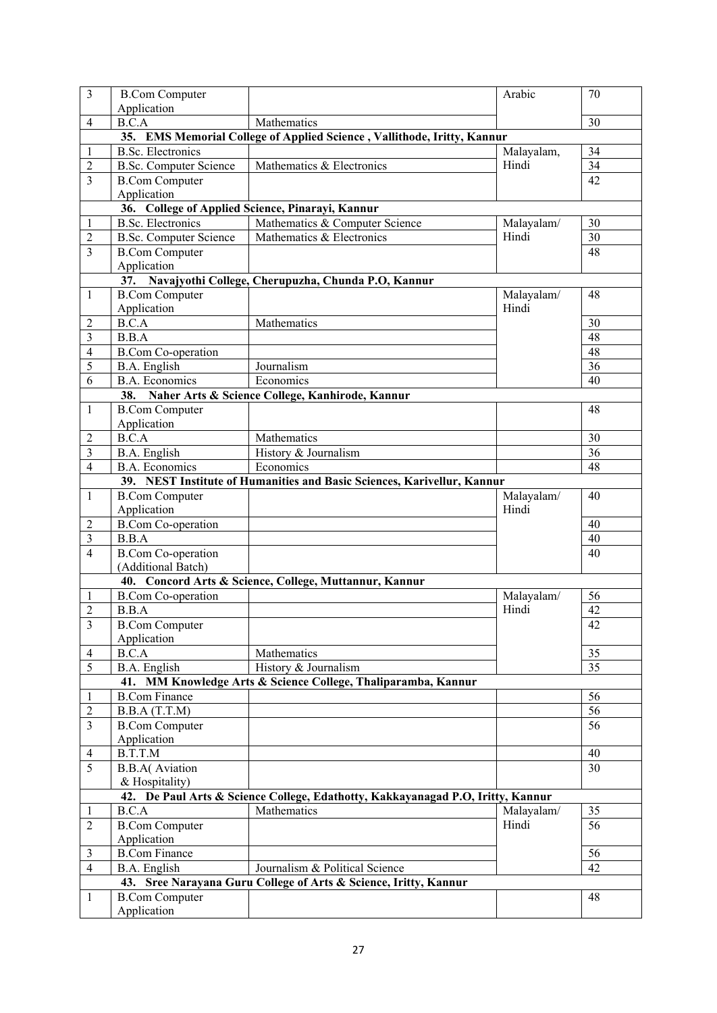| $\overline{3}$ | <b>B.Com Computer</b>         |                                                                                 | Arabic     | 70              |
|----------------|-------------------------------|---------------------------------------------------------------------------------|------------|-----------------|
|                | Application                   |                                                                                 |            |                 |
| $\overline{4}$ | B.C.A                         | Mathematics                                                                     |            | 30              |
|                |                               | 35. EMS Memorial College of Applied Science, Vallithode, Iritty, Kannur         |            |                 |
| 1              | <b>B.Sc. Electronics</b>      |                                                                                 | Malayalam, | 34              |
| 2              | <b>B.Sc. Computer Science</b> | Mathematics & Electronics                                                       | Hindi      | $\overline{34}$ |
| 3              | <b>B.Com Computer</b>         |                                                                                 |            | $\overline{42}$ |
|                | Application                   |                                                                                 |            |                 |
|                |                               | 36. College of Applied Science, Pinarayi, Kannur                                |            |                 |
| 1              | <b>B.Sc. Electronics</b>      | Mathematics & Computer Science                                                  | Malayalam/ | 30              |
| 2              | <b>B.Sc. Computer Science</b> | Mathematics & Electronics                                                       | Hindi      | 30              |
| 3              | <b>B.Com Computer</b>         |                                                                                 |            | 48              |
|                | Application                   |                                                                                 |            |                 |
|                |                               | 37. Navajyothi College, Cherupuzha, Chunda P.O, Kannur                          |            |                 |
| $\mathbf{1}$   | <b>B.Com Computer</b>         |                                                                                 | Malayalam/ | 48              |
|                | Application                   |                                                                                 | Hindi      |                 |
| 2              | B.C.A                         | Mathematics                                                                     |            | 30              |
| 3              | B.B.A                         |                                                                                 |            | 48              |
| 4              | <b>B.Com Co-operation</b>     |                                                                                 |            | 48              |
|                |                               | Journalism                                                                      |            | 36              |
| 5              | B.A. English                  |                                                                                 |            |                 |
| 6              | <b>B.A. Economics</b>         | Economics                                                                       |            | 40              |
|                |                               | 38. Naher Arts & Science College, Kanhirode, Kannur                             |            |                 |
| $\mathbf{1}$   | <b>B.Com Computer</b>         |                                                                                 |            | 48              |
|                | Application                   |                                                                                 |            |                 |
| $\overline{c}$ | B.C.A                         | Mathematics                                                                     |            | 30              |
| $\mathfrak{Z}$ | B.A. English                  | History & Journalism                                                            |            | 36              |
| 4              | <b>B.A. Economics</b>         | Economics                                                                       |            | 48              |
|                |                               | 39. NEST Institute of Humanities and Basic Sciences, Karivellur, Kannur         |            |                 |
| 1              | <b>B.Com Computer</b>         |                                                                                 | Malayalam/ | 40              |
|                | Application                   |                                                                                 | Hindi      |                 |
| 2              | <b>B.Com Co-operation</b>     |                                                                                 |            | 40              |
| $\mathfrak{Z}$ | B.B.A                         |                                                                                 |            | 40              |
| 4              | <b>B.Com Co-operation</b>     |                                                                                 |            | 40              |
|                | (Additional Batch)            |                                                                                 |            |                 |
|                |                               | 40. Concord Arts & Science, College, Muttannur, Kannur                          |            |                 |
| 1              | <b>B.Com Co-operation</b>     |                                                                                 | Malayalam/ | 56              |
| $\overline{2}$ | B.B.A                         |                                                                                 | Hindi      | 42              |
| 3              | <b>B.Com Computer</b>         |                                                                                 |            | 42              |
|                | Application                   |                                                                                 |            |                 |
| 4              | B.C.A                         | Mathematics                                                                     |            | 35              |
| 5              | B.A. English                  | History & Journalism                                                            |            | 35              |
|                |                               | 41. MM Knowledge Arts & Science College, Thaliparamba, Kannur                   |            |                 |
|                |                               |                                                                                 |            | 56              |
| 1              | <b>B.Com Finance</b>          |                                                                                 |            |                 |
| $\overline{c}$ | B.B.A(T.T.M)                  |                                                                                 |            | 56              |
| 3              | <b>B.Com Computer</b>         |                                                                                 |            | 56              |
|                | Application                   |                                                                                 |            |                 |
| 4              | B.T.T.M                       |                                                                                 |            | 40              |
| 5              | <b>B.B.A</b> (Aviation        |                                                                                 |            | 30              |
|                | & Hospitality)                |                                                                                 |            |                 |
|                |                               | 42. De Paul Arts & Science College, Edathotty, Kakkayanagad P.O, Iritty, Kannur |            |                 |
| 1              | B.C.A                         | Mathematics                                                                     | Malayalam/ | 35              |
| 2              | <b>B.Com Computer</b>         |                                                                                 | Hindi      | 56              |
|                | Application                   |                                                                                 |            |                 |
| 3              | <b>B.Com Finance</b>          |                                                                                 |            | 56              |
| $\overline{4}$ | B.A. English                  | Journalism & Political Science                                                  |            | 42              |
|                |                               | 43. Sree Narayana Guru College of Arts & Science, Iritty, Kannur                |            |                 |
| 1              | <b>B.Com Computer</b>         |                                                                                 |            | 48              |
|                | Application                   |                                                                                 |            |                 |
|                |                               |                                                                                 |            |                 |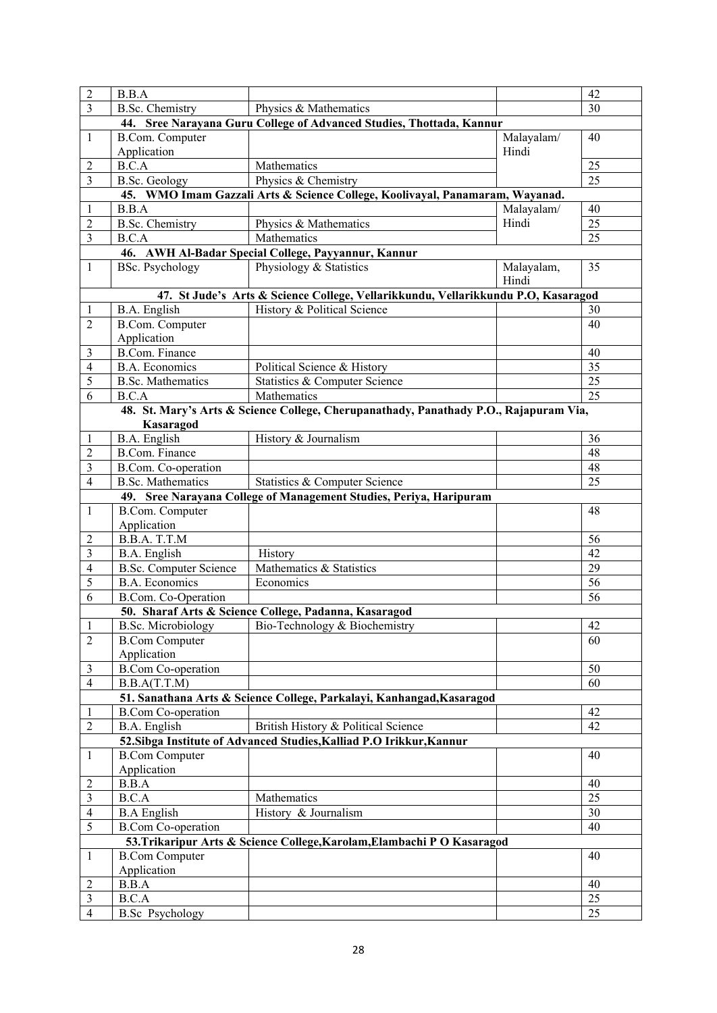| $\overline{2}$ | B.B.A                                |                                                                                       |                     | 42              |
|----------------|--------------------------------------|---------------------------------------------------------------------------------------|---------------------|-----------------|
| 3              | <b>B.Sc. Chemistry</b>               | Physics & Mathematics                                                                 |                     | 30              |
|                |                                      | 44. Sree Narayana Guru College of Advanced Studies, Thottada, Kannur                  |                     |                 |
| 1              | <b>B.Com.</b> Computer               |                                                                                       | Malayalam/          | 40              |
|                | Application                          |                                                                                       | Hindi               |                 |
| 2              | B.C.A                                | Mathematics                                                                           |                     | 25              |
| $\mathfrak{Z}$ | <b>B.Sc. Geology</b>                 | Physics & Chemistry                                                                   |                     | $\overline{25}$ |
|                |                                      | 45. WMO Imam Gazzali Arts & Science College, Koolivayal, Panamaram, Wayanad.          |                     |                 |
| 1              | B.B.A                                |                                                                                       | Malayalam/          | 40              |
| $\overline{2}$ | <b>B.Sc. Chemistry</b>               | Physics & Mathematics                                                                 | Hindi               | 25              |
| $\mathfrak{Z}$ | B.C.A                                | Mathematics                                                                           |                     | 25              |
|                |                                      | 46. AWH Al-Badar Special College, Payyannur, Kannur                                   |                     |                 |
| 1              | <b>BSc. Psychology</b>               | Physiology & Statistics                                                               | Malayalam,<br>Hindi | 35              |
|                |                                      | 47. St Jude's Arts & Science College, Vellarikkundu, Vellarikkundu P.O, Kasaragod     |                     |                 |
| 1              | B.A. English                         | History & Political Science                                                           |                     | 30              |
| 2              | B.Com. Computer                      |                                                                                       |                     | 40              |
|                | Application                          |                                                                                       |                     |                 |
| 3              | <b>B.Com. Finance</b>                |                                                                                       |                     | 40              |
| $\overline{4}$ | <b>B.A.</b> Economics                | Political Science & History                                                           |                     | 35              |
| 5              | <b>B.Sc. Mathematics</b>             | Statistics & Computer Science                                                         |                     | 25              |
| 6              | B.C.A                                | Mathematics                                                                           |                     | 25              |
|                |                                      | 48. St. Mary's Arts & Science College, Cherupanathady, Panathady P.O., Rajapuram Via, |                     |                 |
|                | Kasaragod                            |                                                                                       |                     |                 |
| 1              | B.A. English                         | History & Journalism                                                                  |                     | 36              |
| 2              | <b>B.Com. Finance</b>                |                                                                                       |                     | 48              |
| 3              | B.Com. Co-operation                  |                                                                                       |                     | 48              |
| $\overline{4}$ | <b>B.Sc. Mathematics</b>             | Statistics & Computer Science                                                         |                     | 25              |
|                |                                      | 49. Sree Narayana College of Management Studies, Periya, Haripuram                    |                     |                 |
| 1              | <b>B.Com.</b> Computer               |                                                                                       |                     | 48              |
|                | Application                          |                                                                                       |                     |                 |
| 2              | B.B.A. T.T.M                         |                                                                                       |                     | 56              |
| 3              | B.A. English                         | History                                                                               |                     | 42              |
| 4              | <b>B.Sc. Computer Science</b>        | Mathematics & Statistics                                                              |                     | 29              |
| 5              | <b>B.A. Economics</b>                | Economics                                                                             |                     | 56              |
| 6              | B.Com. Co-Operation                  |                                                                                       |                     | 56              |
|                |                                      | 50. Sharaf Arts & Science College, Padanna, Kasaragod                                 |                     |                 |
| $\,1$<br>2     |                                      | B.Sc. Microbiology Bio-Technology & Biochemistry                                      |                     | 42<br>60        |
|                | <b>B.Com Computer</b><br>Application |                                                                                       |                     |                 |
| 3              | <b>B.Com Co-operation</b>            |                                                                                       |                     | 50              |
| $\overline{4}$ | B.B.A(T.T.M)                         |                                                                                       |                     | 60              |
|                |                                      | 51. Sanathana Arts & Science College, Parkalayi, Kanhangad, Kasaragod                 |                     |                 |
| 1              | <b>B.Com Co-operation</b>            |                                                                                       |                     | 42              |
| $\overline{2}$ | <b>B.A.</b> English                  | British History & Political Science                                                   |                     | 42              |
|                |                                      | 52. Sibga Institute of Advanced Studies, Kalliad P.O Irikkur, Kannur                  |                     |                 |
| 1              | <b>B.Com Computer</b>                |                                                                                       |                     | 40              |
|                | Application                          |                                                                                       |                     |                 |
| $\overline{2}$ | B.B.A                                |                                                                                       |                     | 40              |
| 3              | B.C.A                                | Mathematics                                                                           |                     | 25              |
| 4              | <b>B.A English</b>                   | History & Journalism                                                                  |                     | 30              |
| 5              | <b>B.Com Co-operation</b>            |                                                                                       |                     | 40              |
|                |                                      | 53. Trikaripur Arts & Science College, Karolam, Elambachi P O Kasaragod               |                     |                 |
| 1              | <b>B.Com Computer</b>                |                                                                                       |                     | 40              |
|                | Application                          |                                                                                       |                     |                 |
| 2              | B.B.A                                |                                                                                       |                     | 40              |
| 3              | B.C.A                                |                                                                                       |                     | 25              |
| $\overline{4}$ | <b>B.Sc</b> Psychology               |                                                                                       |                     | 25              |
|                |                                      |                                                                                       |                     |                 |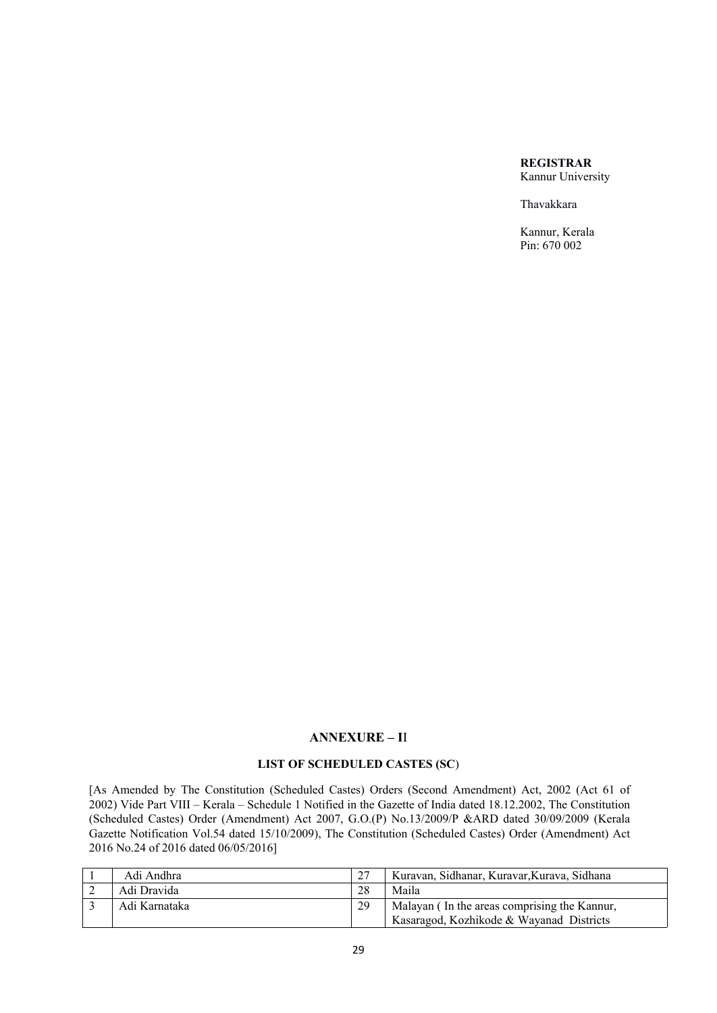### **REGISTRAR** Kannur University

Thavakkara

Kannur, Kerala Pin: 670 002

# **ANNEXURE – I**I

# **LIST OF SCHEDULED CASTES (SC**)

[As Amended by The Constitution (Scheduled Castes) Orders (Second Amendment) Act, 2002 (Act 61 of 2002) Vide Part VIII – Kerala – Schedule 1 Notified in the Gazette of India dated 18.12.2002, The Constitution (Scheduled Castes) Order (Amendment) Act 2007, G.O.(P) No.13/2009/P &ARD dated 30/09/2009 (Kerala Gazette Notification Vol.54 dated 15/10/2009), The Constitution (Scheduled Castes) Order (Amendment) Act 2016 No.24 of 2016 dated 06/05/2016]

| Adi Andhra    |    | Kuravan, Sidhanar, Kuravar, Kurava, Sidhana  |
|---------------|----|----------------------------------------------|
| Adi Dravida   | 28 | Maila                                        |
| Adi Karnataka | 29 | Malayan (In the areas comprising the Kannur, |
|               |    | Kasaragod, Kozhikode & Wayanad Districts     |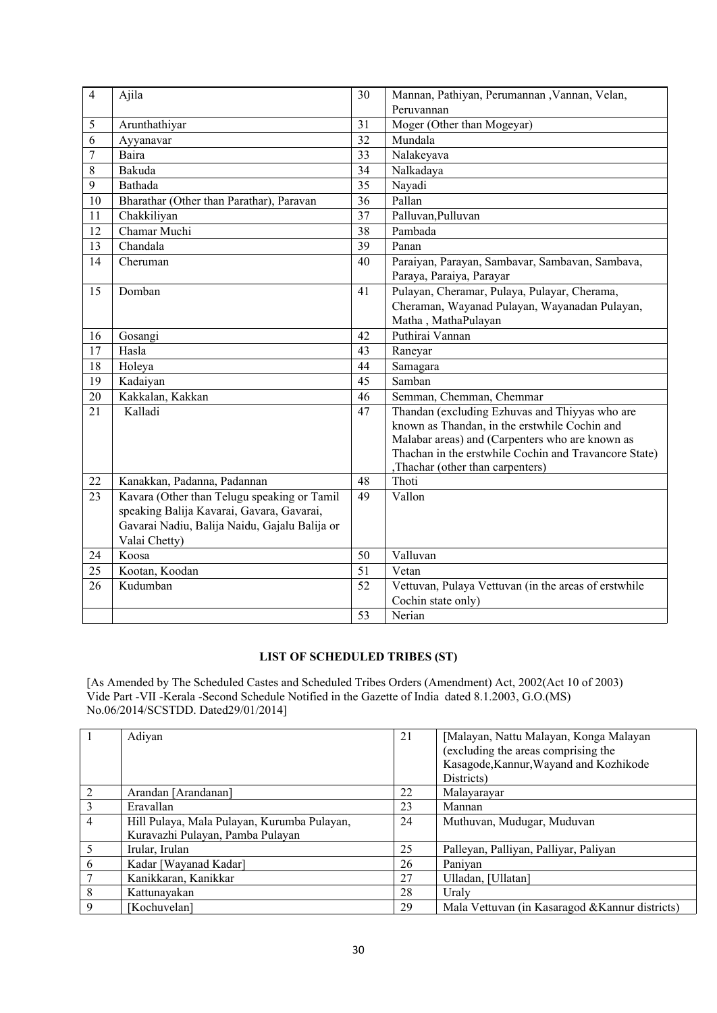| $\overline{4}$ | Ajila                                         | 30              | Mannan, Pathiyan, Perumannan , Vannan, Velan,         |
|----------------|-----------------------------------------------|-----------------|-------------------------------------------------------|
|                |                                               |                 | Peruvannan                                            |
| 5              | Arunthathiyar                                 | 31              | Moger (Other than Mogeyar)                            |
| 6              | Ayyanavar                                     | 32              | Mundala                                               |
| 7              | Baira                                         | 33              | Nalakeyava                                            |
| 8              | Bakuda                                        | 34              | Nalkadaya                                             |
| 9              | Bathada                                       | 35              | Nayadi                                                |
| 10             | Bharathar (Other than Parathar), Paravan      | 36              | Pallan                                                |
| 11             | Chakkiliyan                                   | $\overline{37}$ | Palluvan, Pulluvan                                    |
| 12             | Chamar Muchi                                  | 38              | Pambada                                               |
| 13             | Chandala                                      | 39              | Panan                                                 |
| 14             | Cheruman                                      | 40              | Paraiyan, Parayan, Sambavar, Sambavan, Sambava,       |
|                |                                               |                 | Paraya, Paraiya, Parayar                              |
| 15             | Domban                                        | 41              | Pulayan, Cheramar, Pulaya, Pulayar, Cherama,          |
|                |                                               |                 | Cheraman, Wayanad Pulayan, Wayanadan Pulayan,         |
|                |                                               |                 | Matha, MathaPulayan                                   |
| 16             | Gosangi                                       | 42              | Puthirai Vannan                                       |
| 17             | Hasla                                         | 43              | Raneyar                                               |
| 18             | Holeya                                        | 44              | Samagara                                              |
| 19             | Kadaiyan                                      | 45              | Samban                                                |
| 20             | Kakkalan, Kakkan                              | 46              | Semman, Chemman, Chemmar                              |
| 21             | Kalladi                                       | 47              | Thandan (excluding Ezhuvas and Thiyyas who are        |
|                |                                               |                 | known as Thandan, in the erstwhile Cochin and         |
|                |                                               |                 | Malabar areas) and (Carpenters who are known as       |
|                |                                               |                 | Thachan in the erstwhile Cochin and Travancore State) |
|                |                                               |                 | ,Thachar (other than carpenters)<br>Thoti             |
| 22             | Kanakkan, Padanna, Padannan                   | 48              |                                                       |
| 23             | Kavara (Other than Telugu speaking or Tamil   | 49              | Vallon                                                |
|                | speaking Balija Kavarai, Gavara, Gavarai,     |                 |                                                       |
|                | Gavarai Nadiu, Balija Naidu, Gajalu Balija or |                 |                                                       |
|                | Valai Chetty)                                 |                 |                                                       |
| 24             | Koosa                                         | 50              | Valluvan                                              |
| 25             | Kootan, Koodan                                | 51              | Vetan                                                 |
| 26             | Kudumban                                      | 52              | Vettuvan, Pulaya Vettuvan (in the areas of erstwhile  |
|                |                                               |                 | Cochin state only)                                    |
|                |                                               | 53              | Nerian                                                |

# **LIST OF SCHEDULED TRIBES (ST)**

[As Amended by The Scheduled Castes and Scheduled Tribes Orders (Amendment) Act, 2002(Act 10 of 2003) Vide Part -VII -Kerala -Second Schedule Notified in the Gazette of India dated 8.1.2003, G.O.(MS) No.06/2014/SCSTDD. Dated29/01/2014]

|                          | Adiyan                                      | 21 | [Malayan, Nattu Malayan, Konga Malayan          |
|--------------------------|---------------------------------------------|----|-------------------------------------------------|
|                          |                                             |    | (excluding the areas comprising the             |
|                          |                                             |    | Kasagode, Kannur, Wayand and Kozhikode          |
|                          |                                             |    | Districts)                                      |
| 2                        | Arandan [Arandanan]                         | 22 | Malayarayar                                     |
| $\overline{3}$           | Eravallan                                   | 23 | Mannan                                          |
| $\overline{4}$           | Hill Pulaya, Mala Pulayan, Kurumba Pulayan, | 24 | Muthuvan, Mudugar, Muduvan                      |
|                          | Kuravazhi Pulayan, Pamba Pulayan            |    |                                                 |
| $\overline{\mathcal{L}}$ | Irular, Irulan                              | 25 | Palleyan, Palliyan, Palliyar, Paliyan           |
| 6                        | Kadar [Wayanad Kadar]                       | 26 | Paniyan                                         |
| 7                        | Kanikkaran, Kanikkar                        | 27 | Ulladan, [Ullatan]                              |
| 8                        | Kattunayakan                                | 28 | Uraly                                           |
| 9                        | [Kochuvelan]                                | 29 | Mala Vettuvan (in Kasaragod & Kannur districts) |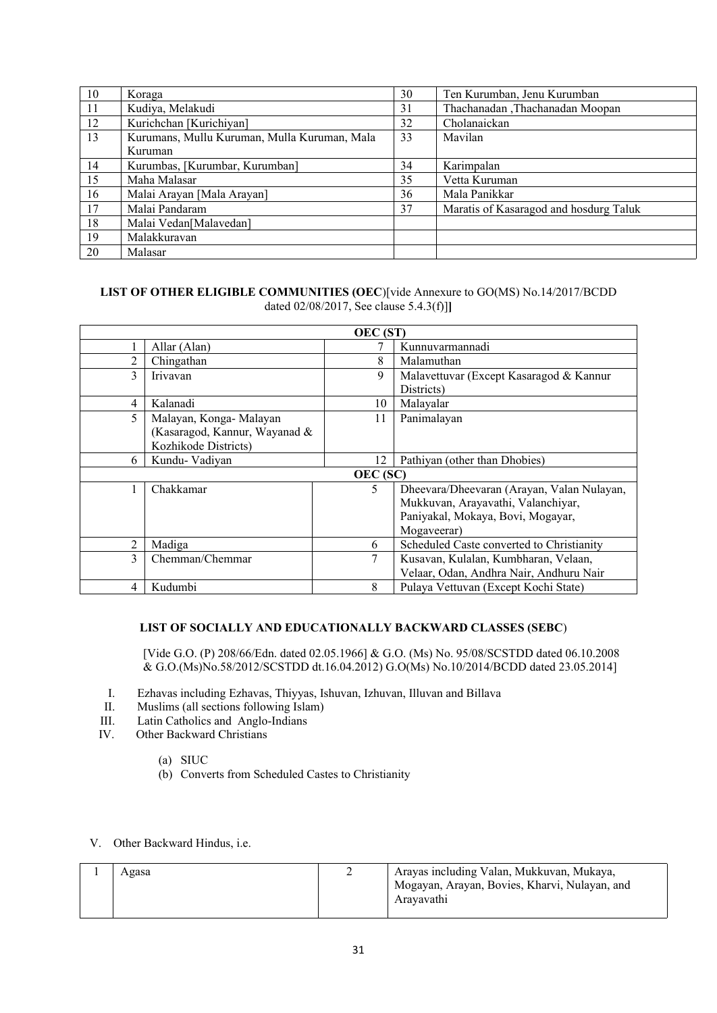| 10 | Koraga                                       | 30 | Ten Kurumban, Jenu Kurumban            |
|----|----------------------------------------------|----|----------------------------------------|
| 11 | Kudiya, Melakudi                             | 31 | Thachanadan ,Thachanadan Moopan        |
| 12 | Kurichchan [Kurichiyan]                      | 32 | Cholanaickan                           |
| 13 | Kurumans, Mullu Kuruman, Mulla Kuruman, Mala | 33 | Mavilan                                |
|    | Kuruman                                      |    |                                        |
| 14 | Kurumbas, [Kurumbar, Kurumban]               | 34 | Karimpalan                             |
| 15 | Maha Malasar                                 | 35 | Vetta Kuruman                          |
| 16 | Malai Arayan [Mala Arayan]                   | 36 | Mala Panikkar                          |
| 17 | Malai Pandaram                               | 37 | Maratis of Kasaragod and hosdurg Taluk |
| 18 | Malai Vedan[Malavedan]                       |    |                                        |
| 19 | Malakkuravan                                 |    |                                        |
| 20 | Malasar                                      |    |                                        |

### **LIST OF OTHER ELIGIBLE COMMUNITIES (OEC**)[vide Annexure to GO(MS) No.14/2017/BCDD dated 02/08/2017, See clause 5.4.3(f)]**]**

|   |                               | <b>OEC</b> (ST) |                                            |
|---|-------------------------------|-----------------|--------------------------------------------|
|   | Allar (Alan)                  |                 | Kunnuvarmannadi                            |
| 2 | Chingathan                    | 8               | Malamuthan                                 |
| 3 | Iriyayan                      | 9               | Malavettuvar (Except Kasaragod & Kannur    |
|   |                               |                 | Districts)                                 |
| 4 | Kalanadi                      | 10              | Malayalar                                  |
| 5 | Malayan, Konga-Malayan        | 11              | Panimalayan                                |
|   | (Kasaragod, Kannur, Wayanad & |                 |                                            |
|   | Kozhikode Districts)          |                 |                                            |
| 6 | Kundu- Vadiyan                | 12              | Pathiyan (other than Dhobies)              |
|   |                               | OEC (SC)        |                                            |
|   | Chakkamar                     | 5               | Dheevara/Dheevaran (Arayan, Valan Nulayan, |
|   |                               |                 | Mukkuvan, Arayavathi, Valanchiyar,         |
|   |                               |                 | Paniyakal, Mokaya, Bovi, Mogayar,          |
|   |                               |                 | Mogaveerar)                                |
| 2 | Madiga                        | 6               | Scheduled Caste converted to Christianity  |
| 3 | Chemman/Chemmar               | 7               | Kusavan, Kulalan, Kumbharan, Velaan,       |
|   |                               |                 | Velaar, Odan, Andhra Nair, Andhuru Nair    |
| 4 | Kudumbi                       | 8               | Pulaya Vettuvan (Except Kochi State)       |

# **LIST OF SOCIALLY AND EDUCATIONALLY BACKWARD CLASSES (SEBC**)

[Vide G.O. (P) 208/66/Edn. dated 02.05.1966] & G.O. (Ms) No. 95/08/SCSTDD dated 06.10.2008 & G.O.(Ms)No.58/2012/SCSTDD dt.16.04.2012) G.O(Ms) No.10/2014/BCDD dated 23.05.2014]

- I. Ezhavas including Ezhavas, Thiyyas, Ishuvan, Izhuvan, Illuvan and Billava
- II. Muslims (all sections following Islam)
- III. Latin Catholics and Anglo-Indians<br>IV. Other Backward Christians
- Other Backward Christians
	- (a) SIUC
	- (b) Converts from Scheduled Castes to Christianity

### V. Other Backward Hindus, i.e.

| Agasa | Arayas including Valan, Mukkuvan, Mukaya,     |
|-------|-----------------------------------------------|
|       | Mogayan, Arayan, Bovies, Kharvi, Nulayan, and |
|       | Aravavathi                                    |
|       |                                               |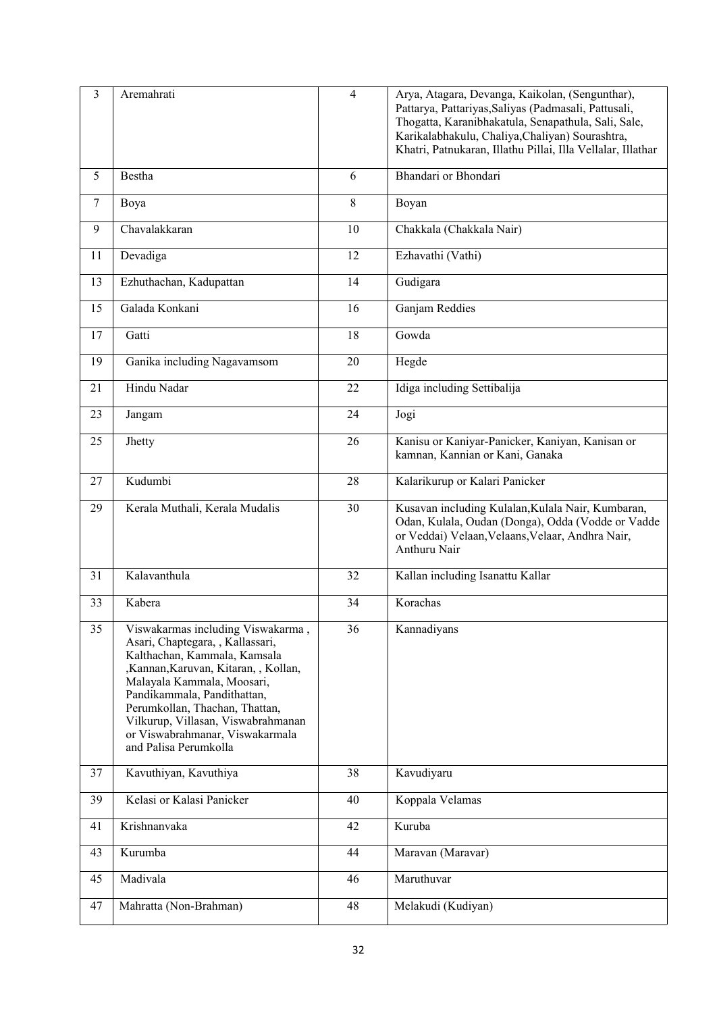| $\overline{3}$ | Aremahrati                                                                                                                                                                                                                                                                                                                                    | $\overline{4}$ | Arya, Atagara, Devanga, Kaikolan, (Sengunthar),<br>Pattarya, Pattariyas, Saliyas (Padmasali, Pattusali,<br>Thogatta, Karanibhakatula, Senapathula, Sali, Sale,<br>Karikalabhakulu, Chaliya, Chaliyan) Sourashtra,<br>Khatri, Patnukaran, Illathu Pillai, Illa Vellalar, Illathar |
|----------------|-----------------------------------------------------------------------------------------------------------------------------------------------------------------------------------------------------------------------------------------------------------------------------------------------------------------------------------------------|----------------|----------------------------------------------------------------------------------------------------------------------------------------------------------------------------------------------------------------------------------------------------------------------------------|
| 5              | Bestha                                                                                                                                                                                                                                                                                                                                        | 6              | Bhandari or Bhondari                                                                                                                                                                                                                                                             |
| 7              | Boya                                                                                                                                                                                                                                                                                                                                          | 8              | Boyan                                                                                                                                                                                                                                                                            |
| 9              | Chavalakkaran                                                                                                                                                                                                                                                                                                                                 | 10             | Chakkala (Chakkala Nair)                                                                                                                                                                                                                                                         |
| 11             | Devadiga                                                                                                                                                                                                                                                                                                                                      | 12             | Ezhavathi (Vathi)                                                                                                                                                                                                                                                                |
| 13             | Ezhuthachan, Kadupattan                                                                                                                                                                                                                                                                                                                       | 14             | Gudigara                                                                                                                                                                                                                                                                         |
| 15             | Galada Konkani                                                                                                                                                                                                                                                                                                                                | 16             | Ganjam Reddies                                                                                                                                                                                                                                                                   |
| 17             | Gatti                                                                                                                                                                                                                                                                                                                                         | 18             | Gowda                                                                                                                                                                                                                                                                            |
| 19             | Ganika including Nagavamsom                                                                                                                                                                                                                                                                                                                   | 20             | Hegde                                                                                                                                                                                                                                                                            |
| 21             | Hindu Nadar                                                                                                                                                                                                                                                                                                                                   | 22             | Idiga including Settibalija                                                                                                                                                                                                                                                      |
| 23             | Jangam                                                                                                                                                                                                                                                                                                                                        | 24             | Jogi                                                                                                                                                                                                                                                                             |
| 25             | Jhetty                                                                                                                                                                                                                                                                                                                                        | 26             | Kanisu or Kaniyar-Panicker, Kaniyan, Kanisan or<br>kamnan, Kannian or Kani, Ganaka                                                                                                                                                                                               |
| 27             | Kudumbi                                                                                                                                                                                                                                                                                                                                       | 28             | Kalarikurup or Kalari Panicker                                                                                                                                                                                                                                                   |
| 29             | Kerala Muthali, Kerala Mudalis                                                                                                                                                                                                                                                                                                                | 30             | Kusavan including Kulalan, Kulala Nair, Kumbaran,<br>Odan, Kulala, Oudan (Donga), Odda (Vodde or Vadde<br>or Veddai) Velaan, Velaans, Velaar, Andhra Nair,<br>Anthuru Nair                                                                                                       |
| 31             | Kalavanthula                                                                                                                                                                                                                                                                                                                                  | 32             | Kallan including Isanattu Kallar                                                                                                                                                                                                                                                 |
| 33             | Kabera                                                                                                                                                                                                                                                                                                                                        | 34             | Korachas                                                                                                                                                                                                                                                                         |
| 35             | Viswakarmas including Viswakarma,<br>Asari, Chaptegara, , Kallassari,<br>Kalthachan, Kammala, Kamsala<br>,Kannan,Karuvan, Kitaran, , Kollan,<br>Malayala Kammala, Moosari,<br>Pandikammala, Pandithattan,<br>Perumkollan, Thachan, Thattan,<br>Vilkurup, Villasan, Viswabrahmanan<br>or Viswabrahmanar, Viswakarmala<br>and Palisa Perumkolla | 36             | Kannadiyans                                                                                                                                                                                                                                                                      |
| 37             | Kavuthiyan, Kavuthiya                                                                                                                                                                                                                                                                                                                         | 38             | Kavudiyaru                                                                                                                                                                                                                                                                       |
| 39             | Kelasi or Kalasi Panicker                                                                                                                                                                                                                                                                                                                     | 40             | Koppala Velamas                                                                                                                                                                                                                                                                  |
| 41             | Krishnanvaka                                                                                                                                                                                                                                                                                                                                  | 42             | Kuruba                                                                                                                                                                                                                                                                           |
| 43             | Kurumba                                                                                                                                                                                                                                                                                                                                       | 44             | Maravan (Maravar)                                                                                                                                                                                                                                                                |
| 45             | Madivala                                                                                                                                                                                                                                                                                                                                      | 46             | Maruthuvar                                                                                                                                                                                                                                                                       |
| 47             | Mahratta (Non-Brahman)                                                                                                                                                                                                                                                                                                                        | 48             | Melakudi (Kudiyan)                                                                                                                                                                                                                                                               |
|                |                                                                                                                                                                                                                                                                                                                                               |                |                                                                                                                                                                                                                                                                                  |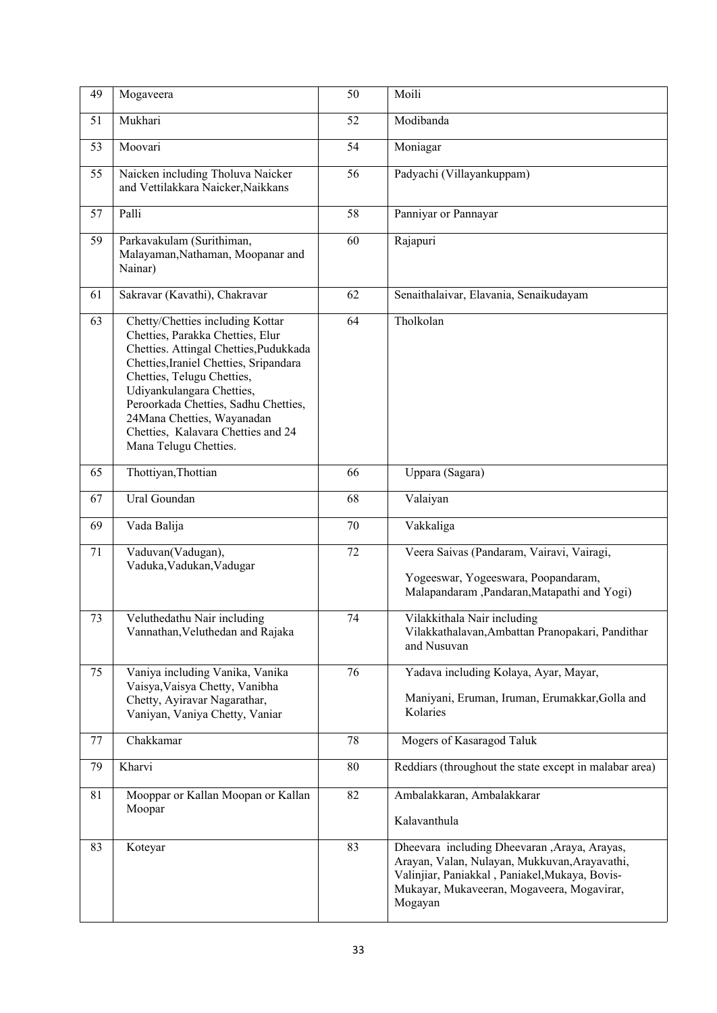| 49 | Mogaveera                                                                                                                                                                                                                                                                                                                                                | 50 | Moili                                                                                                                                                                                                     |
|----|----------------------------------------------------------------------------------------------------------------------------------------------------------------------------------------------------------------------------------------------------------------------------------------------------------------------------------------------------------|----|-----------------------------------------------------------------------------------------------------------------------------------------------------------------------------------------------------------|
| 51 | Mukhari                                                                                                                                                                                                                                                                                                                                                  | 52 | Modibanda                                                                                                                                                                                                 |
| 53 | Moovari                                                                                                                                                                                                                                                                                                                                                  | 54 | Moniagar                                                                                                                                                                                                  |
| 55 | Naicken including Tholuva Naicker<br>and Vettilakkara Naicker, Naikkans                                                                                                                                                                                                                                                                                  | 56 | Padyachi (Villayankuppam)                                                                                                                                                                                 |
| 57 | Palli                                                                                                                                                                                                                                                                                                                                                    | 58 | Panniyar or Pannayar                                                                                                                                                                                      |
| 59 | Parkavakulam (Surithiman,<br>Malayaman, Nathaman, Moopanar and<br>Nainar)                                                                                                                                                                                                                                                                                | 60 | Rajapuri                                                                                                                                                                                                  |
| 61 | Sakravar (Kavathi), Chakravar                                                                                                                                                                                                                                                                                                                            | 62 | Senaithalaivar, Elavania, Senaikudayam                                                                                                                                                                    |
| 63 | Chetty/Chetties including Kottar<br>Chetties, Parakka Chetties, Elur<br>Chetties. Attingal Chetties, Pudukkada<br>Chetties, Iraniel Chetties, Sripandara<br>Chetties, Telugu Chetties,<br>Udiyankulangara Chetties,<br>Peroorkada Chetties, Sadhu Chetties,<br>24Mana Chetties, Wayanadan<br>Chetties, Kalavara Chetties and 24<br>Mana Telugu Chetties. | 64 | Tholkolan                                                                                                                                                                                                 |
| 65 | Thottiyan, Thottian                                                                                                                                                                                                                                                                                                                                      | 66 | Uppara (Sagara)                                                                                                                                                                                           |
| 67 | Ural Goundan                                                                                                                                                                                                                                                                                                                                             | 68 | Valaiyan                                                                                                                                                                                                  |
| 69 | Vada Balija                                                                                                                                                                                                                                                                                                                                              | 70 | Vakkaliga                                                                                                                                                                                                 |
| 71 | Vaduvan(Vadugan),<br>Vaduka, Vadukan, Vadugar                                                                                                                                                                                                                                                                                                            | 72 | Veera Saivas (Pandaram, Vairavi, Vairagi,<br>Yogeeswar, Yogeeswara, Poopandaram,<br>Malapandaram , Pandaran, Matapathi and Yogi)                                                                          |
| 73 | Veluthedathu Nair including<br>Vannathan, Veluthedan and Rajaka                                                                                                                                                                                                                                                                                          | 74 | Vilakkithala Nair including<br>Vilakkathalavan, Ambattan Pranopakari, Pandithar<br>and Nusuvan                                                                                                            |
| 75 | Vaniya including Vanika, Vanika<br>Vaisya, Vaisya Chetty, Vanibha<br>Chetty, Ayiravar Nagarathar,<br>Vaniyan, Vaniya Chetty, Vaniar                                                                                                                                                                                                                      | 76 | Yadava including Kolaya, Ayar, Mayar,<br>Maniyani, Eruman, Iruman, Erumakkar, Golla and<br>Kolaries                                                                                                       |
| 77 | Chakkamar                                                                                                                                                                                                                                                                                                                                                | 78 | Mogers of Kasaragod Taluk                                                                                                                                                                                 |
| 79 | Kharvi                                                                                                                                                                                                                                                                                                                                                   | 80 | Reddiars (throughout the state except in malabar area)                                                                                                                                                    |
| 81 | Mooppar or Kallan Moopan or Kallan<br>Moopar                                                                                                                                                                                                                                                                                                             | 82 | Ambalakkaran, Ambalakkarar<br>Kalavanthula                                                                                                                                                                |
| 83 | Koteyar                                                                                                                                                                                                                                                                                                                                                  | 83 | Dheevara including Dheevaran , Araya, Arayas,<br>Arayan, Valan, Nulayan, Mukkuvan, Arayavathi,<br>Valinjiar, Paniakkal, Paniakel, Mukaya, Bovis-<br>Mukayar, Mukaveeran, Mogaveera, Mogavirar,<br>Mogayan |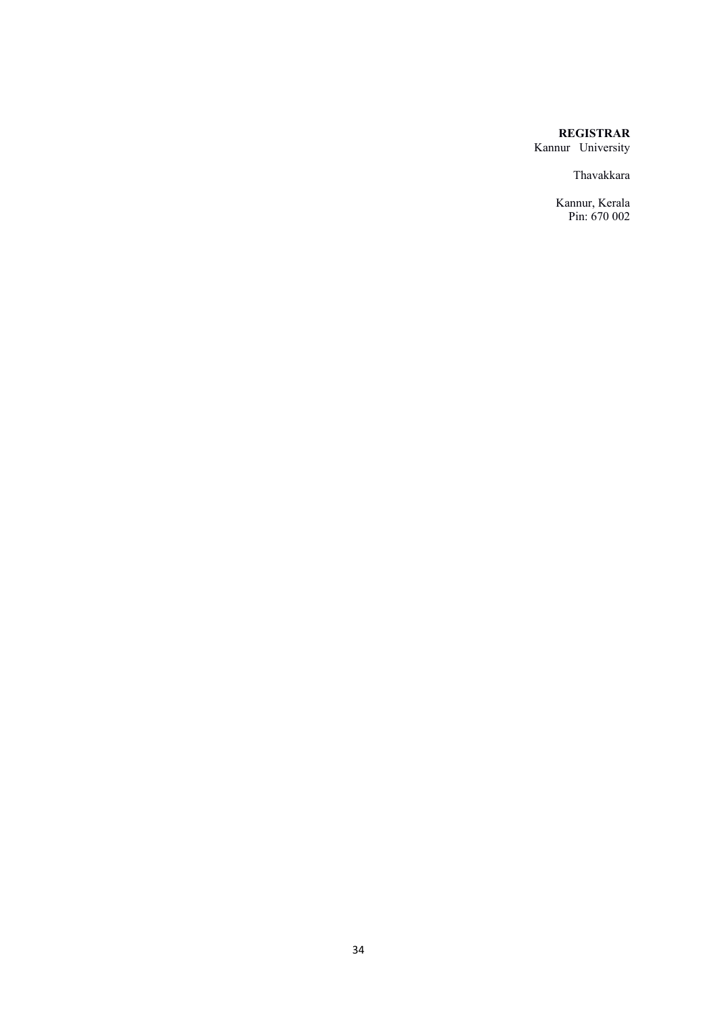# **REGISTRAR**

Kannur University

Thavakkara

Kannur, Kerala Pin: 670 002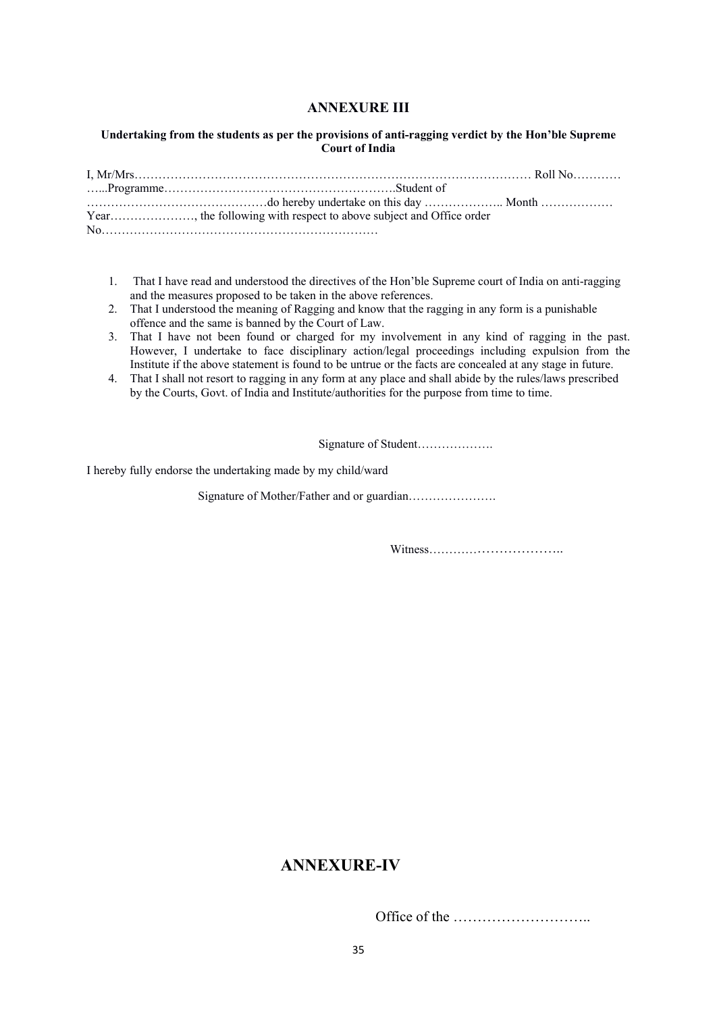# **ANNEXURE III**

### **Undertaking from the students as per the provisions of anti-ragging verdict by the Hon'ble Supreme Court of India**

- 1. That I have read and understood the directives of the Hon'ble Supreme court of India on anti-ragging and the measures proposed to be taken in the above references.
- 2. That I understood the meaning of Ragging and know that the ragging in any form is a punishable offence and the same is banned by the Court of Law.
- 3. That I have not been found or charged for my involvement in any kind of ragging in the past. However, I undertake to face disciplinary action/legal proceedings including expulsion from the Institute if the above statement is found to be untrue or the facts are concealed at any stage in future.
- 4. That I shall not resort to ragging in any form at any place and shall abide by the rules/laws prescribed by the Courts, Govt. of India and Institute/authorities for the purpose from time to time.

Signature of Student……………….

I hereby fully endorse the undertaking made by my child/ward

Signature of Mother/Father and or guardian………………….

Witness…………………………..

# **ANNEXURE-IV**

Office of the ………………………..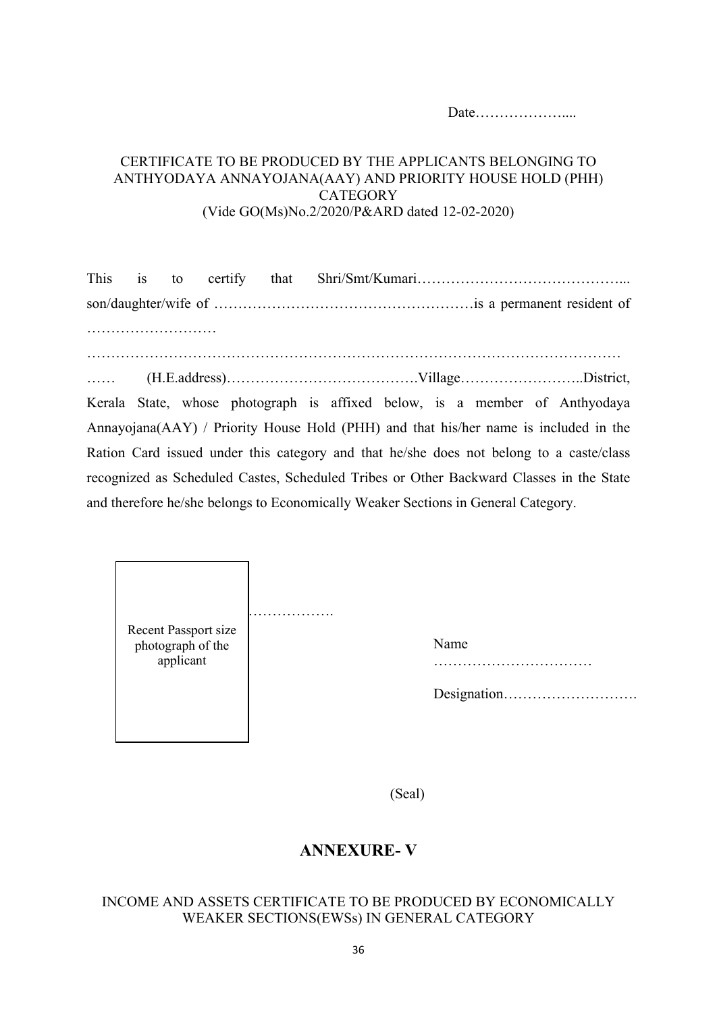Date………………....

# CERTIFICATE TO BE PRODUCED BY THE APPLICANTS BELONGING TO ANTHYODAYA ANNAYOJANA(AAY) AND PRIORITY HOUSE HOLD (PHH) **CATEGORY** (Vide GO(Ms)No.2/2020/P&ARD dated 12-02-2020)

|  |  | Kerala State, whose photograph is affixed below, is a member of Anthyodaya              |  |  |
|--|--|-----------------------------------------------------------------------------------------|--|--|
|  |  | Annayojana(AAY) / Priority House Hold (PHH) and that his/her name is included in the    |  |  |
|  |  | Ration Card issued under this category and that he/she does not belong to a caste/class |  |  |
|  |  | recognized as Scheduled Castes, Scheduled Tribes or Other Backward Classes in the State |  |  |
|  |  | and therefore he/she belongs to Economically Weaker Sections in General Category.       |  |  |

|                                           | .    |
|-------------------------------------------|------|
| Recent Passport size<br>photograph of the | Name |
| applicant                                 |      |
|                                           |      |
|                                           |      |
|                                           |      |

(Seal)

# **ANNEXURE- V**

# INCOME AND ASSETS CERTIFICATE TO BE PRODUCED BY ECONOMICALLY WEAKER SECTIONS(EWSs) IN GENERAL CATEGORY